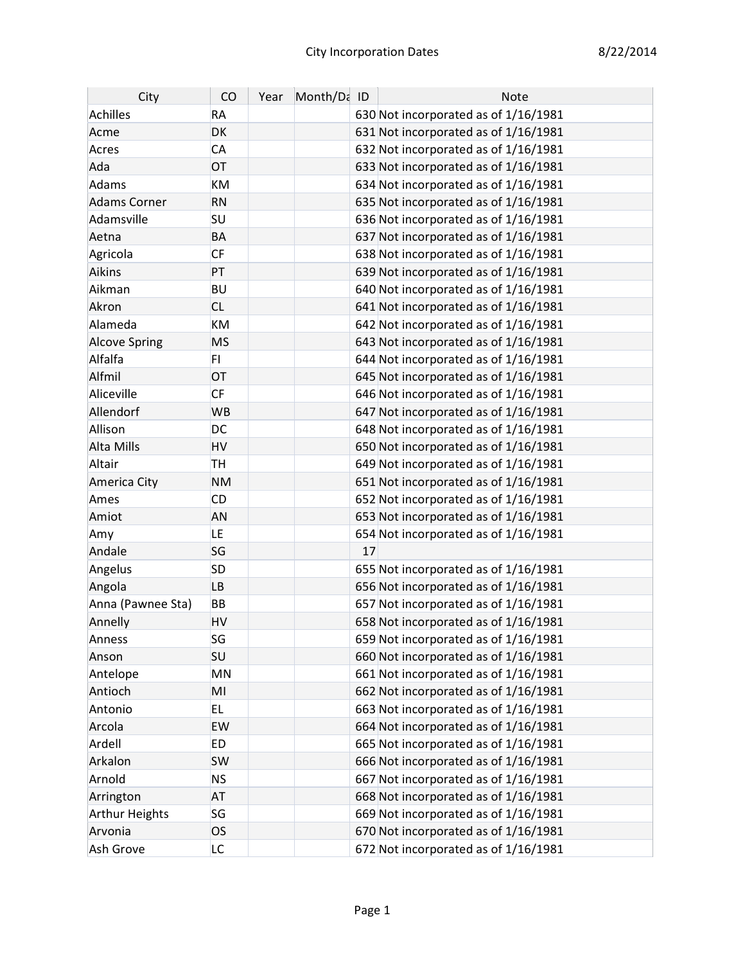| City                 | CO        | Year | Month/Da ID |    | <b>Note</b>                          |
|----------------------|-----------|------|-------------|----|--------------------------------------|
| Achilles             | <b>RA</b> |      |             |    | 630 Not incorporated as of 1/16/1981 |
| Acme                 | DK        |      |             |    | 631 Not incorporated as of 1/16/1981 |
| Acres                | CA        |      |             |    | 632 Not incorporated as of 1/16/1981 |
| Ada                  | <b>OT</b> |      |             |    | 633 Not incorporated as of 1/16/1981 |
| Adams                | KM        |      |             |    | 634 Not incorporated as of 1/16/1981 |
| <b>Adams Corner</b>  | <b>RN</b> |      |             |    | 635 Not incorporated as of 1/16/1981 |
| Adamsville           | SU        |      |             |    | 636 Not incorporated as of 1/16/1981 |
| Aetna                | <b>BA</b> |      |             |    | 637 Not incorporated as of 1/16/1981 |
| Agricola             | <b>CF</b> |      |             |    | 638 Not incorporated as of 1/16/1981 |
| Aikins               | PT        |      |             |    | 639 Not incorporated as of 1/16/1981 |
| Aikman               | <b>BU</b> |      |             |    | 640 Not incorporated as of 1/16/1981 |
| Akron                | <b>CL</b> |      |             |    | 641 Not incorporated as of 1/16/1981 |
| Alameda              | KM        |      |             |    | 642 Not incorporated as of 1/16/1981 |
| <b>Alcove Spring</b> | <b>MS</b> |      |             |    | 643 Not incorporated as of 1/16/1981 |
| Alfalfa              | FI.       |      |             |    | 644 Not incorporated as of 1/16/1981 |
| Alfmil               | OT        |      |             |    | 645 Not incorporated as of 1/16/1981 |
| Aliceville           | <b>CF</b> |      |             |    | 646 Not incorporated as of 1/16/1981 |
| Allendorf            | <b>WB</b> |      |             |    | 647 Not incorporated as of 1/16/1981 |
| Allison              | DC        |      |             |    | 648 Not incorporated as of 1/16/1981 |
| <b>Alta Mills</b>    | HV        |      |             |    | 650 Not incorporated as of 1/16/1981 |
| Altair               | <b>TH</b> |      |             |    | 649 Not incorporated as of 1/16/1981 |
| America City         | <b>NM</b> |      |             |    | 651 Not incorporated as of 1/16/1981 |
| Ames                 | <b>CD</b> |      |             |    | 652 Not incorporated as of 1/16/1981 |
| Amiot                | <b>AN</b> |      |             |    | 653 Not incorporated as of 1/16/1981 |
| Amy                  | <b>LE</b> |      |             |    | 654 Not incorporated as of 1/16/1981 |
| Andale               | SG        |      |             | 17 |                                      |
| Angelus              | <b>SD</b> |      |             |    | 655 Not incorporated as of 1/16/1981 |
| Angola               | <b>LB</b> |      |             |    | 656 Not incorporated as of 1/16/1981 |
| Anna (Pawnee Sta)    | BB        |      |             |    | 657 Not incorporated as of 1/16/1981 |
| Annelly              | HV        |      |             |    | 658 Not incorporated as of 1/16/1981 |
| Anness               | SG        |      |             |    | 659 Not incorporated as of 1/16/1981 |
| Anson                | <b>SU</b> |      |             |    | 660 Not incorporated as of 1/16/1981 |
| Antelope             | MN        |      |             |    | 661 Not incorporated as of 1/16/1981 |
| Antioch              | MI        |      |             |    | 662 Not incorporated as of 1/16/1981 |
| Antonio              | EL.       |      |             |    | 663 Not incorporated as of 1/16/1981 |
| Arcola               | EW        |      |             |    | 664 Not incorporated as of 1/16/1981 |
| Ardell               | <b>ED</b> |      |             |    | 665 Not incorporated as of 1/16/1981 |
| Arkalon              | <b>SW</b> |      |             |    | 666 Not incorporated as of 1/16/1981 |
| Arnold               | <b>NS</b> |      |             |    | 667 Not incorporated as of 1/16/1981 |
| Arrington            | <b>AT</b> |      |             |    | 668 Not incorporated as of 1/16/1981 |
| Arthur Heights       | SG        |      |             |    | 669 Not incorporated as of 1/16/1981 |
| Arvonia              | <b>OS</b> |      |             |    | 670 Not incorporated as of 1/16/1981 |
| Ash Grove            | LC        |      |             |    | 672 Not incorporated as of 1/16/1981 |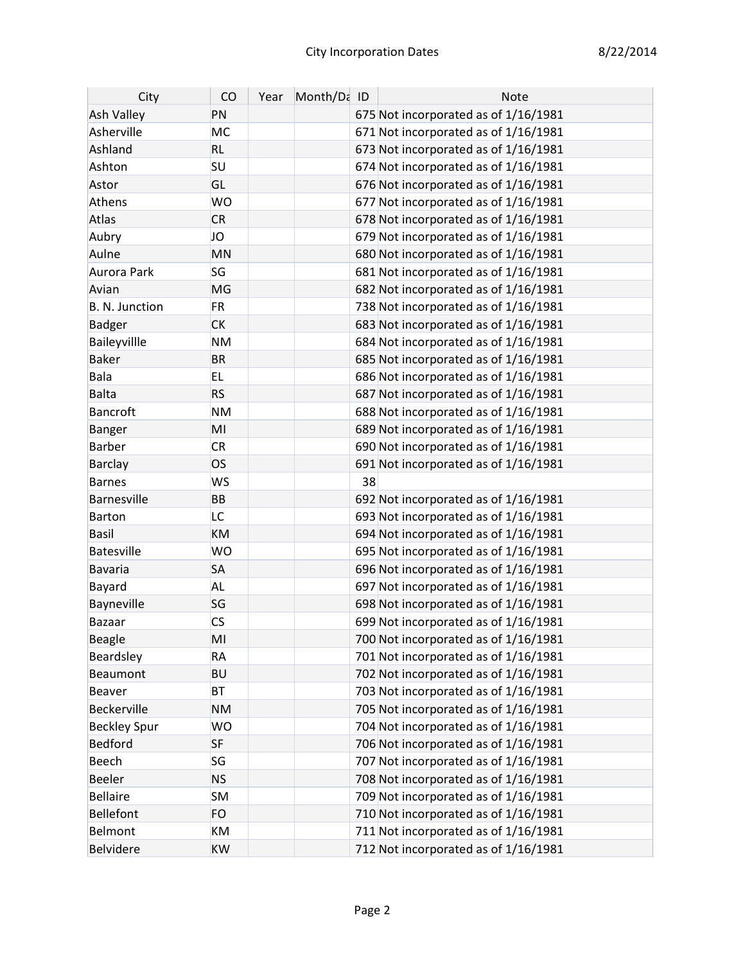| City                | CO        | Year | Month/Da ID |    | <b>Note</b>                          |
|---------------------|-----------|------|-------------|----|--------------------------------------|
| Ash Valley          | PN        |      |             |    | 675 Not incorporated as of 1/16/1981 |
| Asherville          | MC        |      |             |    | 671 Not incorporated as of 1/16/1981 |
| Ashland             | <b>RL</b> |      |             |    | 673 Not incorporated as of 1/16/1981 |
| Ashton              | SU        |      |             |    | 674 Not incorporated as of 1/16/1981 |
| Astor               | GL        |      |             |    | 676 Not incorporated as of 1/16/1981 |
| Athens              | <b>WO</b> |      |             |    | 677 Not incorporated as of 1/16/1981 |
| Atlas               | <b>CR</b> |      |             |    | 678 Not incorporated as of 1/16/1981 |
| Aubry               | JO        |      |             |    | 679 Not incorporated as of 1/16/1981 |
| Aulne               | <b>MN</b> |      |             |    | 680 Not incorporated as of 1/16/1981 |
| Aurora Park         | SG        |      |             |    | 681 Not incorporated as of 1/16/1981 |
| Avian               | MG        |      |             |    | 682 Not incorporated as of 1/16/1981 |
| B. N. Junction      | <b>FR</b> |      |             |    | 738 Not incorporated as of 1/16/1981 |
| Badger              | <b>CK</b> |      |             |    | 683 Not incorporated as of 1/16/1981 |
| Baileyvillle        | <b>NM</b> |      |             |    | 684 Not incorporated as of 1/16/1981 |
| <b>Baker</b>        | <b>BR</b> |      |             |    | 685 Not incorporated as of 1/16/1981 |
| Bala                | EL.       |      |             |    | 686 Not incorporated as of 1/16/1981 |
| Balta               | <b>RS</b> |      |             |    | 687 Not incorporated as of 1/16/1981 |
| Bancroft            | <b>NM</b> |      |             |    | 688 Not incorporated as of 1/16/1981 |
| Banger              | MI        |      |             |    | 689 Not incorporated as of 1/16/1981 |
| Barber              | <b>CR</b> |      |             |    | 690 Not incorporated as of 1/16/1981 |
| Barclay             | <b>OS</b> |      |             |    | 691 Not incorporated as of 1/16/1981 |
| <b>Barnes</b>       | <b>WS</b> |      |             | 38 |                                      |
| Barnesville         | <b>BB</b> |      |             |    | 692 Not incorporated as of 1/16/1981 |
| Barton              | LC        |      |             |    | 693 Not incorporated as of 1/16/1981 |
| Basil               | <b>KM</b> |      |             |    | 694 Not incorporated as of 1/16/1981 |
| Batesville          | <b>WO</b> |      |             |    | 695 Not incorporated as of 1/16/1981 |
| Bavaria             | <b>SA</b> |      |             |    | 696 Not incorporated as of 1/16/1981 |
| Bayard              | <b>AL</b> |      |             |    | 697 Not incorporated as of 1/16/1981 |
| Bayneville          | SG        |      |             |    | 698 Not incorporated as of 1/16/1981 |
| Bazaar              | CS        |      |             |    | 699 Not incorporated as of 1/16/1981 |
| <b>Beagle</b>       | MI        |      |             |    | 700 Not incorporated as of 1/16/1981 |
| Beardsley           | <b>RA</b> |      |             |    | 701 Not incorporated as of 1/16/1981 |
| Beaumont            | <b>BU</b> |      |             |    | 702 Not incorporated as of 1/16/1981 |
| <b>Beaver</b>       | <b>BT</b> |      |             |    | 703 Not incorporated as of 1/16/1981 |
| Beckerville         | <b>NM</b> |      |             |    | 705 Not incorporated as of 1/16/1981 |
| <b>Beckley Spur</b> | <b>WO</b> |      |             |    | 704 Not incorporated as of 1/16/1981 |
| Bedford             | <b>SF</b> |      |             |    | 706 Not incorporated as of 1/16/1981 |
| Beech               | SG        |      |             |    | 707 Not incorporated as of 1/16/1981 |
| Beeler              | <b>NS</b> |      |             |    | 708 Not incorporated as of 1/16/1981 |
| <b>Bellaire</b>     | <b>SM</b> |      |             |    | 709 Not incorporated as of 1/16/1981 |
| Bellefont           | FO        |      |             |    | 710 Not incorporated as of 1/16/1981 |
| Belmont             | KM        |      |             |    | 711 Not incorporated as of 1/16/1981 |
| Belvidere           | <b>KW</b> |      |             |    | 712 Not incorporated as of 1/16/1981 |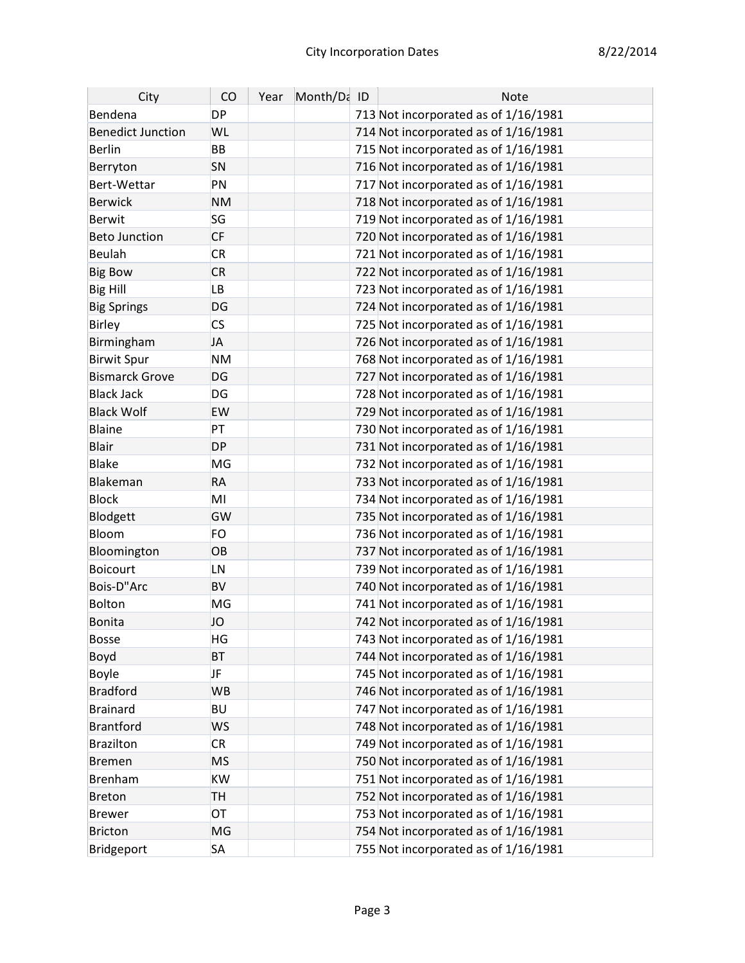| City                     | CO        | Year | Month/Da ID | <b>Note</b>                          |
|--------------------------|-----------|------|-------------|--------------------------------------|
| Bendena                  | <b>DP</b> |      |             | 713 Not incorporated as of 1/16/1981 |
| <b>Benedict Junction</b> | <b>WL</b> |      |             | 714 Not incorporated as of 1/16/1981 |
| Berlin                   | <b>BB</b> |      |             | 715 Not incorporated as of 1/16/1981 |
| Berryton                 | SN        |      |             | 716 Not incorporated as of 1/16/1981 |
| Bert-Wettar              | PN        |      |             | 717 Not incorporated as of 1/16/1981 |
| <b>Berwick</b>           | <b>NM</b> |      |             | 718 Not incorporated as of 1/16/1981 |
| <b>Berwit</b>            | SG        |      |             | 719 Not incorporated as of 1/16/1981 |
| <b>Beto Junction</b>     | <b>CF</b> |      |             | 720 Not incorporated as of 1/16/1981 |
| <b>Beulah</b>            | <b>CR</b> |      |             | 721 Not incorporated as of 1/16/1981 |
| <b>Big Bow</b>           | <b>CR</b> |      |             | 722 Not incorporated as of 1/16/1981 |
| <b>Big Hill</b>          | <b>LB</b> |      |             | 723 Not incorporated as of 1/16/1981 |
| <b>Big Springs</b>       | DG        |      |             | 724 Not incorporated as of 1/16/1981 |
| <b>Birley</b>            | <b>CS</b> |      |             | 725 Not incorporated as of 1/16/1981 |
| Birmingham               | <b>JA</b> |      |             | 726 Not incorporated as of 1/16/1981 |
| <b>Birwit Spur</b>       | <b>NM</b> |      |             | 768 Not incorporated as of 1/16/1981 |
| <b>Bismarck Grove</b>    | DG        |      |             | 727 Not incorporated as of 1/16/1981 |
| <b>Black Jack</b>        | <b>DG</b> |      |             | 728 Not incorporated as of 1/16/1981 |
| <b>Black Wolf</b>        | <b>EW</b> |      |             | 729 Not incorporated as of 1/16/1981 |
| <b>Blaine</b>            | PT        |      |             | 730 Not incorporated as of 1/16/1981 |
| <b>Blair</b>             | <b>DP</b> |      |             | 731 Not incorporated as of 1/16/1981 |
| <b>Blake</b>             | MG        |      |             | 732 Not incorporated as of 1/16/1981 |
| Blakeman                 | <b>RA</b> |      |             | 733 Not incorporated as of 1/16/1981 |
| <b>Block</b>             | MI        |      |             | 734 Not incorporated as of 1/16/1981 |
| Blodgett                 | GW        |      |             | 735 Not incorporated as of 1/16/1981 |
| Bloom                    | <b>FO</b> |      |             | 736 Not incorporated as of 1/16/1981 |
| Bloomington              | OB        |      |             | 737 Not incorporated as of 1/16/1981 |
| <b>Boicourt</b>          | LN        |      |             | 739 Not incorporated as of 1/16/1981 |
| Bois-D"Arc               | <b>BV</b> |      |             | 740 Not incorporated as of 1/16/1981 |
| Bolton                   | MG        |      |             | 741 Not incorporated as of 1/16/1981 |
| Bonita                   | JO        |      |             | 742 Not incorporated as of 1/16/1981 |
| <b>Bosse</b>             | <b>HG</b> |      |             | 743 Not incorporated as of 1/16/1981 |
| Boyd                     | <b>BT</b> |      |             | 744 Not incorporated as of 1/16/1981 |
| Boyle                    | JF.       |      |             | 745 Not incorporated as of 1/16/1981 |
| <b>Bradford</b>          | <b>WB</b> |      |             | 746 Not incorporated as of 1/16/1981 |
| <b>Brainard</b>          | <b>BU</b> |      |             | 747 Not incorporated as of 1/16/1981 |
| <b>Brantford</b>         | <b>WS</b> |      |             | 748 Not incorporated as of 1/16/1981 |
| <b>Brazilton</b>         | <b>CR</b> |      |             | 749 Not incorporated as of 1/16/1981 |
| <b>Bremen</b>            | <b>MS</b> |      |             | 750 Not incorporated as of 1/16/1981 |
| Brenham                  | <b>KW</b> |      |             | 751 Not incorporated as of 1/16/1981 |
| <b>Breton</b>            | <b>TH</b> |      |             | 752 Not incorporated as of 1/16/1981 |
| <b>Brewer</b>            | OT        |      |             | 753 Not incorporated as of 1/16/1981 |
| <b>Bricton</b>           | <b>MG</b> |      |             | 754 Not incorporated as of 1/16/1981 |
| Bridgeport               | <b>SA</b> |      |             | 755 Not incorporated as of 1/16/1981 |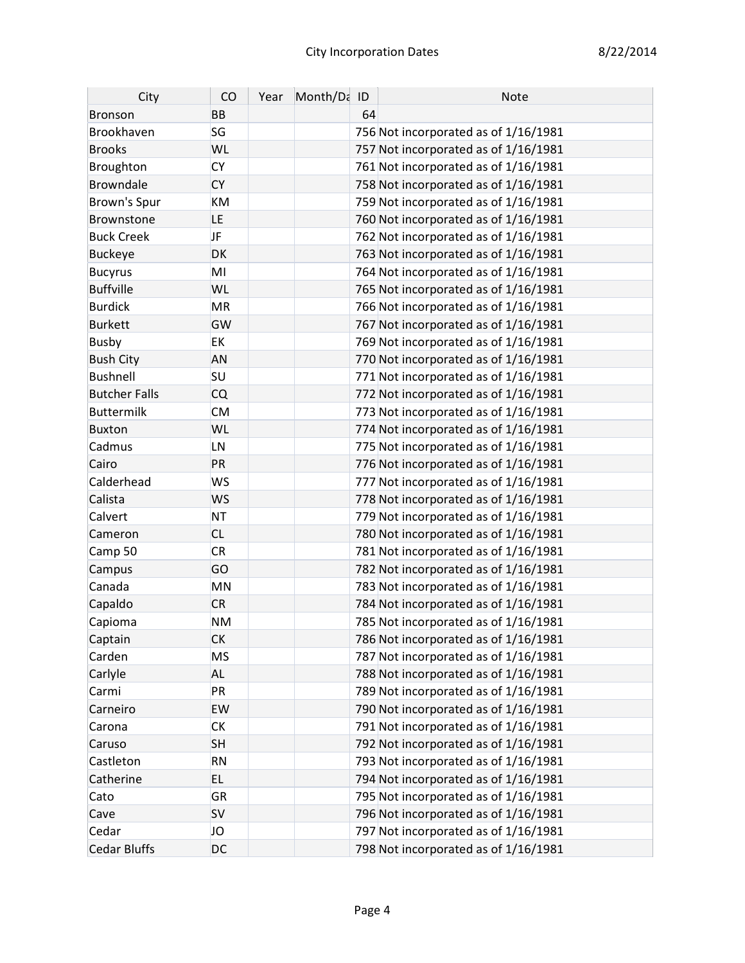| City                 | CO        | Year | Month/Da ID |    | <b>Note</b>                          |
|----------------------|-----------|------|-------------|----|--------------------------------------|
| Bronson              | BB        |      |             | 64 |                                      |
| Brookhaven           | SG        |      |             |    | 756 Not incorporated as of 1/16/1981 |
| <b>Brooks</b>        | WL        |      |             |    | 757 Not incorporated as of 1/16/1981 |
| Broughton            | <b>CY</b> |      |             |    | 761 Not incorporated as of 1/16/1981 |
| Browndale            | <b>CY</b> |      |             |    | 758 Not incorporated as of 1/16/1981 |
| Brown's Spur         | KM        |      |             |    | 759 Not incorporated as of 1/16/1981 |
| Brownstone           | LE.       |      |             |    | 760 Not incorporated as of 1/16/1981 |
| <b>Buck Creek</b>    | <b>JF</b> |      |             |    | 762 Not incorporated as of 1/16/1981 |
| Buckeye              | DK        |      |             |    | 763 Not incorporated as of 1/16/1981 |
| Bucyrus              | MI        |      |             |    | 764 Not incorporated as of 1/16/1981 |
| Buffville            | WL        |      |             |    | 765 Not incorporated as of 1/16/1981 |
| <b>Burdick</b>       | MR        |      |             |    | 766 Not incorporated as of 1/16/1981 |
| Burkett              | GW        |      |             |    | 767 Not incorporated as of 1/16/1981 |
| <b>Busby</b>         | EK        |      |             |    | 769 Not incorporated as of 1/16/1981 |
| <b>Bush City</b>     | AN        |      |             |    | 770 Not incorporated as of 1/16/1981 |
| Bushnell             | SU        |      |             |    | 771 Not incorporated as of 1/16/1981 |
| <b>Butcher Falls</b> | <b>CQ</b> |      |             |    | 772 Not incorporated as of 1/16/1981 |
| Buttermilk           | <b>CM</b> |      |             |    | 773 Not incorporated as of 1/16/1981 |
| Buxton               | WL        |      |             |    | 774 Not incorporated as of 1/16/1981 |
| Cadmus               | LN        |      |             |    | 775 Not incorporated as of 1/16/1981 |
| Cairo                | PR        |      |             |    | 776 Not incorporated as of 1/16/1981 |
| Calderhead           | WS        |      |             |    | 777 Not incorporated as of 1/16/1981 |
| Calista              | <b>WS</b> |      |             |    | 778 Not incorporated as of 1/16/1981 |
| Calvert              | <b>NT</b> |      |             |    | 779 Not incorporated as of 1/16/1981 |
| Cameron              | <b>CL</b> |      |             |    | 780 Not incorporated as of 1/16/1981 |
| Camp 50              | <b>CR</b> |      |             |    | 781 Not incorporated as of 1/16/1981 |
| Campus               | GO        |      |             |    | 782 Not incorporated as of 1/16/1981 |
| Canada               | MN        |      |             |    | 783 Not incorporated as of 1/16/1981 |
| Capaldo              | <b>CR</b> |      |             |    | 784 Not incorporated as of 1/16/1981 |
| Capioma              | <b>NM</b> |      |             |    | 785 Not incorporated as of 1/16/1981 |
| Captain              | <b>CK</b> |      |             |    | 786 Not incorporated as of 1/16/1981 |
| Carden               | <b>MS</b> |      |             |    | 787 Not incorporated as of 1/16/1981 |
| Carlyle              | <b>AL</b> |      |             |    | 788 Not incorporated as of 1/16/1981 |
| Carmi                | PR        |      |             |    | 789 Not incorporated as of 1/16/1981 |
| Carneiro             | EW        |      |             |    | 790 Not incorporated as of 1/16/1981 |
| Carona               | СK        |      |             |    | 791 Not incorporated as of 1/16/1981 |
| Caruso               | SH        |      |             |    | 792 Not incorporated as of 1/16/1981 |
| Castleton            | <b>RN</b> |      |             |    | 793 Not incorporated as of 1/16/1981 |
| Catherine            | EL        |      |             |    | 794 Not incorporated as of 1/16/1981 |
| Cato                 | <b>GR</b> |      |             |    | 795 Not incorporated as of 1/16/1981 |
| Cave                 | <b>SV</b> |      |             |    | 796 Not incorporated as of 1/16/1981 |
| Cedar                | JO        |      |             |    | 797 Not incorporated as of 1/16/1981 |
| <b>Cedar Bluffs</b>  | DC        |      |             |    | 798 Not incorporated as of 1/16/1981 |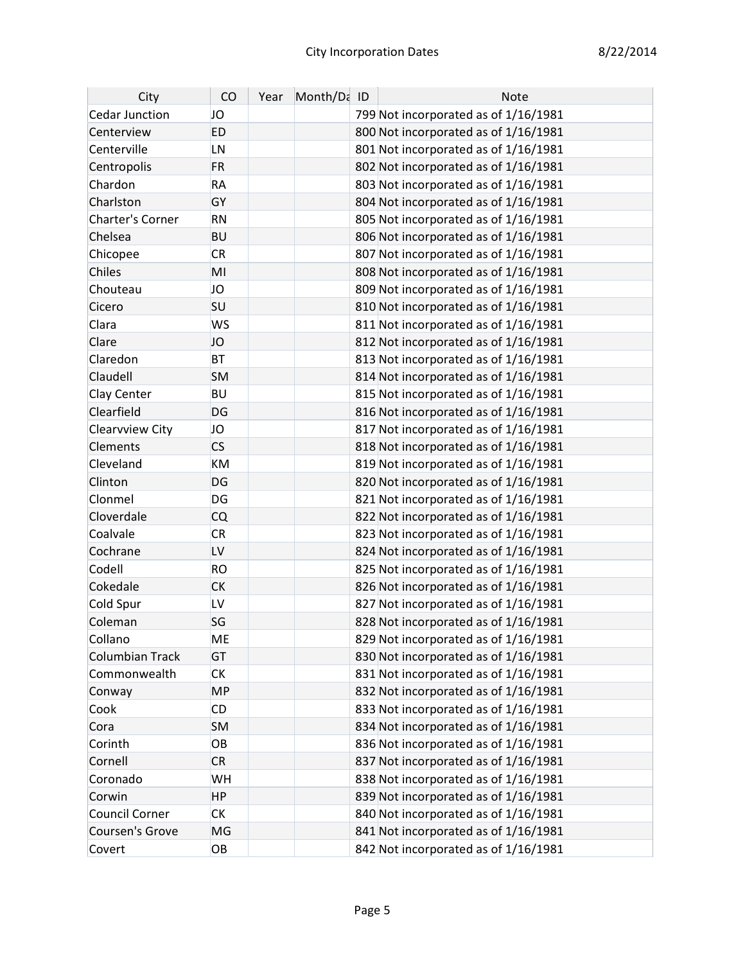| City                   | CO        | Year | Month/Da ID | <b>Note</b>                          |
|------------------------|-----------|------|-------------|--------------------------------------|
| Cedar Junction         | JO        |      |             | 799 Not incorporated as of 1/16/1981 |
| Centerview             | <b>ED</b> |      |             | 800 Not incorporated as of 1/16/1981 |
| Centerville            | LN        |      |             | 801 Not incorporated as of 1/16/1981 |
| Centropolis            | <b>FR</b> |      |             | 802 Not incorporated as of 1/16/1981 |
| Chardon                | <b>RA</b> |      |             | 803 Not incorporated as of 1/16/1981 |
| Charlston              | GY        |      |             | 804 Not incorporated as of 1/16/1981 |
| Charter's Corner       | <b>RN</b> |      |             | 805 Not incorporated as of 1/16/1981 |
| Chelsea                | <b>BU</b> |      |             | 806 Not incorporated as of 1/16/1981 |
| Chicopee               | <b>CR</b> |      |             | 807 Not incorporated as of 1/16/1981 |
| Chiles                 | MI        |      |             | 808 Not incorporated as of 1/16/1981 |
| Chouteau               | JO        |      |             | 809 Not incorporated as of 1/16/1981 |
| Cicero                 | SU        |      |             | 810 Not incorporated as of 1/16/1981 |
| Clara                  | <b>WS</b> |      |             | 811 Not incorporated as of 1/16/1981 |
| Clare                  | JO        |      |             | 812 Not incorporated as of 1/16/1981 |
| Claredon               | <b>BT</b> |      |             | 813 Not incorporated as of 1/16/1981 |
| Claudell               | <b>SM</b> |      |             | 814 Not incorporated as of 1/16/1981 |
| Clay Center            | <b>BU</b> |      |             | 815 Not incorporated as of 1/16/1981 |
| Clearfield             | DG        |      |             | 816 Not incorporated as of 1/16/1981 |
| Clearvview City        | JO        |      |             | 817 Not incorporated as of 1/16/1981 |
| <b>Clements</b>        | <b>CS</b> |      |             | 818 Not incorporated as of 1/16/1981 |
| Cleveland              | KM        |      |             | 819 Not incorporated as of 1/16/1981 |
| Clinton                | DG        |      |             | 820 Not incorporated as of 1/16/1981 |
| Clonmel                | DG        |      |             | 821 Not incorporated as of 1/16/1981 |
| Cloverdale             | <b>CQ</b> |      |             | 822 Not incorporated as of 1/16/1981 |
| Coalvale               | <b>CR</b> |      |             | 823 Not incorporated as of 1/16/1981 |
| Cochrane               | LV        |      |             | 824 Not incorporated as of 1/16/1981 |
| Codell                 | <b>RO</b> |      |             | 825 Not incorporated as of 1/16/1981 |
| Cokedale               | <b>CK</b> |      |             | 826 Not incorporated as of 1/16/1981 |
| Cold Spur              | LV        |      |             | 827 Not incorporated as of 1/16/1981 |
| Coleman                | SG        |      |             | 828 Not incorporated as of 1/16/1981 |
| Collano                | <b>ME</b> |      |             | 829 Not incorporated as of 1/16/1981 |
| <b>Columbian Track</b> | GT        |      |             | 830 Not incorporated as of 1/16/1981 |
| Commonwealth           | <b>CK</b> |      |             | 831 Not incorporated as of 1/16/1981 |
| Conway                 | <b>MP</b> |      |             | 832 Not incorporated as of 1/16/1981 |
| Cook                   | <b>CD</b> |      |             | 833 Not incorporated as of 1/16/1981 |
| Cora                   | SM        |      |             | 834 Not incorporated as of 1/16/1981 |
| Corinth                | OB        |      |             | 836 Not incorporated as of 1/16/1981 |
| Cornell                | <b>CR</b> |      |             | 837 Not incorporated as of 1/16/1981 |
| Coronado               | WH        |      |             | 838 Not incorporated as of 1/16/1981 |
| Corwin                 | HP        |      |             | 839 Not incorporated as of 1/16/1981 |
| Council Corner         | <b>CK</b> |      |             | 840 Not incorporated as of 1/16/1981 |
| Coursen's Grove        | MG        |      |             | 841 Not incorporated as of 1/16/1981 |
| Covert                 | OB        |      |             | 842 Not incorporated as of 1/16/1981 |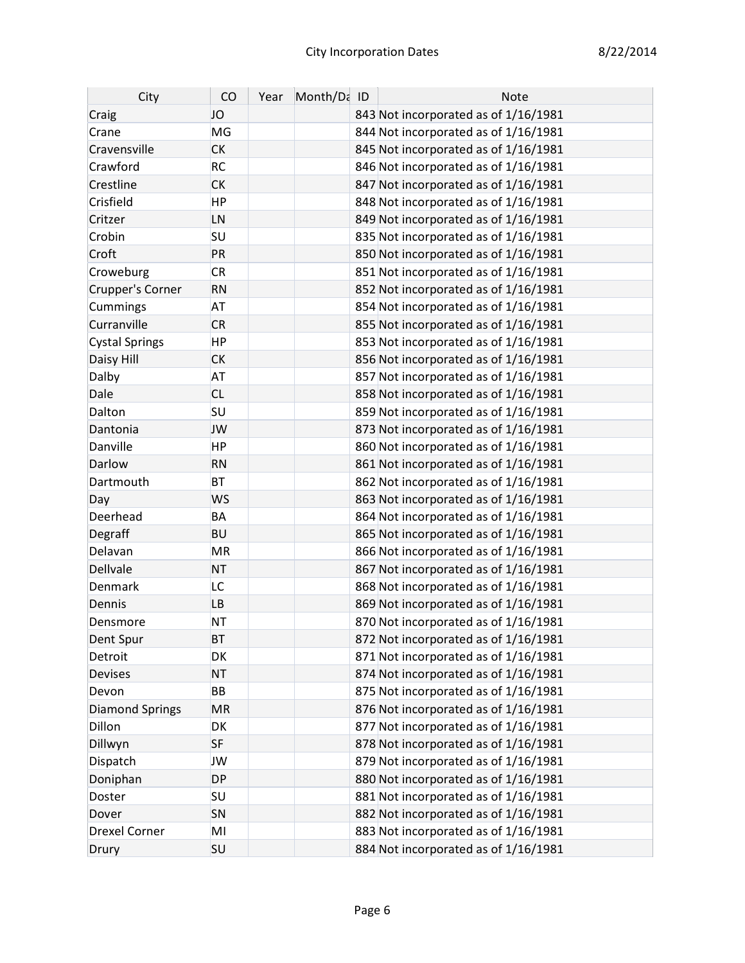| City                   | CO        | Year | Month/Da ID | <b>Note</b>                          |
|------------------------|-----------|------|-------------|--------------------------------------|
| Craig                  | JO        |      |             | 843 Not incorporated as of 1/16/1981 |
| Crane                  | MG        |      |             | 844 Not incorporated as of 1/16/1981 |
| Cravensville           | <b>CK</b> |      |             | 845 Not incorporated as of 1/16/1981 |
| Crawford               | <b>RC</b> |      |             | 846 Not incorporated as of 1/16/1981 |
| Crestline              | <b>CK</b> |      |             | 847 Not incorporated as of 1/16/1981 |
| Crisfield              | <b>HP</b> |      |             | 848 Not incorporated as of 1/16/1981 |
| Critzer                | LN        |      |             | 849 Not incorporated as of 1/16/1981 |
| Crobin                 | SU        |      |             | 835 Not incorporated as of 1/16/1981 |
| Croft                  | PR        |      |             | 850 Not incorporated as of 1/16/1981 |
| Croweburg              | <b>CR</b> |      |             | 851 Not incorporated as of 1/16/1981 |
| Crupper's Corner       | <b>RN</b> |      |             | 852 Not incorporated as of 1/16/1981 |
| Cummings               | <b>AT</b> |      |             | 854 Not incorporated as of 1/16/1981 |
| Curranville            | <b>CR</b> |      |             | 855 Not incorporated as of 1/16/1981 |
| <b>Cystal Springs</b>  | <b>HP</b> |      |             | 853 Not incorporated as of 1/16/1981 |
| Daisy Hill             | <b>CK</b> |      |             | 856 Not incorporated as of 1/16/1981 |
| Dalby                  | <b>AT</b> |      |             | 857 Not incorporated as of 1/16/1981 |
| Dale                   | <b>CL</b> |      |             | 858 Not incorporated as of 1/16/1981 |
| Dalton                 | SU        |      |             | 859 Not incorporated as of 1/16/1981 |
| Dantonia               | <b>JW</b> |      |             | 873 Not incorporated as of 1/16/1981 |
| Danville               | <b>HP</b> |      |             | 860 Not incorporated as of 1/16/1981 |
| Darlow                 | <b>RN</b> |      |             | 861 Not incorporated as of 1/16/1981 |
| Dartmouth              | <b>BT</b> |      |             | 862 Not incorporated as of 1/16/1981 |
| Day                    | <b>WS</b> |      |             | 863 Not incorporated as of 1/16/1981 |
| Deerhead               | <b>BA</b> |      |             | 864 Not incorporated as of 1/16/1981 |
| Degraff                | <b>BU</b> |      |             | 865 Not incorporated as of 1/16/1981 |
| Delavan                | <b>MR</b> |      |             | 866 Not incorporated as of 1/16/1981 |
| Dellvale               | <b>NT</b> |      |             | 867 Not incorporated as of 1/16/1981 |
| Denmark                | <b>LC</b> |      |             | 868 Not incorporated as of 1/16/1981 |
| Dennis                 | <b>LB</b> |      |             | 869 Not incorporated as of 1/16/1981 |
| Densmore               | <b>NT</b> |      |             | 870 Not incorporated as of 1/16/1981 |
| Dent Spur              | <b>BT</b> |      |             | 872 Not incorporated as of 1/16/1981 |
| Detroit                | <b>DK</b> |      |             | 871 Not incorporated as of 1/16/1981 |
| <b>Devises</b>         | <b>NT</b> |      |             | 874 Not incorporated as of 1/16/1981 |
| Devon                  | <b>BB</b> |      |             | 875 Not incorporated as of 1/16/1981 |
| <b>Diamond Springs</b> | <b>MR</b> |      |             | 876 Not incorporated as of 1/16/1981 |
| Dillon                 | <b>DK</b> |      |             | 877 Not incorporated as of 1/16/1981 |
| Dillwyn                | <b>SF</b> |      |             | 878 Not incorporated as of 1/16/1981 |
| Dispatch               | <b>JW</b> |      |             | 879 Not incorporated as of 1/16/1981 |
| Doniphan               | <b>DP</b> |      |             | 880 Not incorporated as of 1/16/1981 |
| Doster                 | SU        |      |             | 881 Not incorporated as of 1/16/1981 |
| Dover                  | SN        |      |             | 882 Not incorporated as of 1/16/1981 |
| <b>Drexel Corner</b>   | MI        |      |             | 883 Not incorporated as of 1/16/1981 |
| Drury                  | SU        |      |             | 884 Not incorporated as of 1/16/1981 |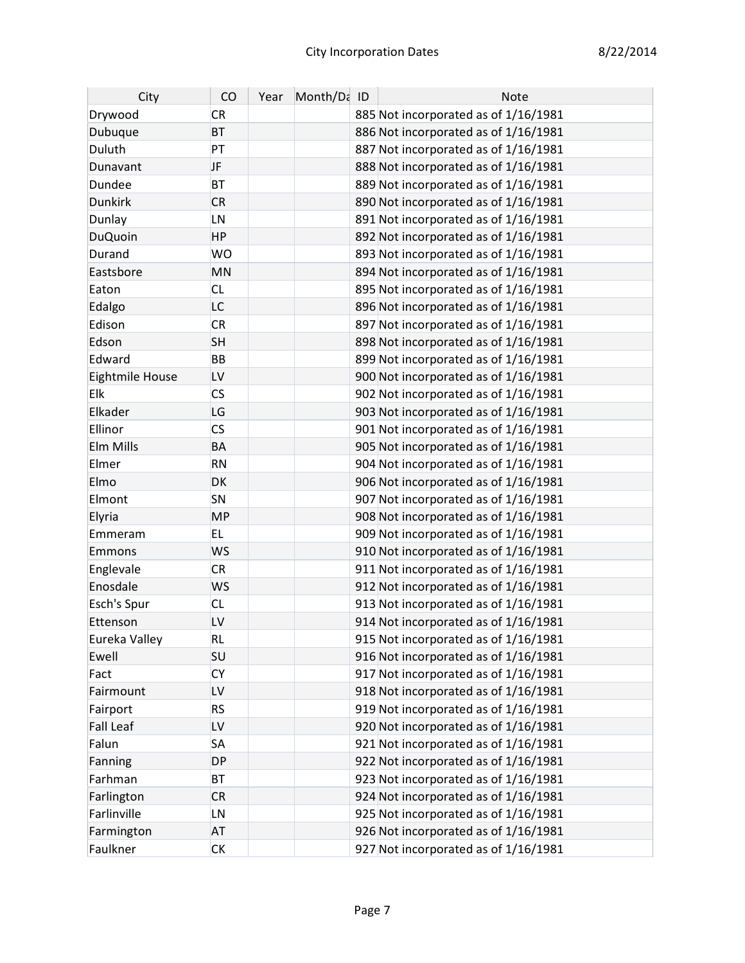| City             | CO        | Year | Month/Da ID | Note                                 |
|------------------|-----------|------|-------------|--------------------------------------|
| Drywood          | <b>CR</b> |      |             | 885 Not incorporated as of 1/16/1981 |
| <b>Dubuque</b>   | <b>BT</b> |      |             | 886 Not incorporated as of 1/16/1981 |
| Duluth           | PT        |      |             | 887 Not incorporated as of 1/16/1981 |
| Dunavant         | JF        |      |             | 888 Not incorporated as of 1/16/1981 |
| Dundee           | <b>BT</b> |      |             | 889 Not incorporated as of 1/16/1981 |
| <b>Dunkirk</b>   | <b>CR</b> |      |             | 890 Not incorporated as of 1/16/1981 |
| Dunlay           | LN        |      |             | 891 Not incorporated as of 1/16/1981 |
| <b>DuQuoin</b>   | <b>HP</b> |      |             | 892 Not incorporated as of 1/16/1981 |
| Durand           | <b>WO</b> |      |             | 893 Not incorporated as of 1/16/1981 |
| Eastsbore        | <b>MN</b> |      |             | 894 Not incorporated as of 1/16/1981 |
| Eaton            | <b>CL</b> |      |             | 895 Not incorporated as of 1/16/1981 |
| Edalgo           | LC        |      |             | 896 Not incorporated as of 1/16/1981 |
| Edison           | <b>CR</b> |      |             | 897 Not incorporated as of 1/16/1981 |
| Edson            | <b>SH</b> |      |             | 898 Not incorporated as of 1/16/1981 |
| Edward           | <b>BB</b> |      |             | 899 Not incorporated as of 1/16/1981 |
| Eightmile House  | LV        |      |             | 900 Not incorporated as of 1/16/1981 |
| Elk              | <b>CS</b> |      |             | 902 Not incorporated as of 1/16/1981 |
| Elkader          | LG        |      |             | 903 Not incorporated as of 1/16/1981 |
| Ellinor          | <b>CS</b> |      |             | 901 Not incorporated as of 1/16/1981 |
| Elm Mills        | <b>BA</b> |      |             | 905 Not incorporated as of 1/16/1981 |
| Elmer            | <b>RN</b> |      |             | 904 Not incorporated as of 1/16/1981 |
| Elmo             | <b>DK</b> |      |             | 906 Not incorporated as of 1/16/1981 |
| Elmont           | SN        |      |             | 907 Not incorporated as of 1/16/1981 |
| Elyria           | <b>MP</b> |      |             | 908 Not incorporated as of 1/16/1981 |
| Emmeram          | EL.       |      |             | 909 Not incorporated as of 1/16/1981 |
| Emmons           | <b>WS</b> |      |             | 910 Not incorporated as of 1/16/1981 |
| Englevale        | <b>CR</b> |      |             | 911 Not incorporated as of 1/16/1981 |
| Enosdale         | <b>WS</b> |      |             | 912 Not incorporated as of 1/16/1981 |
| Esch's Spur      | <b>CL</b> |      |             | 913 Not incorporated as of 1/16/1981 |
| Ettenson         | LV        |      |             | 914 Not incorporated as of 1/16/1981 |
| Eureka Valley    | <b>RL</b> |      |             | 915 Not incorporated as of 1/16/1981 |
| Ewell            | <b>SU</b> |      |             | 916 Not incorporated as of 1/16/1981 |
| Fact             | <b>CY</b> |      |             | 917 Not incorporated as of 1/16/1981 |
| Fairmount        | LV        |      |             | 918 Not incorporated as of 1/16/1981 |
| Fairport         | <b>RS</b> |      |             | 919 Not incorporated as of 1/16/1981 |
| <b>Fall Leaf</b> | LV        |      |             | 920 Not incorporated as of 1/16/1981 |
| Falun            | <b>SA</b> |      |             | 921 Not incorporated as of 1/16/1981 |
| Fanning          | <b>DP</b> |      |             | 922 Not incorporated as of 1/16/1981 |
| Farhman          | <b>BT</b> |      |             | 923 Not incorporated as of 1/16/1981 |
| Farlington       | <b>CR</b> |      |             | 924 Not incorporated as of 1/16/1981 |
| Farlinville      | LN        |      |             | 925 Not incorporated as of 1/16/1981 |
| Farmington       | <b>AT</b> |      |             | 926 Not incorporated as of 1/16/1981 |
| Faulkner         | <b>CK</b> |      |             | 927 Not incorporated as of 1/16/1981 |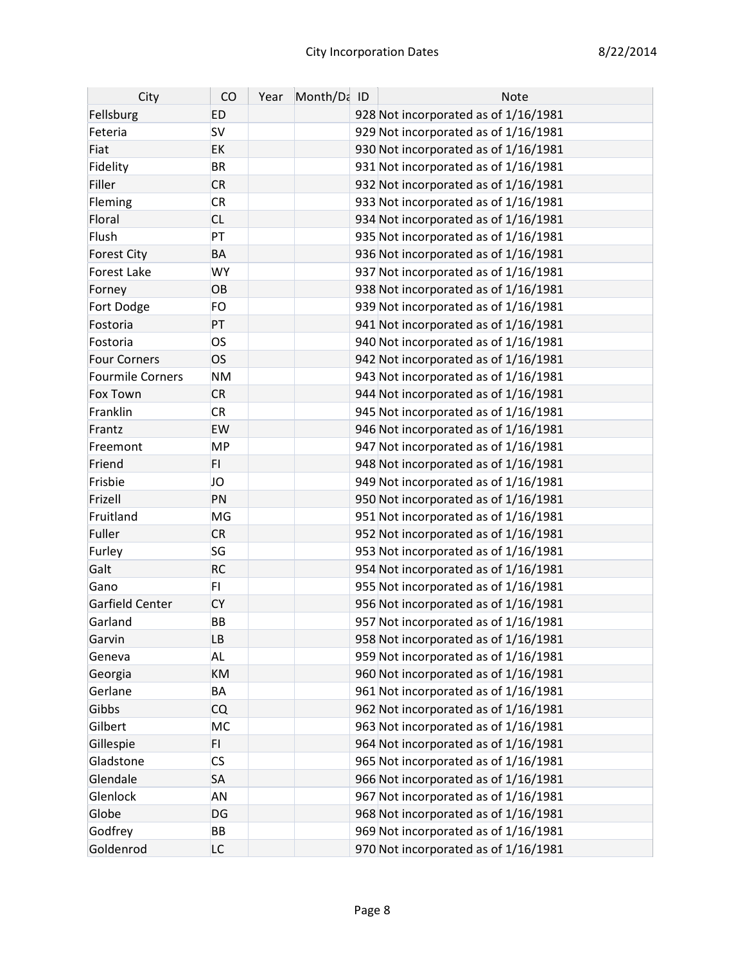| City                | CO        | Year | Month/Da ID | <b>Note</b>                          |
|---------------------|-----------|------|-------------|--------------------------------------|
| Fellsburg           | <b>ED</b> |      |             | 928 Not incorporated as of 1/16/1981 |
| Feteria             | <b>SV</b> |      |             | 929 Not incorporated as of 1/16/1981 |
| Fiat                | EK        |      |             | 930 Not incorporated as of 1/16/1981 |
| Fidelity            | <b>BR</b> |      |             | 931 Not incorporated as of 1/16/1981 |
| Filler              | <b>CR</b> |      |             | 932 Not incorporated as of 1/16/1981 |
| Fleming             | <b>CR</b> |      |             | 933 Not incorporated as of 1/16/1981 |
| Floral              | <b>CL</b> |      |             | 934 Not incorporated as of 1/16/1981 |
| Flush               | PT        |      |             | 935 Not incorporated as of 1/16/1981 |
| <b>Forest City</b>  | BA        |      |             | 936 Not incorporated as of 1/16/1981 |
| Forest Lake         | <b>WY</b> |      |             | 937 Not incorporated as of 1/16/1981 |
| Forney              | OB        |      |             | 938 Not incorporated as of 1/16/1981 |
| Fort Dodge          | <b>FO</b> |      |             | 939 Not incorporated as of 1/16/1981 |
| Fostoria            | PT        |      |             | 941 Not incorporated as of 1/16/1981 |
| Fostoria            | <b>OS</b> |      |             | 940 Not incorporated as of 1/16/1981 |
| <b>Four Corners</b> | <b>OS</b> |      |             | 942 Not incorporated as of 1/16/1981 |
| Fourmile Corners    | <b>NM</b> |      |             | 943 Not incorporated as of 1/16/1981 |
| Fox Town            | <b>CR</b> |      |             | 944 Not incorporated as of 1/16/1981 |
| Franklin            | <b>CR</b> |      |             | 945 Not incorporated as of 1/16/1981 |
| Frantz              | EW        |      |             | 946 Not incorporated as of 1/16/1981 |
| Freemont            | <b>MP</b> |      |             | 947 Not incorporated as of 1/16/1981 |
| Friend              | FI.       |      |             | 948 Not incorporated as of 1/16/1981 |
| Frisbie             | JO        |      |             | 949 Not incorporated as of 1/16/1981 |
| Frizell             | PN        |      |             | 950 Not incorporated as of 1/16/1981 |
| Fruitland           | MG        |      |             | 951 Not incorporated as of 1/16/1981 |
| Fuller              | <b>CR</b> |      |             | 952 Not incorporated as of 1/16/1981 |
| Furley              | SG        |      |             | 953 Not incorporated as of 1/16/1981 |
| Galt                | <b>RC</b> |      |             | 954 Not incorporated as of 1/16/1981 |
| Gano                | FI.       |      |             | 955 Not incorporated as of 1/16/1981 |
| Garfield Center     | <b>CY</b> |      |             | 956 Not incorporated as of 1/16/1981 |
| Garland             | <b>BB</b> |      |             | 957 Not incorporated as of 1/16/1981 |
| Garvin              | <b>LB</b> |      |             | 958 Not incorporated as of 1/16/1981 |
| Geneva              | <b>AL</b> |      |             | 959 Not incorporated as of 1/16/1981 |
| Georgia             | <b>KM</b> |      |             | 960 Not incorporated as of 1/16/1981 |
| Gerlane             | BA        |      |             | 961 Not incorporated as of 1/16/1981 |
| Gibbs               | <b>CQ</b> |      |             | 962 Not incorporated as of 1/16/1981 |
| Gilbert             | MC        |      |             | 963 Not incorporated as of 1/16/1981 |
| Gillespie           | FI.       |      |             | 964 Not incorporated as of 1/16/1981 |
| Gladstone           | <b>CS</b> |      |             | 965 Not incorporated as of 1/16/1981 |
| Glendale            | <b>SA</b> |      |             | 966 Not incorporated as of 1/16/1981 |
| Glenlock            | <b>AN</b> |      |             | 967 Not incorporated as of 1/16/1981 |
| Globe               | DG        |      |             | 968 Not incorporated as of 1/16/1981 |
| Godfrey             | BB        |      |             | 969 Not incorporated as of 1/16/1981 |
| Goldenrod           | LC        |      |             | 970 Not incorporated as of 1/16/1981 |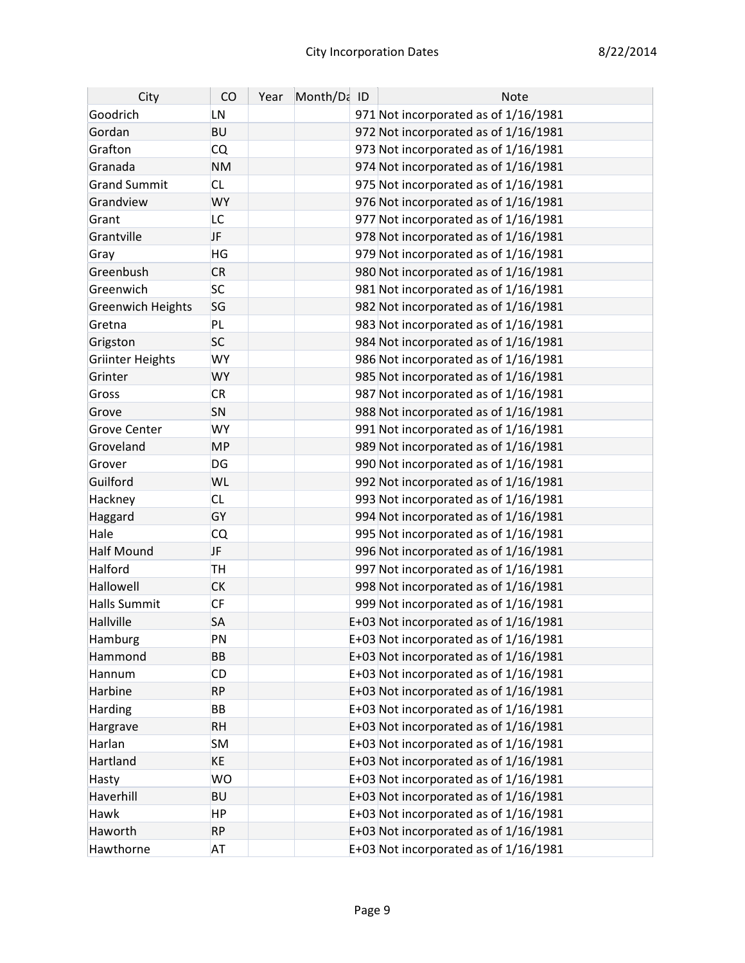| City                     | CO        | Year | Month/Da ID | Note                                  |
|--------------------------|-----------|------|-------------|---------------------------------------|
| Goodrich                 | LN        |      |             | 971 Not incorporated as of 1/16/1981  |
| Gordan                   | <b>BU</b> |      |             | 972 Not incorporated as of 1/16/1981  |
| Grafton                  | <b>CQ</b> |      |             | 973 Not incorporated as of 1/16/1981  |
| Granada                  | <b>NM</b> |      |             | 974 Not incorporated as of 1/16/1981  |
| <b>Grand Summit</b>      | <b>CL</b> |      |             | 975 Not incorporated as of 1/16/1981  |
| Grandview                | <b>WY</b> |      |             | 976 Not incorporated as of 1/16/1981  |
| Grant                    | <b>LC</b> |      |             | 977 Not incorporated as of 1/16/1981  |
| Grantville               | JF        |      |             | 978 Not incorporated as of 1/16/1981  |
| Gray                     | <b>HG</b> |      |             | 979 Not incorporated as of 1/16/1981  |
| Greenbush                | <b>CR</b> |      |             | 980 Not incorporated as of 1/16/1981  |
| Greenwich                | <b>SC</b> |      |             | 981 Not incorporated as of 1/16/1981  |
| <b>Greenwich Heights</b> | SG        |      |             | 982 Not incorporated as of 1/16/1981  |
| Gretna                   | <b>PL</b> |      |             | 983 Not incorporated as of 1/16/1981  |
| Grigston                 | <b>SC</b> |      |             | 984 Not incorporated as of 1/16/1981  |
| Griinter Heights         | <b>WY</b> |      |             | 986 Not incorporated as of 1/16/1981  |
| Grinter                  | <b>WY</b> |      |             | 985 Not incorporated as of 1/16/1981  |
| Gross                    | <b>CR</b> |      |             | 987 Not incorporated as of 1/16/1981  |
| Grove                    | SN        |      |             | 988 Not incorporated as of 1/16/1981  |
| <b>Grove Center</b>      | <b>WY</b> |      |             | 991 Not incorporated as of 1/16/1981  |
| Groveland                | <b>MP</b> |      |             | 989 Not incorporated as of 1/16/1981  |
| Grover                   | <b>DG</b> |      |             | 990 Not incorporated as of 1/16/1981  |
| Guilford                 | WL        |      |             | 992 Not incorporated as of 1/16/1981  |
| Hackney                  | <b>CL</b> |      |             | 993 Not incorporated as of 1/16/1981  |
| Haggard                  | GY        |      |             | 994 Not incorporated as of 1/16/1981  |
| Hale                     | <b>CQ</b> |      |             | 995 Not incorporated as of 1/16/1981  |
| <b>Half Mound</b>        | JF        |      |             | 996 Not incorporated as of 1/16/1981  |
| Halford                  | <b>TH</b> |      |             | 997 Not incorporated as of 1/16/1981  |
| Hallowell                | <b>CK</b> |      |             | 998 Not incorporated as of 1/16/1981  |
| Halls Summit             | <b>CF</b> |      |             | 999 Not incorporated as of 1/16/1981  |
| Hallville                | <b>SA</b> |      |             | E+03 Not incorporated as of 1/16/1981 |
| Hamburg                  | PN        |      |             | E+03 Not incorporated as of 1/16/1981 |
| Hammond                  | BB        |      |             | E+03 Not incorporated as of 1/16/1981 |
| Hannum                   | <b>CD</b> |      |             | E+03 Not incorporated as of 1/16/1981 |
| Harbine                  | <b>RP</b> |      |             | E+03 Not incorporated as of 1/16/1981 |
| Harding                  | <b>BB</b> |      |             | E+03 Not incorporated as of 1/16/1981 |
| Hargrave                 | <b>RH</b> |      |             | E+03 Not incorporated as of 1/16/1981 |
| Harlan                   | <b>SM</b> |      |             | E+03 Not incorporated as of 1/16/1981 |
| Hartland                 | <b>KE</b> |      |             | E+03 Not incorporated as of 1/16/1981 |
| Hasty                    | <b>WO</b> |      |             | E+03 Not incorporated as of 1/16/1981 |
| Haverhill                | <b>BU</b> |      |             | E+03 Not incorporated as of 1/16/1981 |
| <b>Hawk</b>              | HP        |      |             | E+03 Not incorporated as of 1/16/1981 |
| Haworth                  | <b>RP</b> |      |             | E+03 Not incorporated as of 1/16/1981 |
| Hawthorne                | <b>AT</b> |      |             | E+03 Not incorporated as of 1/16/1981 |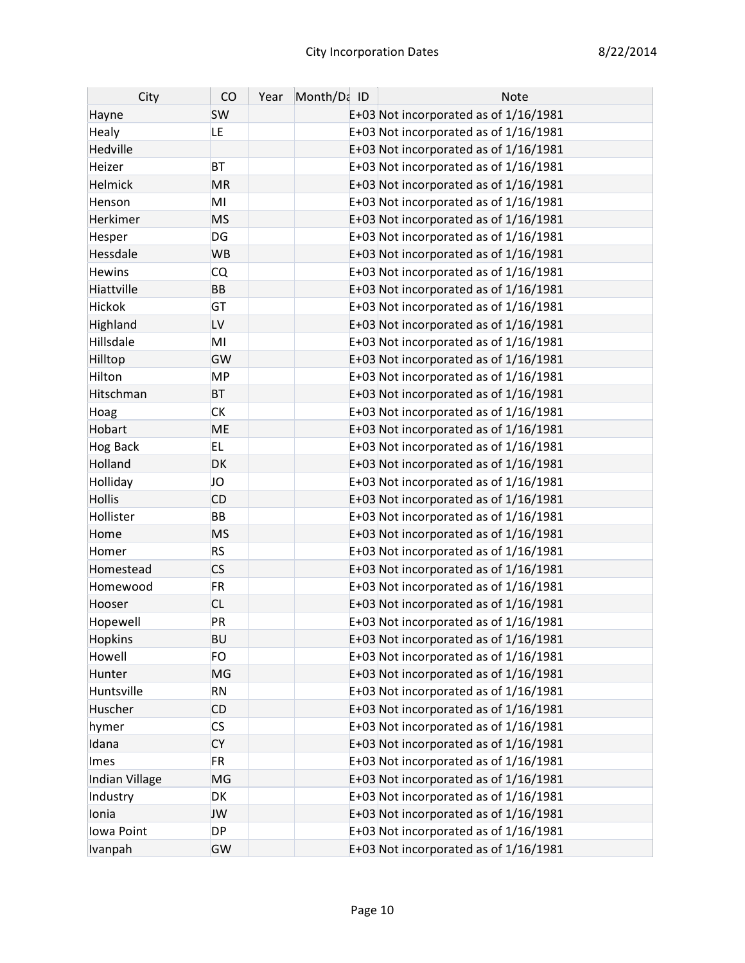| City           | CO        | Year | Month/Da ID | <b>Note</b>                             |
|----------------|-----------|------|-------------|-----------------------------------------|
| Hayne          | <b>SW</b> |      |             | E+03 Not incorporated as of 1/16/1981   |
| Healy          | LE.       |      |             | E+03 Not incorporated as of 1/16/1981   |
| Hedville       |           |      |             | E+03 Not incorporated as of 1/16/1981   |
| Heizer         | <b>BT</b> |      |             | E+03 Not incorporated as of 1/16/1981   |
| Helmick        | <b>MR</b> |      |             | E+03 Not incorporated as of 1/16/1981   |
| Henson         | MI        |      |             | E+03 Not incorporated as of 1/16/1981   |
| Herkimer       | <b>MS</b> |      |             | E+03 Not incorporated as of 1/16/1981   |
| Hesper         | DG        |      |             | E+03 Not incorporated as of $1/16/1981$ |
| Hessdale       | <b>WB</b> |      |             | E+03 Not incorporated as of 1/16/1981   |
| Hewins         | CQ        |      |             | E+03 Not incorporated as of 1/16/1981   |
| Hiattville     | BB        |      |             | E+03 Not incorporated as of 1/16/1981   |
| <b>Hickok</b>  | <b>GT</b> |      |             | E+03 Not incorporated as of $1/16/1981$ |
| Highland       | LV        |      |             | E+03 Not incorporated as of 1/16/1981   |
| Hillsdale      | MI        |      |             | E+03 Not incorporated as of 1/16/1981   |
| Hilltop        | GW        |      |             | E+03 Not incorporated as of 1/16/1981   |
| Hilton         | <b>MP</b> |      |             | E+03 Not incorporated as of 1/16/1981   |
| Hitschman      | <b>BT</b> |      |             | E+03 Not incorporated as of 1/16/1981   |
| Hoag           | <b>CK</b> |      |             | E+03 Not incorporated as of 1/16/1981   |
| Hobart         | <b>ME</b> |      |             | E+03 Not incorporated as of 1/16/1981   |
| Hog Back       | EL.       |      |             | E+03 Not incorporated as of 1/16/1981   |
| Holland        | DK        |      |             | E+03 Not incorporated as of 1/16/1981   |
| Holliday       | JO        |      |             | E+03 Not incorporated as of 1/16/1981   |
| <b>Hollis</b>  | <b>CD</b> |      |             | E+03 Not incorporated as of 1/16/1981   |
| Hollister      | <b>BB</b> |      |             | E+03 Not incorporated as of 1/16/1981   |
| Home           | <b>MS</b> |      |             | E+03 Not incorporated as of 1/16/1981   |
| Homer          | <b>RS</b> |      |             | E+03 Not incorporated as of 1/16/1981   |
| Homestead      | <b>CS</b> |      |             | E+03 Not incorporated as of 1/16/1981   |
| Homewood       | <b>FR</b> |      |             | E+03 Not incorporated as of 1/16/1981   |
| Hooser         | <b>CL</b> |      |             | E+03 Not incorporated as of 1/16/1981   |
| Hopewell       | PR        |      |             | E+03 Not incorporated as of 1/16/1981   |
| <b>Hopkins</b> | <b>BU</b> |      |             | E+03 Not incorporated as of 1/16/1981   |
| Howell         | FO        |      |             | E+03 Not incorporated as of $1/16/1981$ |
| Hunter         | MG        |      |             | E+03 Not incorporated as of $1/16/1981$ |
| Huntsville     | <b>RN</b> |      |             | E+03 Not incorporated as of 1/16/1981   |
| Huscher        | <b>CD</b> |      |             | E+03 Not incorporated as of 1/16/1981   |
| hymer          | <b>CS</b> |      |             | E+03 Not incorporated as of 1/16/1981   |
| Idana          | <b>CY</b> |      |             | E+03 Not incorporated as of 1/16/1981   |
| Imes           | <b>FR</b> |      |             | E+03 Not incorporated as of 1/16/1981   |
| Indian Village | MG        |      |             | E+03 Not incorporated as of 1/16/1981   |
| Industry       | DK        |      |             | E+03 Not incorporated as of 1/16/1981   |
| Ionia          | <b>JW</b> |      |             | E+03 Not incorporated as of 1/16/1981   |
| lowa Point     | <b>DP</b> |      |             | E+03 Not incorporated as of 1/16/1981   |
| Ivanpah        | GW        |      |             | E+03 Not incorporated as of 1/16/1981   |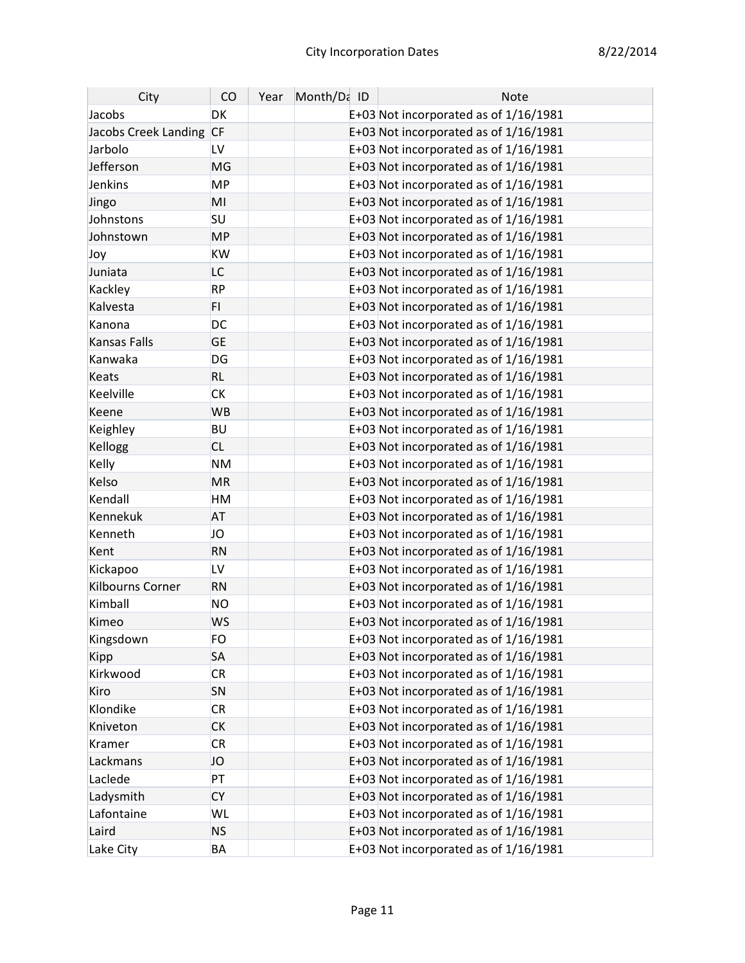| City                    | CO        | Year | Month/Da ID | Note                                    |
|-------------------------|-----------|------|-------------|-----------------------------------------|
| Jacobs                  | DK        |      |             | E+03 Not incorporated as of 1/16/1981   |
| Jacobs Creek Landing    | <b>CF</b> |      |             | E+03 Not incorporated as of 1/16/1981   |
| Jarbolo                 | LV        |      |             | E+03 Not incorporated as of 1/16/1981   |
| Jefferson               | MG        |      |             | E+03 Not incorporated as of 1/16/1981   |
| Jenkins                 | <b>MP</b> |      |             | E+03 Not incorporated as of 1/16/1981   |
| Jingo                   | MI        |      |             | E+03 Not incorporated as of 1/16/1981   |
| Johnstons               | SU        |      |             | E+03 Not incorporated as of $1/16/1981$ |
| Johnstown               | <b>MP</b> |      |             | E+03 Not incorporated as of 1/16/1981   |
| Joy                     | <b>KW</b> |      |             | E+03 Not incorporated as of 1/16/1981   |
| Juniata                 | LC        |      |             | E+03 Not incorporated as of 1/16/1981   |
| Kackley                 | <b>RP</b> |      |             | E+03 Not incorporated as of 1/16/1981   |
| Kalvesta                | FI.       |      |             | E+03 Not incorporated as of 1/16/1981   |
| Kanona                  | DC        |      |             | E+03 Not incorporated as of $1/16/1981$ |
| Kansas Falls            | <b>GE</b> |      |             | E+03 Not incorporated as of 1/16/1981   |
| Kanwaka                 | DG        |      |             | E+03 Not incorporated as of 1/16/1981   |
| Keats                   | <b>RL</b> |      |             | E+03 Not incorporated as of 1/16/1981   |
| Keelville               | <b>CK</b> |      |             | E+03 Not incorporated as of 1/16/1981   |
| Keene                   | <b>WB</b> |      |             | E+03 Not incorporated as of 1/16/1981   |
| Keighley                | <b>BU</b> |      |             | E+03 Not incorporated as of $1/16/1981$ |
| Kellogg                 | <b>CL</b> |      |             | E+03 Not incorporated as of 1/16/1981   |
| Kelly                   | <b>NM</b> |      |             | E+03 Not incorporated as of 1/16/1981   |
| Kelso                   | <b>MR</b> |      |             | E+03 Not incorporated as of 1/16/1981   |
| Kendall                 | HM        |      |             | E+03 Not incorporated as of 1/16/1981   |
| Kennekuk                | <b>AT</b> |      |             | E+03 Not incorporated as of 1/16/1981   |
| Kenneth                 | JO        |      |             | E+03 Not incorporated as of 1/16/1981   |
| Kent                    | <b>RN</b> |      |             | E+03 Not incorporated as of 1/16/1981   |
| Kickapoo                | LV        |      |             | E+03 Not incorporated as of 1/16/1981   |
| <b>Kilbourns Corner</b> | <b>RN</b> |      |             | E+03 Not incorporated as of 1/16/1981   |
| Kimball                 | <b>NO</b> |      |             | E+03 Not incorporated as of 1/16/1981   |
| Kimeo                   | <b>WS</b> |      |             | E+03 Not incorporated as of 1/16/1981   |
| Kingsdown               | <b>FO</b> |      |             | E+03 Not incorporated as of $1/16/1981$ |
| Kipp                    | <b>SA</b> |      |             | E+03 Not incorporated as of 1/16/1981   |
| Kirkwood                | <b>CR</b> |      |             | E+03 Not incorporated as of $1/16/1981$ |
| Kiro                    | SN        |      |             | E+03 Not incorporated as of 1/16/1981   |
| Klondike                | <b>CR</b> |      |             | E+03 Not incorporated as of 1/16/1981   |
| Kniveton                | <b>CK</b> |      |             | E+03 Not incorporated as of 1/16/1981   |
| Kramer                  | <b>CR</b> |      |             | E+03 Not incorporated as of 1/16/1981   |
| Lackmans                | JO        |      |             | E+03 Not incorporated as of 1/16/1981   |
| Laclede                 | PT        |      |             | E+03 Not incorporated as of $1/16/1981$ |
| Ladysmith               | <b>CY</b> |      |             | E+03 Not incorporated as of 1/16/1981   |
| Lafontaine              | WL        |      |             | E+03 Not incorporated as of 1/16/1981   |
| Laird                   | <b>NS</b> |      |             | E+03 Not incorporated as of 1/16/1981   |
| Lake City               | BA        |      |             | E+03 Not incorporated as of 1/16/1981   |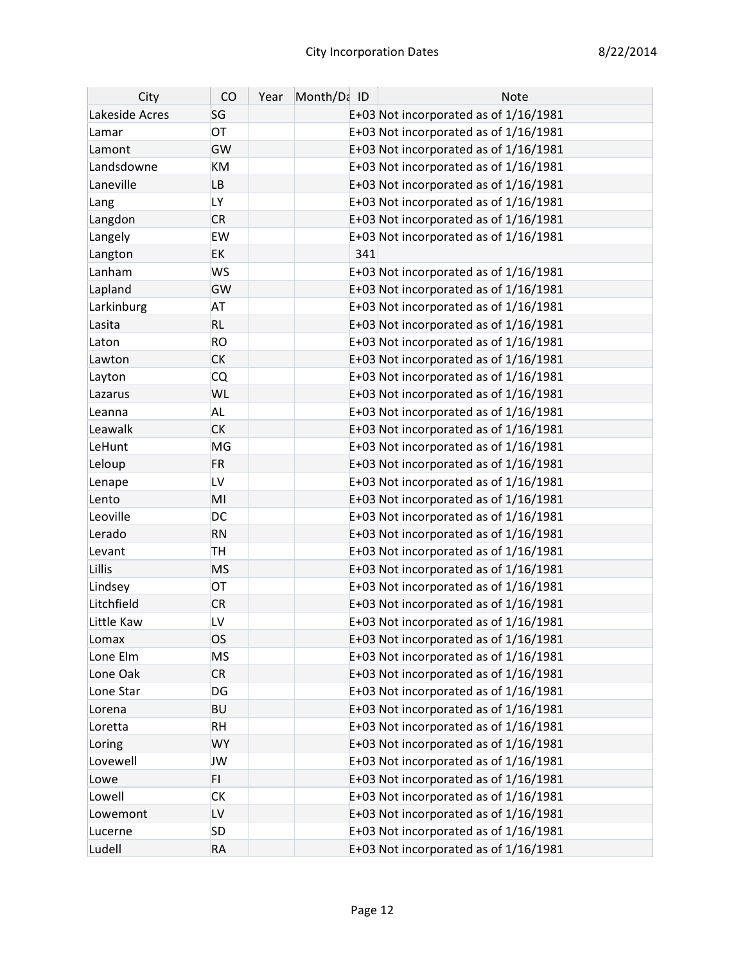| City           | CO        | Year | Month/Da ID | <b>Note</b>                             |
|----------------|-----------|------|-------------|-----------------------------------------|
| Lakeside Acres | SG        |      |             | E+03 Not incorporated as of 1/16/1981   |
| Lamar          | OT        |      |             | E+03 Not incorporated as of 1/16/1981   |
| Lamont         | GW        |      |             | E+03 Not incorporated as of 1/16/1981   |
| Landsdowne     | KM        |      |             | E+03 Not incorporated as of 1/16/1981   |
| Laneville      | LB        |      |             | E+03 Not incorporated as of 1/16/1981   |
| Lang           | <b>LY</b> |      |             | E+03 Not incorporated as of 1/16/1981   |
| Langdon        | <b>CR</b> |      |             | E+03 Not incorporated as of 1/16/1981   |
| Langely        | EW        |      |             | E+03 Not incorporated as of 1/16/1981   |
| Langton        | <b>EK</b> |      | 341         |                                         |
| Lanham         | <b>WS</b> |      |             | E+03 Not incorporated as of 1/16/1981   |
| Lapland        | GW        |      |             | E+03 Not incorporated as of 1/16/1981   |
| Larkinburg     | <b>AT</b> |      |             | E+03 Not incorporated as of 1/16/1981   |
| Lasita         | <b>RL</b> |      |             | E+03 Not incorporated as of 1/16/1981   |
| Laton          | <b>RO</b> |      |             | E+03 Not incorporated as of 1/16/1981   |
| Lawton         | <b>CK</b> |      |             | E+03 Not incorporated as of 1/16/1981   |
| Layton         | <b>CQ</b> |      |             | E+03 Not incorporated as of $1/16/1981$ |
| Lazarus        | <b>WL</b> |      |             | E+03 Not incorporated as of 1/16/1981   |
| Leanna         | <b>AL</b> |      |             | E+03 Not incorporated as of $1/16/1981$ |
| Leawalk        | <b>CK</b> |      |             | E+03 Not incorporated as of 1/16/1981   |
| LeHunt         | MG        |      |             | E+03 Not incorporated as of 1/16/1981   |
| Leloup         | <b>FR</b> |      |             | E+03 Not incorporated as of 1/16/1981   |
| Lenape         | LV        |      |             | E+03 Not incorporated as of 1/16/1981   |
| Lento          | MI        |      |             | E+03 Not incorporated as of 1/16/1981   |
| Leoville       | <b>DC</b> |      |             | E+03 Not incorporated as of 1/16/1981   |
| Lerado         | <b>RN</b> |      |             | E+03 Not incorporated as of 1/16/1981   |
| Levant         | <b>TH</b> |      |             | E+03 Not incorporated as of $1/16/1981$ |
| Lillis         | <b>MS</b> |      |             | E+03 Not incorporated as of 1/16/1981   |
| Lindsey        | OT        |      |             | E+03 Not incorporated as of 1/16/1981   |
| Litchfield     | <b>CR</b> |      |             | E+03 Not incorporated as of 1/16/1981   |
| Little Kaw     | LV        |      |             | E+03 Not incorporated as of $1/16/1981$ |
| Lomax          | <b>OS</b> |      |             | E+03 Not incorporated as of 1/16/1981   |
| Lone Elm       | <b>MS</b> |      |             | E+03 Not incorporated as of $1/16/1981$ |
| Lone Oak       | <b>CR</b> |      |             | E+03 Not incorporated as of 1/16/1981   |
| Lone Star      | DG        |      |             | E+03 Not incorporated as of $1/16/1981$ |
| Lorena         | <b>BU</b> |      |             | E+03 Not incorporated as of 1/16/1981   |
| Loretta        | <b>RH</b> |      |             | E+03 Not incorporated as of 1/16/1981   |
| Loring         | <b>WY</b> |      |             | E+03 Not incorporated as of 1/16/1981   |
| Lovewell       | JW        |      |             | E+03 Not incorporated as of $1/16/1981$ |
| Lowe           | FI.       |      |             | E+03 Not incorporated as of 1/16/1981   |
| Lowell         | <b>CK</b> |      |             | E+03 Not incorporated as of $1/16/1981$ |
| Lowemont       | LV        |      |             | E+03 Not incorporated as of 1/16/1981   |
| Lucerne        | <b>SD</b> |      |             | E+03 Not incorporated as of 1/16/1981   |
| Ludell         | <b>RA</b> |      |             | E+03 Not incorporated as of 1/16/1981   |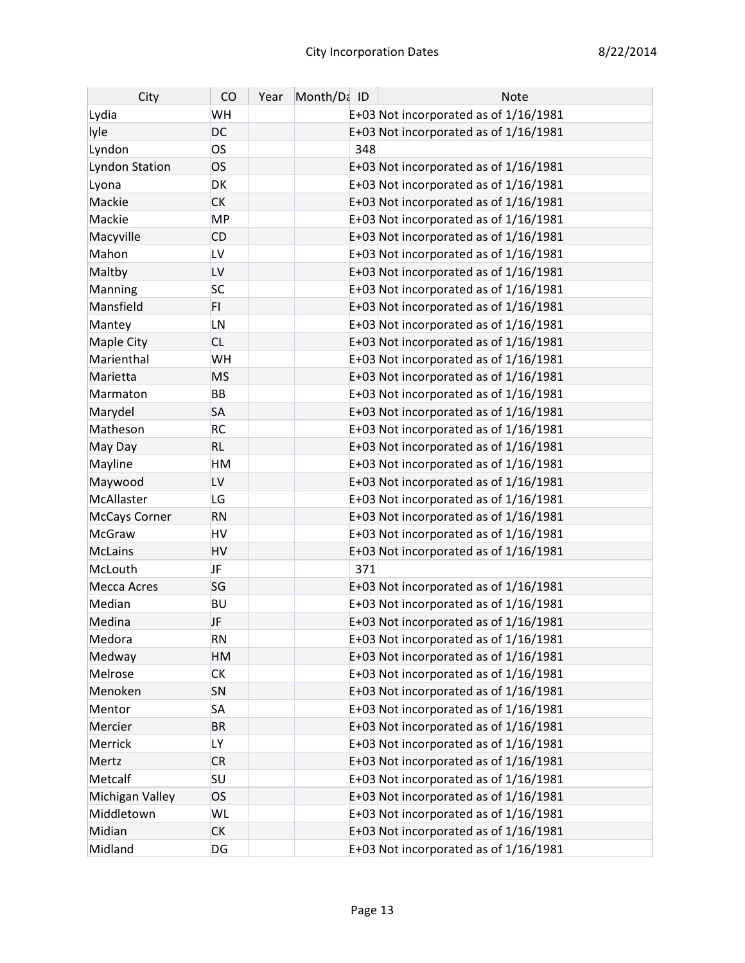| City                 | CO        | Year | Month/Da ID | <b>Note</b>                             |
|----------------------|-----------|------|-------------|-----------------------------------------|
| Lydia                | WH        |      |             | E+03 Not incorporated as of 1/16/1981   |
| lyle                 | <b>DC</b> |      |             | E+03 Not incorporated as of 1/16/1981   |
| Lyndon               | <b>OS</b> |      | 348         |                                         |
| Lyndon Station       | <b>OS</b> |      |             | E+03 Not incorporated as of 1/16/1981   |
| Lyona                | DK        |      |             | E+03 Not incorporated as of 1/16/1981   |
| Mackie               | <b>CK</b> |      |             | E+03 Not incorporated as of 1/16/1981   |
| Mackie               | <b>MP</b> |      |             | E+03 Not incorporated as of $1/16/1981$ |
| Macyville            | <b>CD</b> |      |             | E+03 Not incorporated as of 1/16/1981   |
| Mahon                | LV        |      |             | E+03 Not incorporated as of 1/16/1981   |
| Maltby               | LV        |      |             | E+03 Not incorporated as of 1/16/1981   |
| Manning              | SC        |      |             | E+03 Not incorporated as of $1/16/1981$ |
| Mansfield            | FI.       |      |             | E+03 Not incorporated as of 1/16/1981   |
| Mantey               | LN        |      |             | E+03 Not incorporated as of $1/16/1981$ |
| Maple City           | <b>CL</b> |      |             | E+03 Not incorporated as of 1/16/1981   |
| Marienthal           | WH        |      |             | E+03 Not incorporated as of $1/16/1981$ |
| Marietta             | <b>MS</b> |      |             | E+03 Not incorporated as of 1/16/1981   |
| Marmaton             | BB        |      |             | E+03 Not incorporated as of 1/16/1981   |
| Marydel              | <b>SA</b> |      |             | E+03 Not incorporated as of 1/16/1981   |
| Matheson             | <b>RC</b> |      |             | E+03 Not incorporated as of 1/16/1981   |
| May Day              | <b>RL</b> |      |             | E+03 Not incorporated as of 1/16/1981   |
| Mayline              | HM        |      |             | E+03 Not incorporated as of 1/16/1981   |
| Maywood              | LV        |      |             | E+03 Not incorporated as of 1/16/1981   |
| McAllaster           | LG        |      |             | E+03 Not incorporated as of 1/16/1981   |
| <b>McCays Corner</b> | <b>RN</b> |      |             | E+03 Not incorporated as of 1/16/1981   |
| McGraw               | HV        |      |             | E+03 Not incorporated as of 1/16/1981   |
| <b>McLains</b>       | HV        |      |             | E+03 Not incorporated as of 1/16/1981   |
| McLouth              | JF        |      | 371         |                                         |
| Mecca Acres          | SG        |      |             | E+03 Not incorporated as of 1/16/1981   |
| Median               | BU        |      |             | E+03 Not incorporated as of 1/16/1981   |
| Medina               | JF        |      |             | E+03 Not incorporated as of 1/16/1981   |
| Medora               | <b>RN</b> |      |             | E+03 Not incorporated as of 1/16/1981   |
| Medway               | HM        |      |             | E+03 Not incorporated as of 1/16/1981   |
| Melrose              | СK        |      |             | E+03 Not incorporated as of 1/16/1981   |
| Menoken              | SN        |      |             | E+03 Not incorporated as of $1/16/1981$ |
| Mentor               | SA        |      |             | E+03 Not incorporated as of $1/16/1981$ |
| Mercier              | <b>BR</b> |      |             | E+03 Not incorporated as of 1/16/1981   |
| Merrick              | <b>LY</b> |      |             | E+03 Not incorporated as of $1/16/1981$ |
| Mertz                | <b>CR</b> |      |             | E+03 Not incorporated as of 1/16/1981   |
| Metcalf              | SU        |      |             | E+03 Not incorporated as of 1/16/1981   |
| Michigan Valley      | <b>OS</b> |      |             | E+03 Not incorporated as of 1/16/1981   |
| Middletown           | WL        |      |             | E+03 Not incorporated as of 1/16/1981   |
| Midian               | <b>CK</b> |      |             | E+03 Not incorporated as of 1/16/1981   |
| Midland              | DG        |      |             | E+03 Not incorporated as of 1/16/1981   |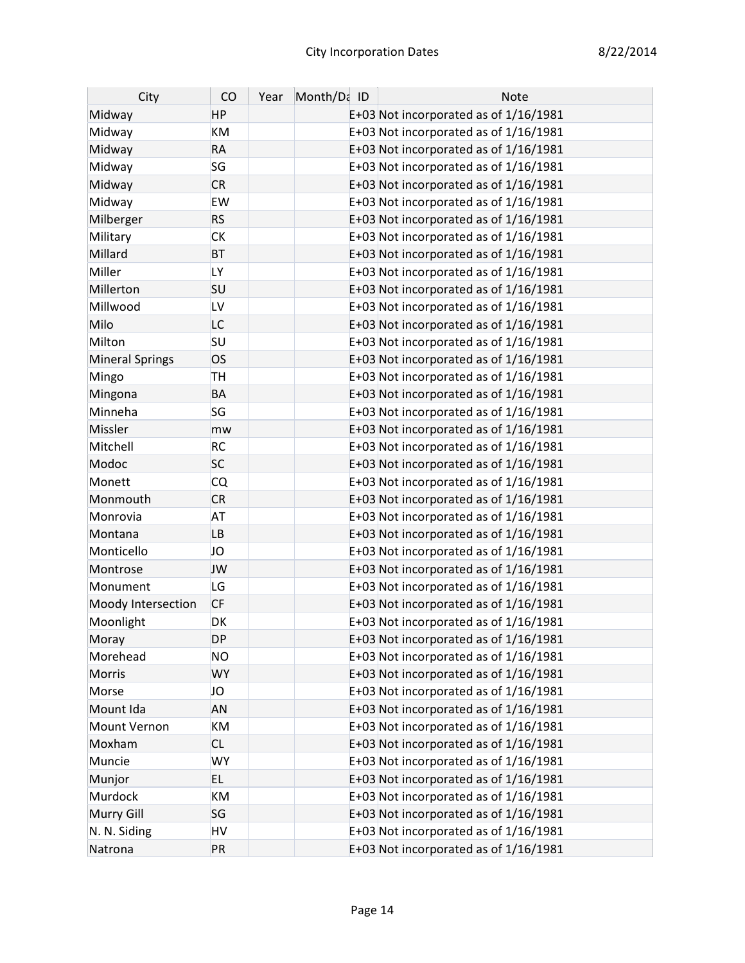| City                   | CO        | Year | Month/Da ID | <b>Note</b>                             |
|------------------------|-----------|------|-------------|-----------------------------------------|
| Midway                 | HP        |      |             | E+03 Not incorporated as of 1/16/1981   |
| Midway                 | KM        |      |             | E+03 Not incorporated as of $1/16/1981$ |
| Midway                 | <b>RA</b> |      |             | E+03 Not incorporated as of 1/16/1981   |
| Midway                 | SG        |      |             | E+03 Not incorporated as of 1/16/1981   |
| Midway                 | <b>CR</b> |      |             | E+03 Not incorporated as of 1/16/1981   |
| Midway                 | EW        |      |             | E+03 Not incorporated as of $1/16/1981$ |
| Milberger              | <b>RS</b> |      |             | E+03 Not incorporated as of 1/16/1981   |
| Military               | <b>CK</b> |      |             | E+03 Not incorporated as of 1/16/1981   |
| Millard                | <b>BT</b> |      |             | E+03 Not incorporated as of 1/16/1981   |
| Miller                 | LY        |      |             | E+03 Not incorporated as of 1/16/1981   |
| Millerton              | SU        |      |             | E+03 Not incorporated as of 1/16/1981   |
| Millwood               | LV        |      |             | E+03 Not incorporated as of 1/16/1981   |
| Milo                   | LC        |      |             | E+03 Not incorporated as of 1/16/1981   |
| Milton                 | SU        |      |             | E+03 Not incorporated as of 1/16/1981   |
| <b>Mineral Springs</b> | OS        |      |             | E+03 Not incorporated as of 1/16/1981   |
| Mingo                  | TH        |      |             | E+03 Not incorporated as of 1/16/1981   |
| Mingona                | BA        |      |             | E+03 Not incorporated as of 1/16/1981   |
| Minneha                | SG        |      |             | E+03 Not incorporated as of 1/16/1981   |
| Missler                | mw        |      |             | E+03 Not incorporated as of 1/16/1981   |
| Mitchell               | <b>RC</b> |      |             | E+03 Not incorporated as of $1/16/1981$ |
| Modoc                  | <b>SC</b> |      |             | E+03 Not incorporated as of 1/16/1981   |
| Monett                 | CQ        |      |             | E+03 Not incorporated as of 1/16/1981   |
| Monmouth               | <b>CR</b> |      |             | E+03 Not incorporated as of 1/16/1981   |
| Monrovia               | <b>AT</b> |      |             | E+03 Not incorporated as of 1/16/1981   |
| Montana                | LB        |      |             | E+03 Not incorporated as of 1/16/1981   |
| Monticello             | JO        |      |             | E+03 Not incorporated as of $1/16/1981$ |
| Montrose               | <b>JW</b> |      |             | E+03 Not incorporated as of 1/16/1981   |
| Monument               | LG        |      |             | E+03 Not incorporated as of 1/16/1981   |
| Moody Intersection     | <b>CF</b> |      |             | E+03 Not incorporated as of 1/16/1981   |
| Moonlight              | DK        |      |             | E+03 Not incorporated as of 1/16/1981   |
| Moray                  | <b>DP</b> |      |             | E+03 Not incorporated as of 1/16/1981   |
| Morehead               | <b>NO</b> |      |             | E+03 Not incorporated as of $1/16/1981$ |
| Morris                 | <b>WY</b> |      |             | E+03 Not incorporated as of 1/16/1981   |
| Morse                  | JO        |      |             | E+03 Not incorporated as of 1/16/1981   |
| Mount Ida              | <b>AN</b> |      |             | E+03 Not incorporated as of 1/16/1981   |
| Mount Vernon           | KM        |      |             | E+03 Not incorporated as of 1/16/1981   |
| Moxham                 | <b>CL</b> |      |             | E+03 Not incorporated as of 1/16/1981   |
| Muncie                 | <b>WY</b> |      |             | E+03 Not incorporated as of 1/16/1981   |
| Munjor                 | EL.       |      |             | E+03 Not incorporated as of 1/16/1981   |
| Murdock                | KM        |      |             | E+03 Not incorporated as of 1/16/1981   |
| Murry Gill             | SG        |      |             | E+03 Not incorporated as of 1/16/1981   |
| N. N. Siding           | HV        |      |             | E+03 Not incorporated as of 1/16/1981   |
| Natrona                | PR        |      |             | E+03 Not incorporated as of 1/16/1981   |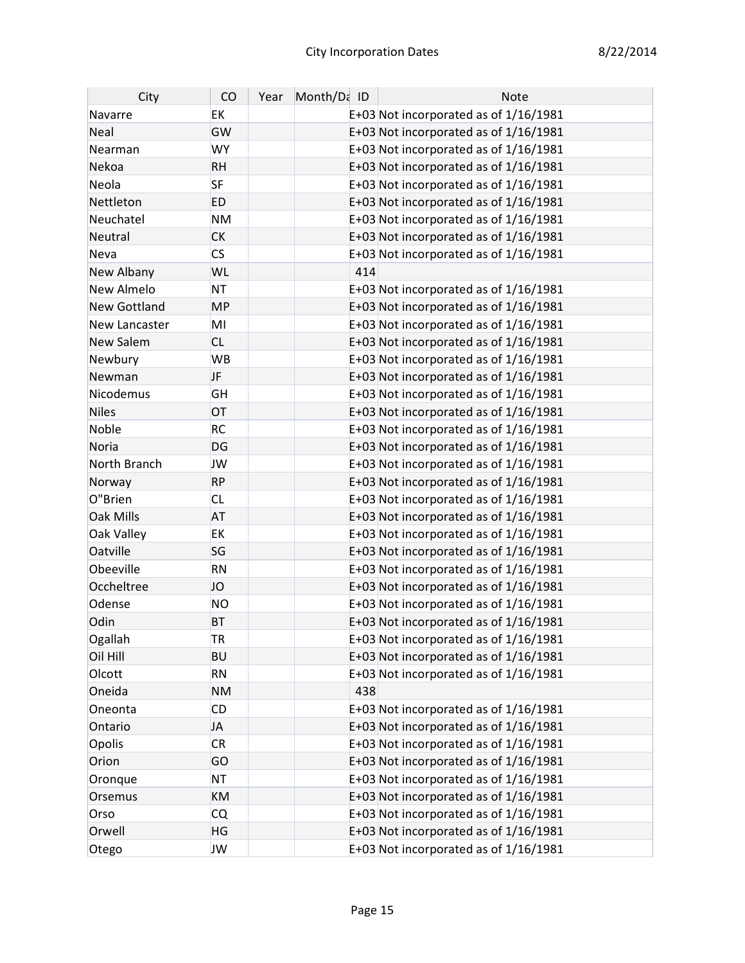| City                | CO        | Year | Month/Da ID | <b>Note</b>                             |
|---------------------|-----------|------|-------------|-----------------------------------------|
| Navarre             | <b>EK</b> |      |             | E+03 Not incorporated as of 1/16/1981   |
| Neal                | GW        |      |             | E+03 Not incorporated as of 1/16/1981   |
| Nearman             | <b>WY</b> |      |             | E+03 Not incorporated as of $1/16/1981$ |
| Nekoa               | <b>RH</b> |      |             | E+03 Not incorporated as of 1/16/1981   |
| Neola               | <b>SF</b> |      |             | E+03 Not incorporated as of 1/16/1981   |
| Nettleton           | <b>ED</b> |      |             | E+03 Not incorporated as of 1/16/1981   |
| Neuchatel           | <b>NM</b> |      |             | E+03 Not incorporated as of $1/16/1981$ |
| Neutral             | <b>CK</b> |      |             | E+03 Not incorporated as of 1/16/1981   |
| Neva                | <b>CS</b> |      |             | E+03 Not incorporated as of 1/16/1981   |
| New Albany          | <b>WL</b> |      | 414         |                                         |
| New Almelo          | <b>NT</b> |      |             | E+03 Not incorporated as of $1/16/1981$ |
| <b>New Gottland</b> | <b>MP</b> |      |             | E+03 Not incorporated as of 1/16/1981   |
| New Lancaster       | MI        |      |             | E+03 Not incorporated as of 1/16/1981   |
| New Salem           | <b>CL</b> |      |             | E+03 Not incorporated as of 1/16/1981   |
| Newbury             | <b>WB</b> |      |             | E+03 Not incorporated as of $1/16/1981$ |
| Newman              | JF        |      |             | E+03 Not incorporated as of 1/16/1981   |
| Nicodemus           | <b>GH</b> |      |             | E+03 Not incorporated as of 1/16/1981   |
| <b>Niles</b>        | OT        |      |             | E+03 Not incorporated as of 1/16/1981   |
| Noble               | <b>RC</b> |      |             | E+03 Not incorporated as of $1/16/1981$ |
| Noria               | <b>DG</b> |      |             | E+03 Not incorporated as of 1/16/1981   |
| North Branch        | JW        |      |             | E+03 Not incorporated as of 1/16/1981   |
| Norway              | <b>RP</b> |      |             | E+03 Not incorporated as of 1/16/1981   |
| O"Brien             | <b>CL</b> |      |             | E+03 Not incorporated as of $1/16/1981$ |
| <b>Oak Mills</b>    | <b>AT</b> |      |             | E+03 Not incorporated as of 1/16/1981   |
| Oak Valley          | <b>EK</b> |      |             | E+03 Not incorporated as of 1/16/1981   |
| Oatville            | SG        |      |             | E+03 Not incorporated as of 1/16/1981   |
| Obeeville           | <b>RN</b> |      |             | E+03 Not incorporated as of 1/16/1981   |
| Occheltree          | JO        |      |             | E+03 Not incorporated as of 1/16/1981   |
| Odense              | <b>NO</b> |      |             | E+03 Not incorporated as of $1/16/1981$ |
| Odin                | <b>BT</b> |      |             | E+03 Not incorporated as of 1/16/1981   |
| Ogallah             | <b>TR</b> |      |             | E+03 Not incorporated as of 1/16/1981   |
| Oil Hill            | <b>BU</b> |      |             | E+03 Not incorporated as of 1/16/1981   |
| Olcott              | <b>RN</b> |      |             | E+03 Not incorporated as of 1/16/1981   |
| Oneida              | <b>NM</b> |      | 438         |                                         |
| Oneonta             | <b>CD</b> |      |             | E+03 Not incorporated as of $1/16/1981$ |
| Ontario             | JA        |      |             | E+03 Not incorporated as of 1/16/1981   |
| Opolis              | <b>CR</b> |      |             | E+03 Not incorporated as of 1/16/1981   |
| Orion               | GO        |      |             | E+03 Not incorporated as of 1/16/1981   |
| Oronque             | <b>NT</b> |      |             | E+03 Not incorporated as of 1/16/1981   |
| Orsemus             | KM        |      |             | E+03 Not incorporated as of 1/16/1981   |
| Orso                | <b>CQ</b> |      |             | E+03 Not incorporated as of 1/16/1981   |
| Orwell              | <b>HG</b> |      |             | E+03 Not incorporated as of 1/16/1981   |
| Otego               | JW        |      |             | E+03 Not incorporated as of 1/16/1981   |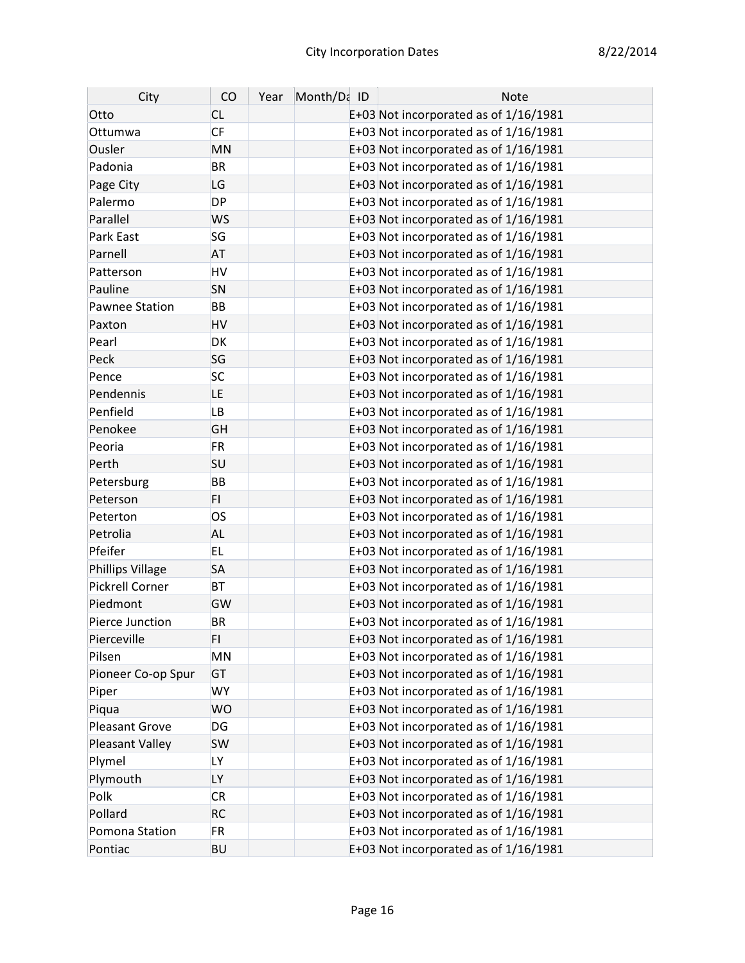| City               | CO        | Year | Month/Da ID | <b>Note</b>                             |
|--------------------|-----------|------|-------------|-----------------------------------------|
| Otto               | <b>CL</b> |      |             | E+03 Not incorporated as of 1/16/1981   |
| Ottumwa            | <b>CF</b> |      |             | E+03 Not incorporated as of $1/16/1981$ |
| Ousler             | <b>MN</b> |      |             | E+03 Not incorporated as of 1/16/1981   |
| Padonia            | <b>BR</b> |      |             | E+03 Not incorporated as of $1/16/1981$ |
| Page City          | LG        |      |             | E+03 Not incorporated as of 1/16/1981   |
| Palermo            | <b>DP</b> |      |             | E+03 Not incorporated as of $1/16/1981$ |
| Parallel           | <b>WS</b> |      |             | E+03 Not incorporated as of $1/16/1981$ |
| Park East          | <b>SG</b> |      |             | E+03 Not incorporated as of 1/16/1981   |
| Parnell            | <b>AT</b> |      |             | E+03 Not incorporated as of 1/16/1981   |
| Patterson          | <b>HV</b> |      |             | E+03 Not incorporated as of $1/16/1981$ |
| Pauline            | SN        |      |             | E+03 Not incorporated as of 1/16/1981   |
| Pawnee Station     | <b>BB</b> |      |             | E+03 Not incorporated as of $1/16/1981$ |
| Paxton             | <b>HV</b> |      |             | E+03 Not incorporated as of 1/16/1981   |
| Pearl              | <b>DK</b> |      |             | E+03 Not incorporated as of $1/16/1981$ |
| Peck               | SG        |      |             | E+03 Not incorporated as of $1/16/1981$ |
| Pence              | <b>SC</b> |      |             | E+03 Not incorporated as of 1/16/1981   |
| Pendennis          | <b>LE</b> |      |             | E+03 Not incorporated as of $1/16/1981$ |
| Penfield           | <b>LB</b> |      |             | E+03 Not incorporated as of $1/16/1981$ |
| Penokee            | <b>GH</b> |      |             | E+03 Not incorporated as of 1/16/1981   |
| Peoria             | <b>FR</b> |      |             | E+03 Not incorporated as of $1/16/1981$ |
| Perth              | SU        |      |             | E+03 Not incorporated as of 1/16/1981   |
| Petersburg         | <b>BB</b> |      |             | E+03 Not incorporated as of 1/16/1981   |
| Peterson           | FI.       |      |             | E+03 Not incorporated as of 1/16/1981   |
| Peterton           | <b>OS</b> |      |             | E+03 Not incorporated as of 1/16/1981   |
| Petrolia           | <b>AL</b> |      |             | E+03 Not incorporated as of 1/16/1981   |
| Pfeifer            | <b>EL</b> |      |             | E+03 Not incorporated as of $1/16/1981$ |
| Phillips Village   | <b>SA</b> |      |             | E+03 Not incorporated as of 1/16/1981   |
| Pickrell Corner    | <b>BT</b> |      |             | E+03 Not incorporated as of 1/16/1981   |
| Piedmont           | GW        |      |             | E+03 Not incorporated as of 1/16/1981   |
| Pierce Junction    | <b>BR</b> |      |             | E+03 Not incorporated as of $1/16/1981$ |
| Pierceville        | FI.       |      |             | E+03 Not incorporated as of 1/16/1981   |
| Pilsen             | <b>MN</b> |      |             | E+03 Not incorporated as of 1/16/1981   |
| Pioneer Co-op Spur | <b>GT</b> |      |             | E+03 Not incorporated as of 1/16/1981   |
| Piper              | <b>WY</b> |      |             | E+03 Not incorporated as of 1/16/1981   |
| Piqua              | <b>WO</b> |      |             | E+03 Not incorporated as of 1/16/1981   |
| Pleasant Grove     | DG        |      |             | E+03 Not incorporated as of $1/16/1981$ |
| Pleasant Valley    | <b>SW</b> |      |             | E+03 Not incorporated as of $1/16/1981$ |
| Plymel             | LY.       |      |             | E+03 Not incorporated as of $1/16/1981$ |
| Plymouth           | <b>LY</b> |      |             | E+03 Not incorporated as of 1/16/1981   |
| Polk               | <b>CR</b> |      |             | E+03 Not incorporated as of 1/16/1981   |
| Pollard            | <b>RC</b> |      |             | E+03 Not incorporated as of 1/16/1981   |
| Pomona Station     | <b>FR</b> |      |             | E+03 Not incorporated as of 1/16/1981   |
| Pontiac            | <b>BU</b> |      |             | E+03 Not incorporated as of 1/16/1981   |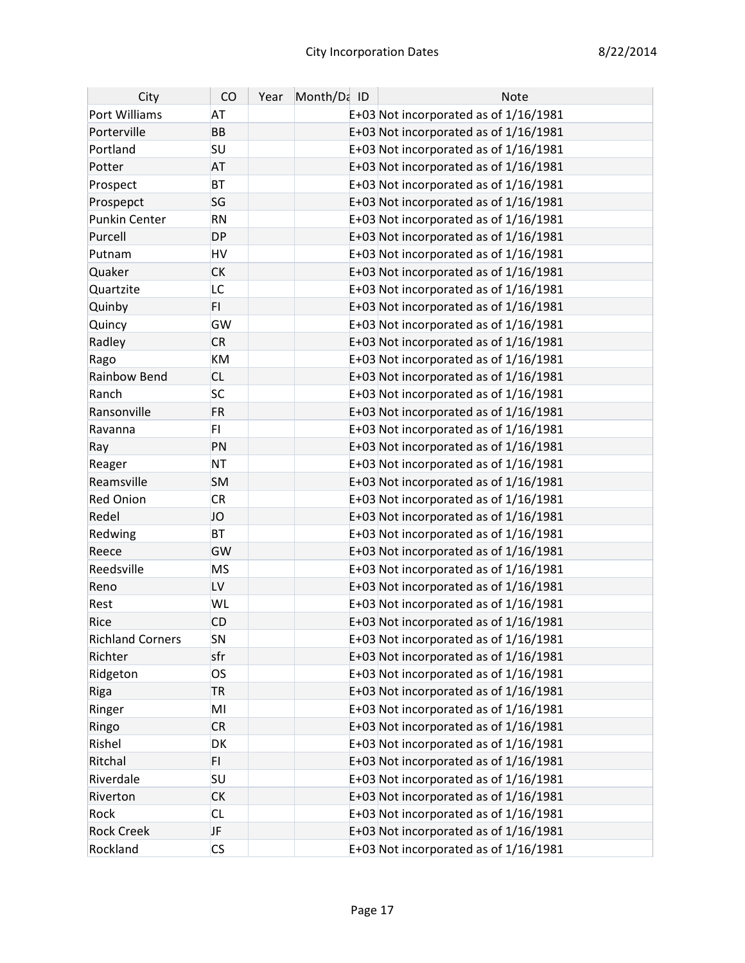| City                    | CO                       | Year | Month/Da ID | Note                                    |
|-------------------------|--------------------------|------|-------------|-----------------------------------------|
| Port Williams           | AT                       |      |             | E+03 Not incorporated as of 1/16/1981   |
| Porterville             | <b>BB</b>                |      |             | E+03 Not incorporated as of 1/16/1981   |
| Portland                | SU                       |      |             | E+03 Not incorporated as of 1/16/1981   |
| Potter                  | <b>AT</b>                |      |             | E+03 Not incorporated as of 1/16/1981   |
| Prospect                | <b>BT</b>                |      |             | E+03 Not incorporated as of 1/16/1981   |
| Prospepct               | SG                       |      |             | E+03 Not incorporated as of 1/16/1981   |
| Punkin Center           | <b>RN</b>                |      |             | E+03 Not incorporated as of $1/16/1981$ |
| Purcell                 | <b>DP</b>                |      |             | E+03 Not incorporated as of 1/16/1981   |
| Putnam                  | HV                       |      |             | E+03 Not incorporated as of 1/16/1981   |
| Quaker                  | <b>CK</b>                |      |             | E+03 Not incorporated as of 1/16/1981   |
| Quartzite               | LC                       |      |             | E+03 Not incorporated as of 1/16/1981   |
| Quinby                  | FI.                      |      |             | E+03 Not incorporated as of 1/16/1981   |
| Quincy                  | GW                       |      |             | E+03 Not incorporated as of 1/16/1981   |
| Radley                  | <b>CR</b>                |      |             | E+03 Not incorporated as of 1/16/1981   |
| Rago                    | KM                       |      |             | E+03 Not incorporated as of 1/16/1981   |
| Rainbow Bend            | <b>CL</b>                |      |             | E+03 Not incorporated as of 1/16/1981   |
| Ranch                   | <b>SC</b>                |      |             | E+03 Not incorporated as of $1/16/1981$ |
| Ransonville             | <b>FR</b>                |      |             | E+03 Not incorporated as of 1/16/1981   |
| Ravanna                 | FI.                      |      |             | E+03 Not incorporated as of 1/16/1981   |
| Ray                     | PN                       |      |             | E+03 Not incorporated as of 1/16/1981   |
| Reager                  | <b>NT</b>                |      |             | E+03 Not incorporated as of 1/16/1981   |
| Reamsville              | <b>SM</b>                |      |             | E+03 Not incorporated as of 1/16/1981   |
| <b>Red Onion</b>        | <b>CR</b>                |      |             | E+03 Not incorporated as of 1/16/1981   |
| Redel                   | JO                       |      |             | E+03 Not incorporated as of 1/16/1981   |
| Redwing                 | <b>BT</b>                |      |             | E+03 Not incorporated as of 1/16/1981   |
| Reece                   | GW                       |      |             | E+03 Not incorporated as of 1/16/1981   |
| Reedsville              | <b>MS</b>                |      |             | E+03 Not incorporated as of $1/16/1981$ |
| Reno                    | LV                       |      |             | E+03 Not incorporated as of 1/16/1981   |
| Rest                    | WL                       |      |             | E+03 Not incorporated as of 1/16/1981   |
| Rice                    | <b>CD</b>                |      |             | E+03 Not incorporated as of 1/16/1981   |
| <b>Richland Corners</b> | SN                       |      |             | E+03 Not incorporated as of 1/16/1981   |
| Richter                 | sfr                      |      |             | E+03 Not incorporated as of 1/16/1981   |
| Ridgeton                | <b>OS</b>                |      |             | E+03 Not incorporated as of $1/16/1981$ |
| Riga                    | <b>TR</b>                |      |             | E+03 Not incorporated as of 1/16/1981   |
| Ringer                  | MI                       |      |             | E+03 Not incorporated as of 1/16/1981   |
| Ringo                   | <b>CR</b>                |      |             | E+03 Not incorporated as of 1/16/1981   |
| Rishel                  | DK                       |      |             | E+03 Not incorporated as of 1/16/1981   |
| Ritchal                 | FI.                      |      |             | E+03 Not incorporated as of 1/16/1981   |
| Riverdale               | SU                       |      |             | E+03 Not incorporated as of 1/16/1981   |
| Riverton                | <b>CK</b>                |      |             | E+03 Not incorporated as of 1/16/1981   |
| Rock                    | <b>CL</b>                |      |             | E+03 Not incorporated as of 1/16/1981   |
| <b>Rock Creek</b>       | JF                       |      |             | E+03 Not incorporated as of 1/16/1981   |
| Rockland                | $\mathsf{CS}\phantom{0}$ |      |             | E+03 Not incorporated as of 1/16/1981   |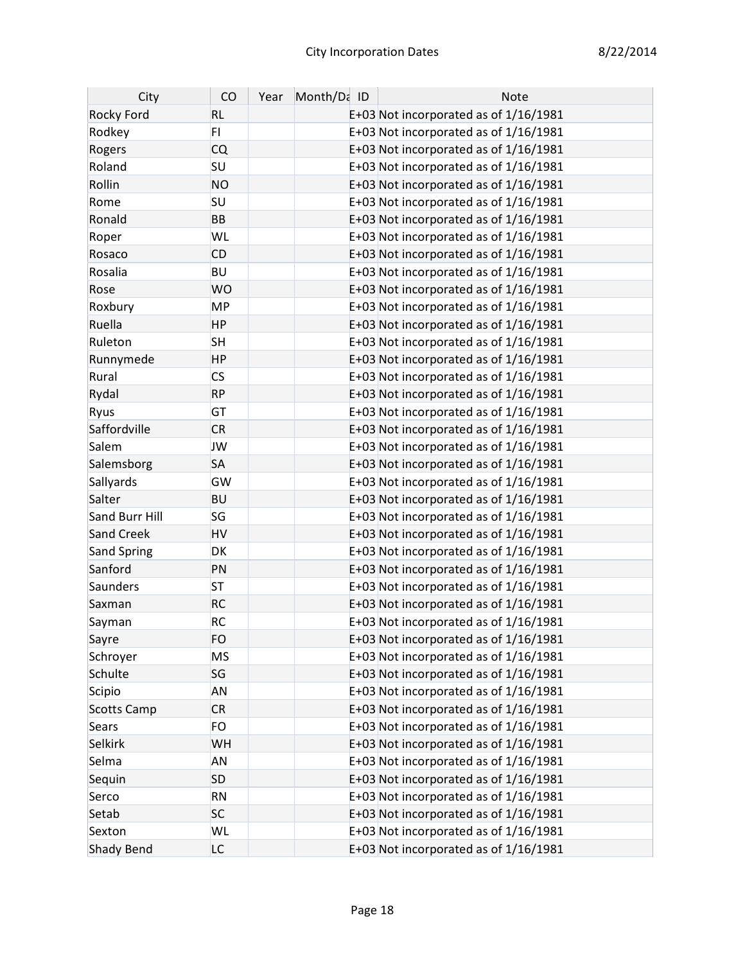| City               | CO             | Year | Month/Da ID | <b>Note</b>                             |
|--------------------|----------------|------|-------------|-----------------------------------------|
| <b>Rocky Ford</b>  | <b>RL</b>      |      |             | E+03 Not incorporated as of 1/16/1981   |
| Rodkey             | F <sub>1</sub> |      |             | E+03 Not incorporated as of 1/16/1981   |
| Rogers             | <b>CQ</b>      |      |             | E+03 Not incorporated as of 1/16/1981   |
| Roland             | SU             |      |             | E+03 Not incorporated as of $1/16/1981$ |
| Rollin             | <b>NO</b>      |      |             | E+03 Not incorporated as of 1/16/1981   |
| Rome               | SU             |      |             | E+03 Not incorporated as of 1/16/1981   |
| Ronald             | <b>BB</b>      |      |             | E+03 Not incorporated as of 1/16/1981   |
| Roper              | WL             |      |             | E+03 Not incorporated as of $1/16/1981$ |
| Rosaco             | <b>CD</b>      |      |             | E+03 Not incorporated as of 1/16/1981   |
| Rosalia            | <b>BU</b>      |      |             | E+03 Not incorporated as of 1/16/1981   |
| Rose               | <b>WO</b>      |      |             | E+03 Not incorporated as of 1/16/1981   |
| Roxbury            | <b>MP</b>      |      |             | E+03 Not incorporated as of 1/16/1981   |
| Ruella             | <b>HP</b>      |      |             | E+03 Not incorporated as of 1/16/1981   |
| Ruleton            | <b>SH</b>      |      |             | E+03 Not incorporated as of 1/16/1981   |
| Runnymede          | <b>HP</b>      |      |             | E+03 Not incorporated as of 1/16/1981   |
| Rural              | <b>CS</b>      |      |             | E+03 Not incorporated as of 1/16/1981   |
| Rydal              | <b>RP</b>      |      |             | E+03 Not incorporated as of 1/16/1981   |
| Ryus               | GT             |      |             | E+03 Not incorporated as of 1/16/1981   |
| Saffordville       | <b>CR</b>      |      |             | E+03 Not incorporated as of 1/16/1981   |
| Salem              | <b>JW</b>      |      |             | E+03 Not incorporated as of 1/16/1981   |
| Salemsborg         | <b>SA</b>      |      |             | E+03 Not incorporated as of 1/16/1981   |
| Sallyards          | GW             |      |             | E+03 Not incorporated as of 1/16/1981   |
| Salter             | <b>BU</b>      |      |             | E+03 Not incorporated as of 1/16/1981   |
| Sand Burr Hill     | SG             |      |             | E+03 Not incorporated as of 1/16/1981   |
| <b>Sand Creek</b>  | HV             |      |             | E+03 Not incorporated as of 1/16/1981   |
| Sand Spring        | DK             |      |             | E+03 Not incorporated as of 1/16/1981   |
| Sanford            | PN             |      |             | E+03 Not incorporated as of 1/16/1981   |
| Saunders           | <b>ST</b>      |      |             | E+03 Not incorporated as of 1/16/1981   |
| Saxman             | <b>RC</b>      |      |             | E+03 Not incorporated as of 1/16/1981   |
| Sayman             | <b>RC</b>      |      |             | E+03 Not incorporated as of 1/16/1981   |
| Sayre              | <b>FO</b>      |      |             | E+03 Not incorporated as of 1/16/1981   |
| Schroyer           | <b>MS</b>      |      |             | E+03 Not incorporated as of $1/16/1981$ |
| Schulte            | SG             |      |             | E+03 Not incorporated as of $1/16/1981$ |
| Scipio             | <b>AN</b>      |      |             | E+03 Not incorporated as of 1/16/1981   |
| <b>Scotts Camp</b> | <b>CR</b>      |      |             | E+03 Not incorporated as of 1/16/1981   |
| Sears              | FO             |      |             | E+03 Not incorporated as of 1/16/1981   |
| Selkirk            | WH             |      |             | E+03 Not incorporated as of 1/16/1981   |
| Selma              | <b>AN</b>      |      |             | E+03 Not incorporated as of 1/16/1981   |
| Sequin             | <b>SD</b>      |      |             | E+03 Not incorporated as of $1/16/1981$ |
| Serco              | <b>RN</b>      |      |             | E+03 Not incorporated as of 1/16/1981   |
| Setab              | <b>SC</b>      |      |             | E+03 Not incorporated as of 1/16/1981   |
| Sexton             | WL             |      |             | E+03 Not incorporated as of 1/16/1981   |
| <b>Shady Bend</b>  | LC             |      |             | E+03 Not incorporated as of 1/16/1981   |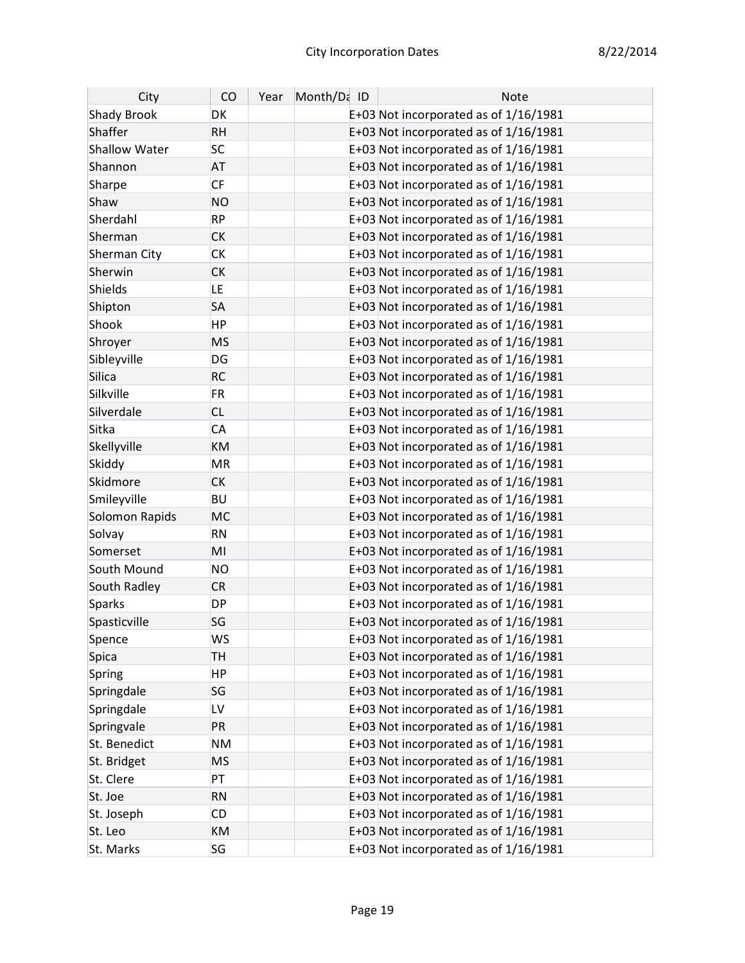| City           | CO        | Year | Month/Da ID | Note                                    |
|----------------|-----------|------|-------------|-----------------------------------------|
| Shady Brook    | DK        |      |             | E+03 Not incorporated as of 1/16/1981   |
| Shaffer        | <b>RH</b> |      |             | E+03 Not incorporated as of 1/16/1981   |
| Shallow Water  | <b>SC</b> |      |             | E+03 Not incorporated as of 1/16/1981   |
| Shannon        | <b>AT</b> |      |             | E+03 Not incorporated as of 1/16/1981   |
| Sharpe         | <b>CF</b> |      |             | E+03 Not incorporated as of 1/16/1981   |
| Shaw           | <b>NO</b> |      |             | E+03 Not incorporated as of 1/16/1981   |
| Sherdahl       | <b>RP</b> |      |             | E+03 Not incorporated as of 1/16/1981   |
| Sherman        | <b>CK</b> |      |             | E+03 Not incorporated as of 1/16/1981   |
| Sherman City   | <b>CK</b> |      |             | E+03 Not incorporated as of 1/16/1981   |
| Sherwin        | <b>CK</b> |      |             | E+03 Not incorporated as of 1/16/1981   |
| Shields        | LE        |      |             | E+03 Not incorporated as of 1/16/1981   |
| Shipton        | <b>SA</b> |      |             | E+03 Not incorporated as of 1/16/1981   |
| Shook          | <b>HP</b> |      |             | E+03 Not incorporated as of $1/16/1981$ |
| Shroyer        | <b>MS</b> |      |             | E+03 Not incorporated as of 1/16/1981   |
| Sibleyville    | DG        |      |             | E+03 Not incorporated as of 1/16/1981   |
| Silica         | <b>RC</b> |      |             | E+03 Not incorporated as of 1/16/1981   |
| Silkville      | <b>FR</b> |      |             | E+03 Not incorporated as of 1/16/1981   |
| Silverdale     | <b>CL</b> |      |             | E+03 Not incorporated as of 1/16/1981   |
| Sitka          | <b>CA</b> |      |             | E+03 Not incorporated as of 1/16/1981   |
| Skellyville    | <b>KM</b> |      |             | E+03 Not incorporated as of 1/16/1981   |
| Skiddy         | <b>MR</b> |      |             | E+03 Not incorporated as of 1/16/1981   |
| Skidmore       | <b>CK</b> |      |             | E+03 Not incorporated as of 1/16/1981   |
| Smileyville    | <b>BU</b> |      |             | E+03 Not incorporated as of 1/16/1981   |
| Solomon Rapids | MC        |      |             | E+03 Not incorporated as of 1/16/1981   |
| Solvay         | <b>RN</b> |      |             | E+03 Not incorporated as of 1/16/1981   |
| Somerset       | MI        |      |             | E+03 Not incorporated as of 1/16/1981   |
| South Mound    | <b>NO</b> |      |             | E+03 Not incorporated as of $1/16/1981$ |
| South Radley   | <b>CR</b> |      |             | E+03 Not incorporated as of 1/16/1981   |
| Sparks         | <b>DP</b> |      |             | E+03 Not incorporated as of 1/16/1981   |
| Spasticville   | SG        |      |             | E+03 Not incorporated as of 1/16/1981   |
| Spence         | <b>WS</b> |      |             | E+03 Not incorporated as of $1/16/1981$ |
| Spica          | <b>TH</b> |      |             | E+03 Not incorporated as of 1/16/1981   |
| Spring         | <b>HP</b> |      |             | E+03 Not incorporated as of 1/16/1981   |
| Springdale     | SG        |      |             | E+03 Not incorporated as of 1/16/1981   |
| Springdale     | LV        |      |             | E+03 Not incorporated as of 1/16/1981   |
| Springvale     | PR        |      |             | E+03 Not incorporated as of 1/16/1981   |
| St. Benedict   | <b>NM</b> |      |             | E+03 Not incorporated as of $1/16/1981$ |
| St. Bridget    | <b>MS</b> |      |             | E+03 Not incorporated as of 1/16/1981   |
| St. Clere      | PT        |      |             | E+03 Not incorporated as of $1/16/1981$ |
| St. Joe        | <b>RN</b> |      |             | E+03 Not incorporated as of 1/16/1981   |
| St. Joseph     | <b>CD</b> |      |             | E+03 Not incorporated as of 1/16/1981   |
| St. Leo        | <b>KM</b> |      |             | E+03 Not incorporated as of 1/16/1981   |
| St. Marks      | SG        |      |             | E+03 Not incorporated as of 1/16/1981   |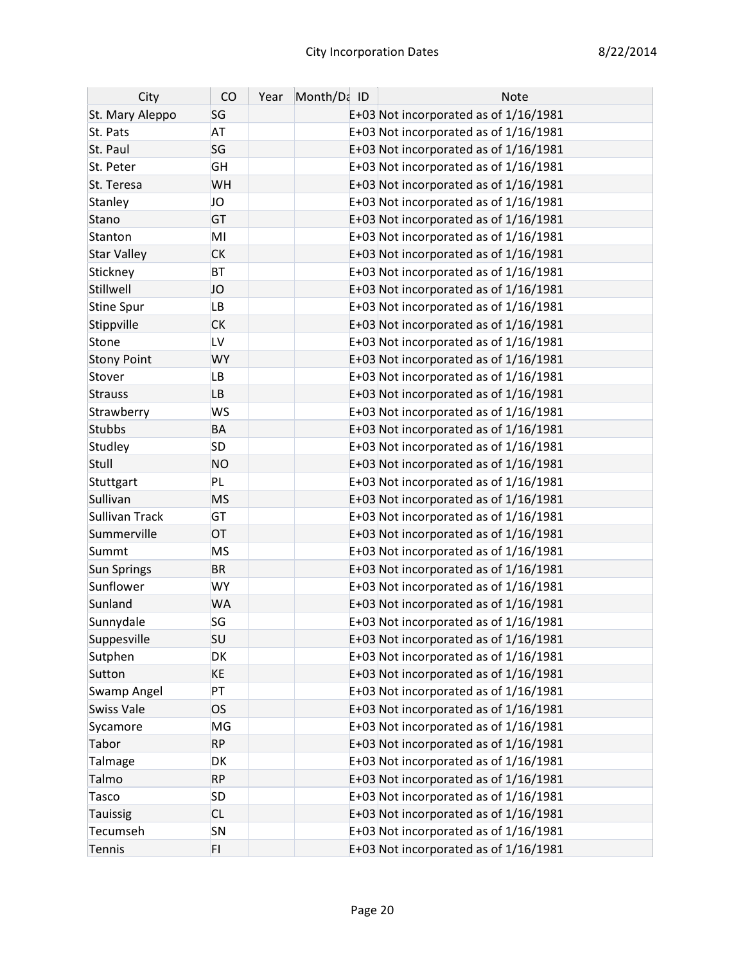| City               | CO        | Year | Month/Da ID | <b>Note</b>                             |
|--------------------|-----------|------|-------------|-----------------------------------------|
| St. Mary Aleppo    | SG        |      |             | E+03 Not incorporated as of 1/16/1981   |
| St. Pats           | <b>AT</b> |      |             | E+03 Not incorporated as of 1/16/1981   |
| St. Paul           | SG        |      |             | E+03 Not incorporated as of 1/16/1981   |
| St. Peter          | GH        |      |             | E+03 Not incorporated as of 1/16/1981   |
| St. Teresa         | WH        |      |             | E+03 Not incorporated as of 1/16/1981   |
| Stanley            | JO        |      |             | E+03 Not incorporated as of 1/16/1981   |
| Stano              | GT        |      |             | E+03 Not incorporated as of 1/16/1981   |
| Stanton            | MI        |      |             | E+03 Not incorporated as of 1/16/1981   |
| <b>Star Valley</b> | <b>CK</b> |      |             | E+03 Not incorporated as of 1/16/1981   |
| Stickney           | <b>BT</b> |      |             | E+03 Not incorporated as of 1/16/1981   |
| Stillwell          | JO        |      |             | E+03 Not incorporated as of 1/16/1981   |
| Stine Spur         | LB        |      |             | E+03 Not incorporated as of 1/16/1981   |
| Stippville         | <b>CK</b> |      |             | E+03 Not incorporated as of 1/16/1981   |
| Stone              | LV        |      |             | E+03 Not incorporated as of $1/16/1981$ |
| <b>Stony Point</b> | <b>WY</b> |      |             | E+03 Not incorporated as of 1/16/1981   |
| Stover             | <b>LB</b> |      |             | E+03 Not incorporated as of 1/16/1981   |
| <b>Strauss</b>     | <b>LB</b> |      |             | E+03 Not incorporated as of 1/16/1981   |
| Strawberry         | <b>WS</b> |      |             | E+03 Not incorporated as of $1/16/1981$ |
| <b>Stubbs</b>      | BA        |      |             | E+03 Not incorporated as of 1/16/1981   |
| Studley            | <b>SD</b> |      |             | E+03 Not incorporated as of 1/16/1981   |
| Stull              | <b>NO</b> |      |             | E+03 Not incorporated as of 1/16/1981   |
| Stuttgart          | PL        |      |             | E+03 Not incorporated as of 1/16/1981   |
| Sullivan           | <b>MS</b> |      |             | E+03 Not incorporated as of 1/16/1981   |
| Sullivan Track     | GT        |      |             | E+03 Not incorporated as of 1/16/1981   |
| Summerville        | OT        |      |             | E+03 Not incorporated as of 1/16/1981   |
| Summt              | <b>MS</b> |      |             | E+03 Not incorporated as of 1/16/1981   |
| Sun Springs        | <b>BR</b> |      |             | E+03 Not incorporated as of 1/16/1981   |
| Sunflower          | <b>WY</b> |      |             | E+03 Not incorporated as of 1/16/1981   |
| Sunland            | <b>WA</b> |      |             | E+03 Not incorporated as of 1/16/1981   |
| Sunnydale          | SG        |      |             | E+03 Not incorporated as of $1/16/1981$ |
| Suppesville        | SU        |      |             | E+03 Not incorporated as of 1/16/1981   |
| Sutphen            | DK        |      |             | E+03 Not incorporated as of $1/16/1981$ |
| Sutton             | <b>KE</b> |      |             | E+03 Not incorporated as of 1/16/1981   |
| Swamp Angel        | PT        |      |             | E+03 Not incorporated as of 1/16/1981   |
| Swiss Vale         | <b>OS</b> |      |             | E+03 Not incorporated as of 1/16/1981   |
| Sycamore           | MG        |      |             | E+03 Not incorporated as of 1/16/1981   |
| Tabor              | <b>RP</b> |      |             | E+03 Not incorporated as of 1/16/1981   |
| Talmage            | DK        |      |             | E+03 Not incorporated as of 1/16/1981   |
| Talmo              | <b>RP</b> |      |             | E+03 Not incorporated as of 1/16/1981   |
| <b>Tasco</b>       | <b>SD</b> |      |             | E+03 Not incorporated as of 1/16/1981   |
| Tauissig           | <b>CL</b> |      |             | E+03 Not incorporated as of 1/16/1981   |
| Tecumseh           | SN        |      |             | E+03 Not incorporated as of 1/16/1981   |
| Tennis             | FI.       |      |             | E+03 Not incorporated as of 1/16/1981   |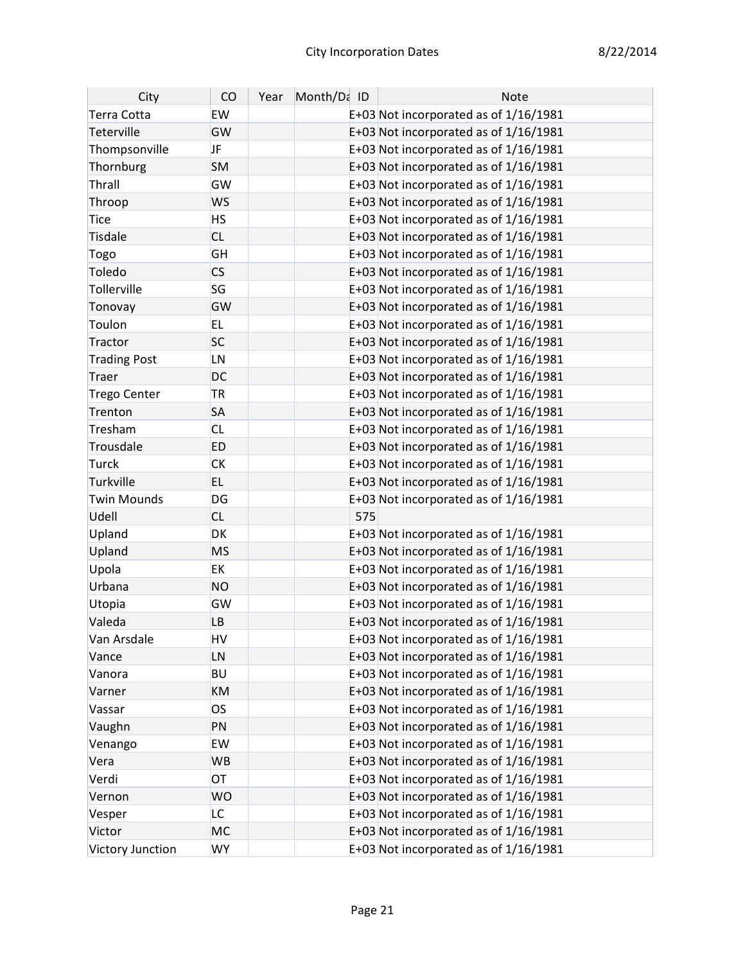| City                | CO        | Year | Month/Da ID |     | <b>Note</b>                             |
|---------------------|-----------|------|-------------|-----|-----------------------------------------|
| Terra Cotta         | EW        |      |             |     | E+03 Not incorporated as of 1/16/1981   |
| Teterville          | GW        |      |             |     | E+03 Not incorporated as of 1/16/1981   |
| Thompsonville       | JF.       |      |             |     | E+03 Not incorporated as of 1/16/1981   |
| Thornburg           | <b>SM</b> |      |             |     | E+03 Not incorporated as of 1/16/1981   |
| Thrall              | GW        |      |             |     | E+03 Not incorporated as of 1/16/1981   |
| Throop              | <b>WS</b> |      |             |     | E+03 Not incorporated as of 1/16/1981   |
| Tice                | <b>HS</b> |      |             |     | E+03 Not incorporated as of $1/16/1981$ |
| <b>Tisdale</b>      | <b>CL</b> |      |             |     | E+03 Not incorporated as of 1/16/1981   |
| Togo                | GH        |      |             |     | E+03 Not incorporated as of 1/16/1981   |
| Toledo              | <b>CS</b> |      |             |     | E+03 Not incorporated as of 1/16/1981   |
| Tollerville         | SG        |      |             |     | E+03 Not incorporated as of 1/16/1981   |
| Tonovay             | GW        |      |             |     | E+03 Not incorporated as of 1/16/1981   |
| Toulon              | EL.       |      |             |     | E+03 Not incorporated as of 1/16/1981   |
| Tractor             | <b>SC</b> |      |             |     | E+03 Not incorporated as of 1/16/1981   |
| <b>Trading Post</b> | LN        |      |             |     | E+03 Not incorporated as of 1/16/1981   |
| Traer               | DC        |      |             |     | E+03 Not incorporated as of 1/16/1981   |
| Trego Center        | <b>TR</b> |      |             |     | E+03 Not incorporated as of 1/16/1981   |
| Trenton             | <b>SA</b> |      |             |     | E+03 Not incorporated as of 1/16/1981   |
| Tresham             | <b>CL</b> |      |             |     | E+03 Not incorporated as of 1/16/1981   |
| Trousdale           | <b>ED</b> |      |             |     | E+03 Not incorporated as of 1/16/1981   |
| <b>Turck</b>        | <b>CK</b> |      |             |     | E+03 Not incorporated as of 1/16/1981   |
| Turkville           | EL.       |      |             |     | E+03 Not incorporated as of 1/16/1981   |
| <b>Twin Mounds</b>  | DG        |      |             |     | E+03 Not incorporated as of 1/16/1981   |
| Udell               | <b>CL</b> |      |             | 575 |                                         |
| Upland              | DK        |      |             |     | E+03 Not incorporated as of 1/16/1981   |
| Upland              | <b>MS</b> |      |             |     | E+03 Not incorporated as of 1/16/1981   |
| Upola               | EK        |      |             |     | E+03 Not incorporated as of 1/16/1981   |
| Urbana              | <b>NO</b> |      |             |     | E+03 Not incorporated as of 1/16/1981   |
| Utopia              | <b>GW</b> |      |             |     | E+03 Not incorporated as of 1/16/1981   |
| Valeda              | LB        |      |             |     | E+03 Not incorporated as of 1/16/1981   |
| Van Arsdale         | HV        |      |             |     | E+03 Not incorporated as of 1/16/1981   |
| Vance               | LN        |      |             |     | E+03 Not incorporated as of 1/16/1981   |
| Vanora              | <b>BU</b> |      |             |     | E+03 Not incorporated as of 1/16/1981   |
| Varner              | KM        |      |             |     | E+03 Not incorporated as of 1/16/1981   |
| Vassar              | OS        |      |             |     | E+03 Not incorporated as of 1/16/1981   |
| Vaughn              | PN        |      |             |     | E+03 Not incorporated as of 1/16/1981   |
| Venango             | EW        |      |             |     | E+03 Not incorporated as of 1/16/1981   |
| Vera                | <b>WB</b> |      |             |     | E+03 Not incorporated as of 1/16/1981   |
| Verdi               | OT        |      |             |     | E+03 Not incorporated as of 1/16/1981   |
| Vernon              | <b>WO</b> |      |             |     | E+03 Not incorporated as of 1/16/1981   |
| Vesper              | LC        |      |             |     | E+03 Not incorporated as of 1/16/1981   |
| Victor              | <b>MC</b> |      |             |     | E+03 Not incorporated as of 1/16/1981   |
| Victory Junction    | <b>WY</b> |      |             |     | E+03 Not incorporated as of 1/16/1981   |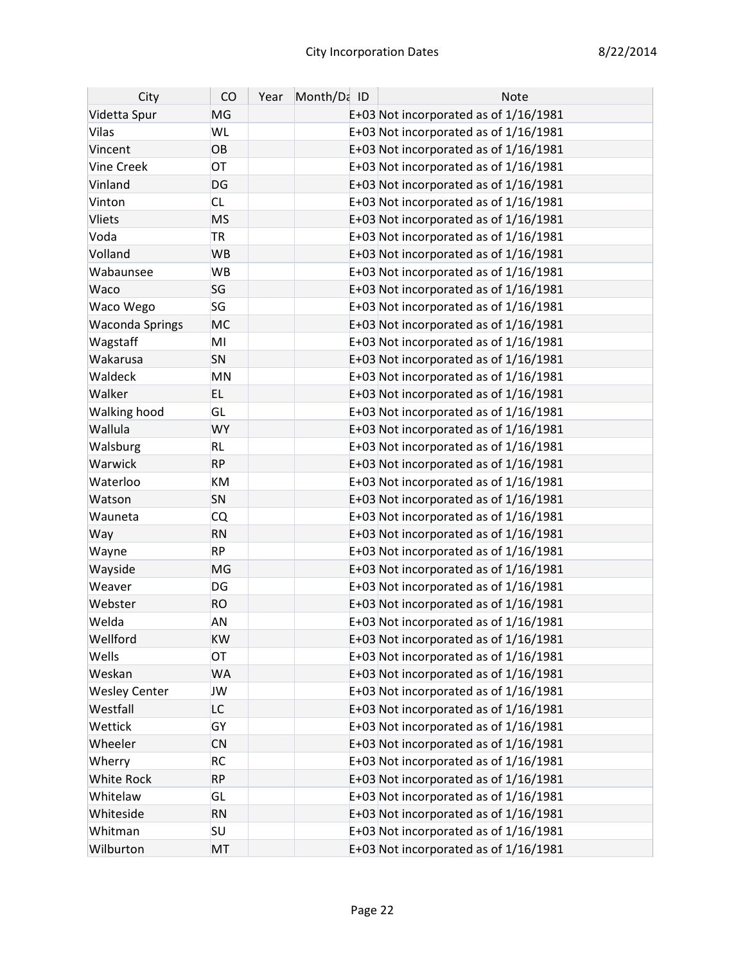| City                   | CO        | Year | Month/Da ID | Note                                    |
|------------------------|-----------|------|-------------|-----------------------------------------|
| Videtta Spur           | MG        |      |             | E+03 Not incorporated as of 1/16/1981   |
| Vilas                  | WL        |      |             | E+03 Not incorporated as of 1/16/1981   |
| Vincent                | OB        |      |             | E+03 Not incorporated as of 1/16/1981   |
| Vine Creek             | <b>OT</b> |      |             | E+03 Not incorporated as of $1/16/1981$ |
| Vinland                | DG        |      |             | E+03 Not incorporated as of 1/16/1981   |
| Vinton                 | <b>CL</b> |      |             | E+03 Not incorporated as of 1/16/1981   |
| Vliets                 | <b>MS</b> |      |             | E+03 Not incorporated as of 1/16/1981   |
| Voda                   | <b>TR</b> |      |             | E+03 Not incorporated as of 1/16/1981   |
| Volland                | <b>WB</b> |      |             | E+03 Not incorporated as of 1/16/1981   |
| Wabaunsee              | <b>WB</b> |      |             | E+03 Not incorporated as of 1/16/1981   |
| Waco                   | SG        |      |             | E+03 Not incorporated as of 1/16/1981   |
| Waco Wego              | SG        |      |             | E+03 Not incorporated as of 1/16/1981   |
| <b>Waconda Springs</b> | <b>MC</b> |      |             | E+03 Not incorporated as of 1/16/1981   |
| Wagstaff               | MI        |      |             | E+03 Not incorporated as of 1/16/1981   |
| Wakarusa               | SN        |      |             | E+03 Not incorporated as of 1/16/1981   |
| Waldeck                | <b>MN</b> |      |             | E+03 Not incorporated as of 1/16/1981   |
| Walker                 | EL.       |      |             | E+03 Not incorporated as of 1/16/1981   |
| <b>Walking hood</b>    | GL        |      |             | E+03 Not incorporated as of $1/16/1981$ |
| Wallula                | <b>WY</b> |      |             | E+03 Not incorporated as of 1/16/1981   |
| Walsburg               | <b>RL</b> |      |             | E+03 Not incorporated as of 1/16/1981   |
| Warwick                | <b>RP</b> |      |             | E+03 Not incorporated as of 1/16/1981   |
| Waterloo               | KM        |      |             | E+03 Not incorporated as of 1/16/1981   |
| Watson                 | SN        |      |             | E+03 Not incorporated as of 1/16/1981   |
| Wauneta                | <b>CQ</b> |      |             | E+03 Not incorporated as of 1/16/1981   |
| Way                    | <b>RN</b> |      |             | E+03 Not incorporated as of 1/16/1981   |
| Wayne                  | <b>RP</b> |      |             | E+03 Not incorporated as of 1/16/1981   |
| Wayside                | MG        |      |             | E+03 Not incorporated as of 1/16/1981   |
| Weaver                 | DG        |      |             | E+03 Not incorporated as of 1/16/1981   |
| Webster                | <b>RO</b> |      |             | E+03 Not incorporated as of 1/16/1981   |
| Welda                  | <b>AN</b> |      |             | E+03 Not incorporated as of $1/16/1981$ |
| Wellford               | KW        |      |             | E+03 Not incorporated as of $1/16/1981$ |
| Wells                  | OT        |      |             | E+03 Not incorporated as of 1/16/1981   |
| Weskan                 | <b>WA</b> |      |             | E+03 Not incorporated as of 1/16/1981   |
| <b>Wesley Center</b>   | JW        |      |             | E+03 Not incorporated as of 1/16/1981   |
| Westfall               | <b>LC</b> |      |             | E+03 Not incorporated as of 1/16/1981   |
| Wettick                | GY        |      |             | E+03 Not incorporated as of 1/16/1981   |
| Wheeler                | <b>CN</b> |      |             | E+03 Not incorporated as of 1/16/1981   |
| Wherry                 | <b>RC</b> |      |             | E+03 Not incorporated as of $1/16/1981$ |
| <b>White Rock</b>      | <b>RP</b> |      |             | E+03 Not incorporated as of $1/16/1981$ |
| Whitelaw               | <b>GL</b> |      |             | E+03 Not incorporated as of 1/16/1981   |
| Whiteside              | <b>RN</b> |      |             | E+03 Not incorporated as of 1/16/1981   |
| Whitman                | <b>SU</b> |      |             | E+03 Not incorporated as of 1/16/1981   |
| Wilburton              | MT        |      |             | E+03 Not incorporated as of 1/16/1981   |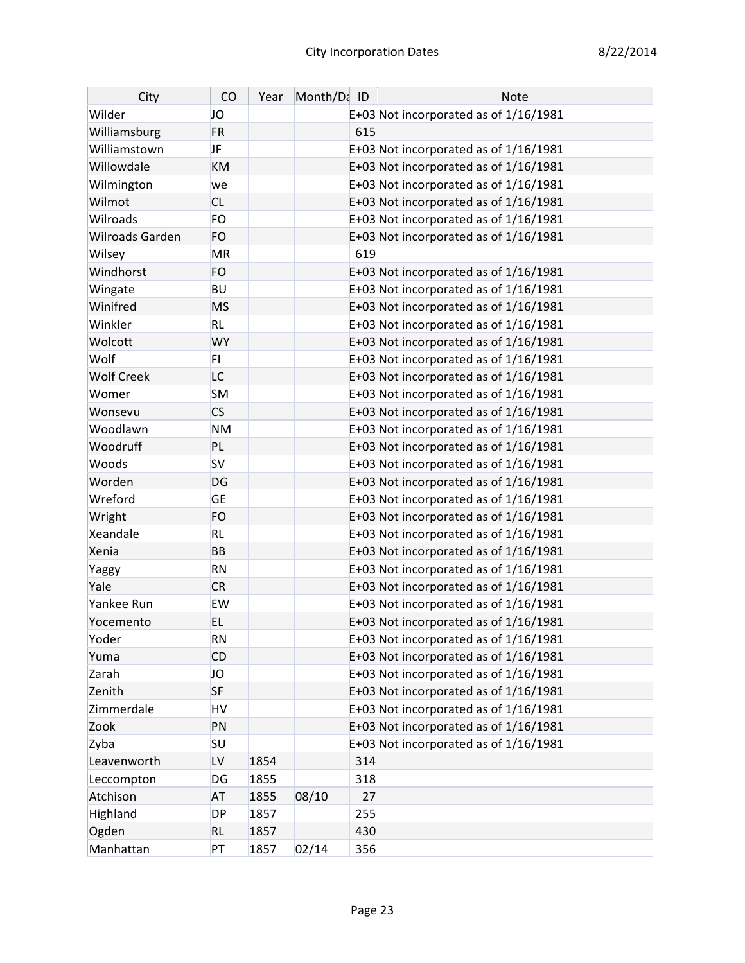| City                   | CO        | Year | Month/Da ID  | <b>Note</b>                             |
|------------------------|-----------|------|--------------|-----------------------------------------|
| Wilder                 | JO        |      |              | E+03 Not incorporated as of 1/16/1981   |
| Williamsburg           | <b>FR</b> |      | 615          |                                         |
| Williamstown           | JF        |      |              | E+03 Not incorporated as of $1/16/1981$ |
| Willowdale             | <b>KM</b> |      |              | E+03 Not incorporated as of $1/16/1981$ |
| Wilmington             | we        |      |              | E+03 Not incorporated as of 1/16/1981   |
| Wilmot                 | <b>CL</b> |      |              | E+03 Not incorporated as of 1/16/1981   |
| Wilroads               | <b>FO</b> |      |              | E+03 Not incorporated as of 1/16/1981   |
| <b>Wilroads Garden</b> | <b>FO</b> |      |              | E+03 Not incorporated as of 1/16/1981   |
| Wilsey                 | <b>MR</b> |      | 619          |                                         |
| Windhorst              | <b>FO</b> |      |              | E+03 Not incorporated as of 1/16/1981   |
| Wingate                | <b>BU</b> |      |              | E+03 Not incorporated as of 1/16/1981   |
| Winifred               | <b>MS</b> |      |              | E+03 Not incorporated as of 1/16/1981   |
| Winkler                | <b>RL</b> |      |              | E+03 Not incorporated as of 1/16/1981   |
| Wolcott                | <b>WY</b> |      |              | E+03 Not incorporated as of 1/16/1981   |
| Wolf                   | FI.       |      |              | E+03 Not incorporated as of 1/16/1981   |
| <b>Wolf Creek</b>      | LC        |      |              | E+03 Not incorporated as of 1/16/1981   |
| Womer                  | <b>SM</b> |      |              | E+03 Not incorporated as of 1/16/1981   |
| Wonsevu                | CS        |      |              | E+03 Not incorporated as of 1/16/1981   |
| Woodlawn               | <b>NM</b> |      |              | E+03 Not incorporated as of $1/16/1981$ |
| Woodruff               | PL        |      |              | E+03 Not incorporated as of 1/16/1981   |
| Woods                  | <b>SV</b> |      |              | E+03 Not incorporated as of 1/16/1981   |
| Worden                 | DG        |      |              | E+03 Not incorporated as of 1/16/1981   |
| Wreford                | <b>GE</b> |      |              | E+03 Not incorporated as of 1/16/1981   |
| Wright                 | <b>FO</b> |      |              | E+03 Not incorporated as of 1/16/1981   |
| Xeandale               | <b>RL</b> |      |              | E+03 Not incorporated as of 1/16/1981   |
| Xenia                  | BB        |      |              | E+03 Not incorporated as of 1/16/1981   |
| Yaggy                  | <b>RN</b> |      |              | E+03 Not incorporated as of 1/16/1981   |
| Yale                   | <b>CR</b> |      |              | E+03 Not incorporated as of 1/16/1981   |
| Yankee Run             | <b>EW</b> |      |              | E+03 Not incorporated as of $1/16/1981$ |
| Yocemento              | <b>EL</b> |      |              | E+03 Not incorporated as of 1/16/1981   |
| Yoder                  | <b>RN</b> |      |              | E+03 Not incorporated as of 1/16/1981   |
| Yuma                   | <b>CD</b> |      |              | E+03 Not incorporated as of 1/16/1981   |
| Zarah                  | JO        |      |              | E+03 Not incorporated as of $1/16/1981$ |
| Zenith                 | <b>SF</b> |      |              | E+03 Not incorporated as of 1/16/1981   |
| Zimmerdale             | HV        |      |              | E+03 Not incorporated as of 1/16/1981   |
| Zook                   | PN        |      |              | E+03 Not incorporated as of 1/16/1981   |
| Zyba                   | SU        |      |              | E+03 Not incorporated as of 1/16/1981   |
| Leavenworth            | LV        | 1854 | 314          |                                         |
| Leccompton             | DG        | 1855 | 318          |                                         |
| Atchison               | <b>AT</b> | 1855 | 08/10        | 27                                      |
| Highland               | DP        | 1857 | 255          |                                         |
| Ogden                  | <b>RL</b> | 1857 | 430          |                                         |
| Manhattan              | PT        | 1857 | 02/14<br>356 |                                         |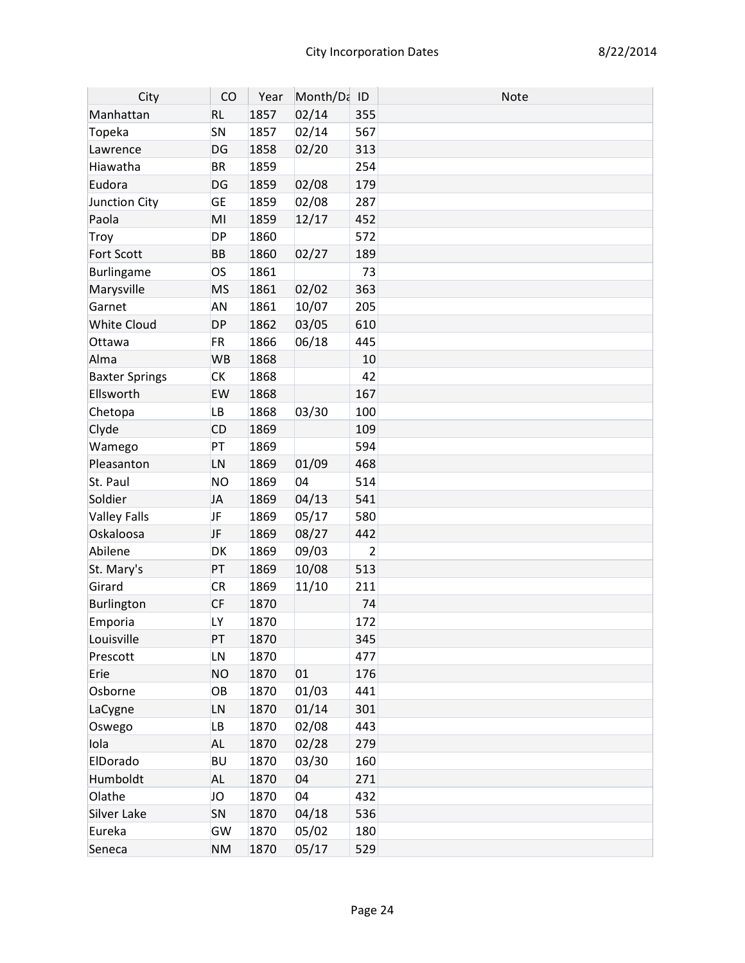| City                  | CO        | Year | Month/Da ID |                | <b>Note</b> |
|-----------------------|-----------|------|-------------|----------------|-------------|
| Manhattan             | <b>RL</b> | 1857 | 02/14       | 355            |             |
| Topeka                | SN        | 1857 | 02/14       | 567            |             |
| Lawrence              | <b>DG</b> | 1858 | 02/20       | 313            |             |
| Hiawatha              | <b>BR</b> | 1859 |             | 254            |             |
| Eudora                | <b>DG</b> | 1859 | 02/08       | 179            |             |
| Junction City         | <b>GE</b> | 1859 | 02/08       | 287            |             |
| Paola                 | MI        | 1859 | 12/17       | 452            |             |
| Troy                  | <b>DP</b> | 1860 |             | 572            |             |
| Fort Scott            | <b>BB</b> | 1860 | 02/27       | 189            |             |
| Burlingame            | <b>OS</b> | 1861 |             | 73             |             |
| Marysville            | <b>MS</b> | 1861 | 02/02       | 363            |             |
| Garnet                | <b>AN</b> | 1861 | 10/07       | 205            |             |
| <b>White Cloud</b>    | <b>DP</b> | 1862 | 03/05       | 610            |             |
| Ottawa                | <b>FR</b> | 1866 | 06/18       | 445            |             |
| Alma                  | <b>WB</b> | 1868 |             | 10             |             |
| <b>Baxter Springs</b> | СK        | 1868 |             | 42             |             |
| Ellsworth             | <b>EW</b> | 1868 |             | 167            |             |
| Chetopa               | <b>LB</b> | 1868 | 03/30       | 100            |             |
| Clyde                 | <b>CD</b> | 1869 |             | 109            |             |
| Wamego                | PT        | 1869 |             | 594            |             |
| Pleasanton            | LN        | 1869 | 01/09       | 468            |             |
| St. Paul              | <b>NO</b> | 1869 | 04          | 514            |             |
| Soldier               | JA        | 1869 | 04/13       | 541            |             |
| <b>Valley Falls</b>   | JF        | 1869 | 05/17       | 580            |             |
| Oskaloosa             | JF        | 1869 | 08/27       | 442            |             |
| Abilene               | <b>DK</b> | 1869 | 09/03       | $\overline{2}$ |             |
| St. Mary's            | PT        | 1869 | 10/08       | 513            |             |
| Girard                | <b>CR</b> | 1869 | 11/10       | 211            |             |
| Burlington            | <b>CF</b> | 1870 |             | 74             |             |
| Emporia               | LY        | 1870 |             | 172            |             |
| Louisville            | PT        | 1870 |             | 345            |             |
| Prescott              | LN        | 1870 |             | 477            |             |
| Erie                  | <b>NO</b> | 1870 | 01          | 176            |             |
| Osborne               | OB        | 1870 | 01/03       | 441            |             |
| LaCygne               | LN        | 1870 | 01/14       | 301            |             |
| Oswego                | LB        | 1870 | 02/08       | 443            |             |
| Iola                  | <b>AL</b> | 1870 | 02/28       | 279            |             |
| ElDorado              | <b>BU</b> | 1870 | 03/30       | 160            |             |
| Humboldt              | <b>AL</b> | 1870 | 04          | 271            |             |
| Olathe                | JO        | 1870 | 04          | 432            |             |
| Silver Lake           | SN        | 1870 | 04/18       | 536            |             |
| Eureka                | <b>GW</b> | 1870 | 05/02       | 180            |             |
| Seneca                | <b>NM</b> | 1870 | 05/17       | 529            |             |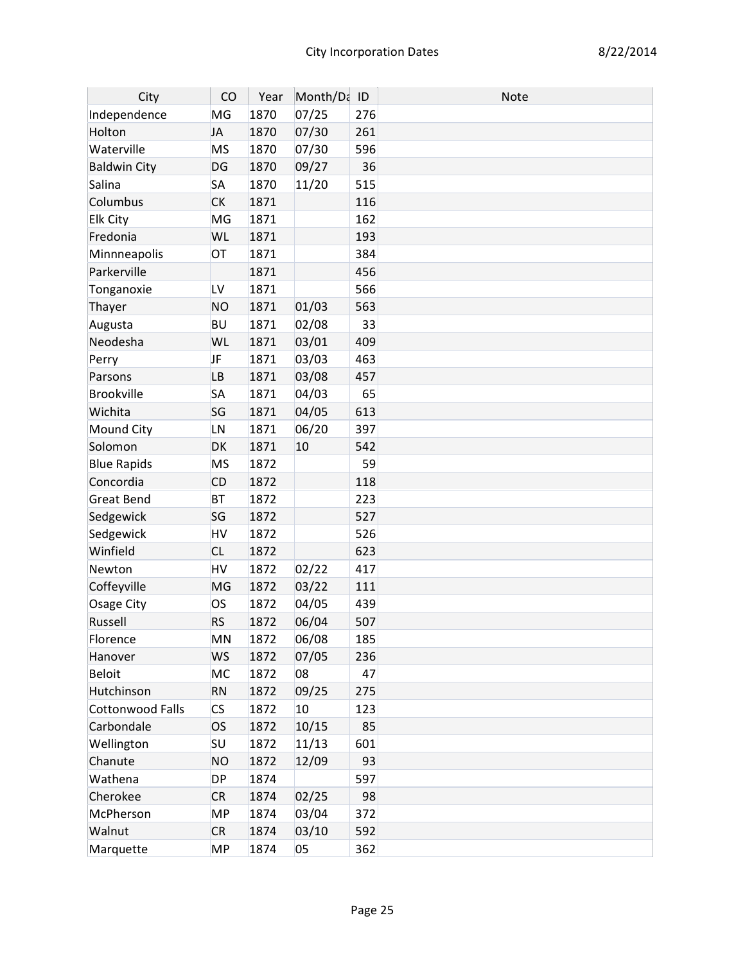| City                | CO        | Year | Month/Da ID |     | <b>Note</b> |
|---------------------|-----------|------|-------------|-----|-------------|
| Independence        | MG        | 1870 | 07/25       | 276 |             |
| Holton              | JA        | 1870 | 07/30       | 261 |             |
| Waterville          | <b>MS</b> | 1870 | 07/30       | 596 |             |
| <b>Baldwin City</b> | DG        | 1870 | 09/27       | 36  |             |
| Salina              | <b>SA</b> | 1870 | 11/20       | 515 |             |
| Columbus            | <b>CK</b> | 1871 |             | 116 |             |
| <b>Elk City</b>     | MG        | 1871 |             | 162 |             |
| Fredonia            | WL        | 1871 |             | 193 |             |
| Minnneapolis        | OT        | 1871 |             | 384 |             |
| Parkerville         |           | 1871 |             | 456 |             |
| Tonganoxie          | LV        | 1871 |             | 566 |             |
| Thayer              | <b>NO</b> | 1871 | 01/03       | 563 |             |
| Augusta             | <b>BU</b> | 1871 | 02/08       | 33  |             |
| Neodesha            | WL        | 1871 | 03/01       | 409 |             |
| Perry               | JF        | 1871 | 03/03       | 463 |             |
| Parsons             | <b>LB</b> | 1871 | 03/08       | 457 |             |
| <b>Brookville</b>   | <b>SA</b> | 1871 | 04/03       | 65  |             |
| Wichita             | SG        | 1871 | 04/05       | 613 |             |
| Mound City          | LN        | 1871 | 06/20       | 397 |             |
| Solomon             | DK        | 1871 | 10          | 542 |             |
| <b>Blue Rapids</b>  | <b>MS</b> | 1872 |             | 59  |             |
| Concordia           | <b>CD</b> | 1872 |             | 118 |             |
| <b>Great Bend</b>   | <b>BT</b> | 1872 |             | 223 |             |
| Sedgewick           | SG        | 1872 |             | 527 |             |
| Sedgewick           | <b>HV</b> | 1872 |             | 526 |             |
| Winfield            | <b>CL</b> | 1872 |             | 623 |             |
| Newton              | HV        | 1872 | 02/22       | 417 |             |
| Coffeyville         | <b>MG</b> | 1872 | 03/22       | 111 |             |
| Osage City          | OS        | 1872 | 04/05       | 439 |             |
| Russell             | <b>RS</b> | 1872 | 06/04       | 507 |             |
| Florence            | MN        | 1872 | 06/08       | 185 |             |
| Hanover             | WS        | 1872 | 07/05       | 236 |             |
| <b>Beloit</b>       | MC        | 1872 | 08          | 47  |             |
| Hutchinson          | <b>RN</b> | 1872 | 09/25       | 275 |             |
| Cottonwood Falls    | CS        | 1872 | 10          | 123 |             |
| Carbondale          | <b>OS</b> | 1872 | 10/15       | 85  |             |
| Wellington          | <b>SU</b> | 1872 | 11/13       | 601 |             |
| Chanute             | <b>NO</b> | 1872 | 12/09       | 93  |             |
| Wathena             | <b>DP</b> | 1874 |             | 597 |             |
| Cherokee            | <b>CR</b> | 1874 | 02/25       | 98  |             |
| McPherson           | <b>MP</b> | 1874 | 03/04       | 372 |             |
| Walnut              | <b>CR</b> | 1874 | 03/10       | 592 |             |
| Marquette           | MP        | 1874 | 05          | 362 |             |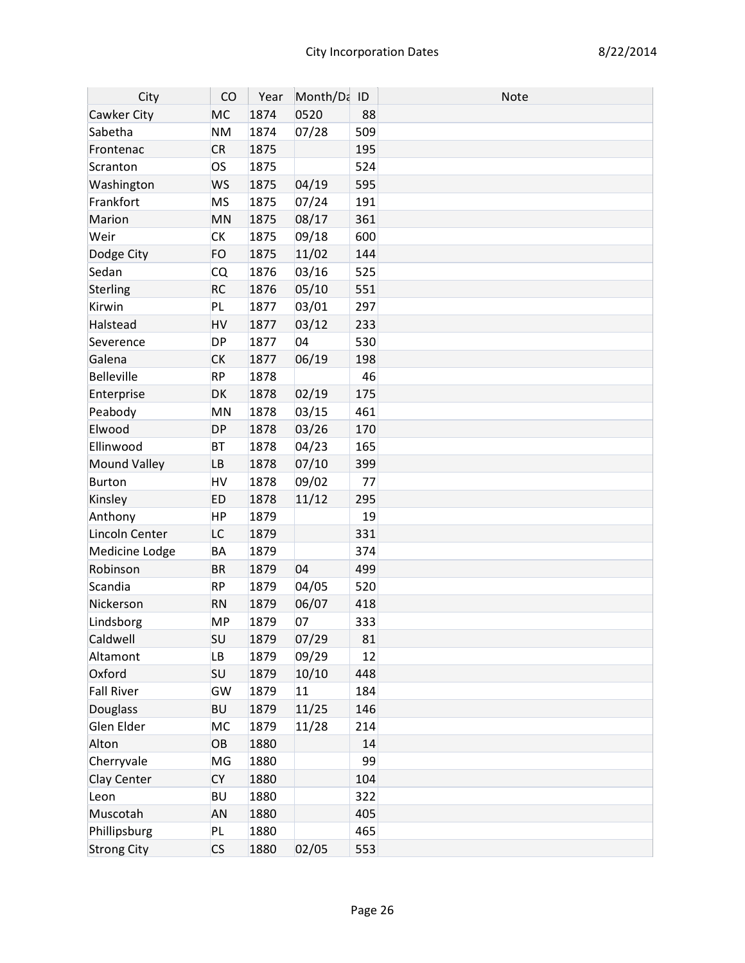| City                | CO        | Year | Month/Da ID |     | <b>Note</b> |
|---------------------|-----------|------|-------------|-----|-------------|
| Cawker City         | MC        | 1874 | 0520        | 88  |             |
| Sabetha             | <b>NM</b> | 1874 | 07/28       | 509 |             |
| Frontenac           | <b>CR</b> | 1875 |             | 195 |             |
| Scranton            | OS        | 1875 |             | 524 |             |
| Washington          | <b>WS</b> | 1875 | 04/19       | 595 |             |
| Frankfort           | <b>MS</b> | 1875 | 07/24       | 191 |             |
| Marion              | MN        | 1875 | 08/17       | 361 |             |
| Weir                | СK        | 1875 | 09/18       | 600 |             |
| Dodge City          | <b>FO</b> | 1875 | 11/02       | 144 |             |
| Sedan               | CQ        | 1876 | 03/16       | 525 |             |
| Sterling            | <b>RC</b> | 1876 | 05/10       | 551 |             |
| Kirwin              | PL.       | 1877 | 03/01       | 297 |             |
| Halstead            | HV        | 1877 | 03/12       | 233 |             |
| Severence           | DP        | 1877 | 04          | 530 |             |
| Galena              | <b>CK</b> | 1877 | 06/19       | 198 |             |
| Belleville          | <b>RP</b> | 1878 |             | 46  |             |
| Enterprise          | DK        | 1878 | 02/19       | 175 |             |
| Peabody             | MN        | 1878 | 03/15       | 461 |             |
| Elwood              | <b>DP</b> | 1878 | 03/26       | 170 |             |
| Ellinwood           | <b>BT</b> | 1878 | 04/23       | 165 |             |
| <b>Mound Valley</b> | LВ        | 1878 | 07/10       | 399 |             |
| Burton              | HV        | 1878 | 09/02       | 77  |             |
| Kinsley             | <b>ED</b> | 1878 | 11/12       | 295 |             |
| Anthony             | <b>HP</b> | 1879 |             | 19  |             |
| Lincoln Center      | LC        | 1879 |             | 331 |             |
| Medicine Lodge      | BA        | 1879 |             | 374 |             |
| Robinson            | <b>BR</b> | 1879 | 04          | 499 |             |
| Scandia             | <b>RP</b> | 1879 | 04/05       | 520 |             |
| Nickerson           | <b>RN</b> | 1879 | 06/07       | 418 |             |
| Lindsborg           | <b>MP</b> | 1879 | 07          | 333 |             |
| Caldwell            | SU        | 1879 | 07/29       | 81  |             |
| Altamont            | LВ        | 1879 | 09/29       | 12  |             |
| Oxford              | <b>SU</b> | 1879 | 10/10       | 448 |             |
| <b>Fall River</b>   | GW        | 1879 | 11          | 184 |             |
| Douglass            | <b>BU</b> | 1879 | 11/25       | 146 |             |
| Glen Elder          | MC        | 1879 | 11/28       | 214 |             |
| Alton               | OB        | 1880 |             | 14  |             |
| Cherryvale          | MG        | 1880 |             | 99  |             |
| Clay Center         | СY        | 1880 |             | 104 |             |
| Leon                | <b>BU</b> | 1880 |             | 322 |             |
| Muscotah            | <b>AN</b> | 1880 |             | 405 |             |
| Phillipsburg        | PL        | 1880 |             | 465 |             |
| <b>Strong City</b>  | CS        | 1880 | 02/05       | 553 |             |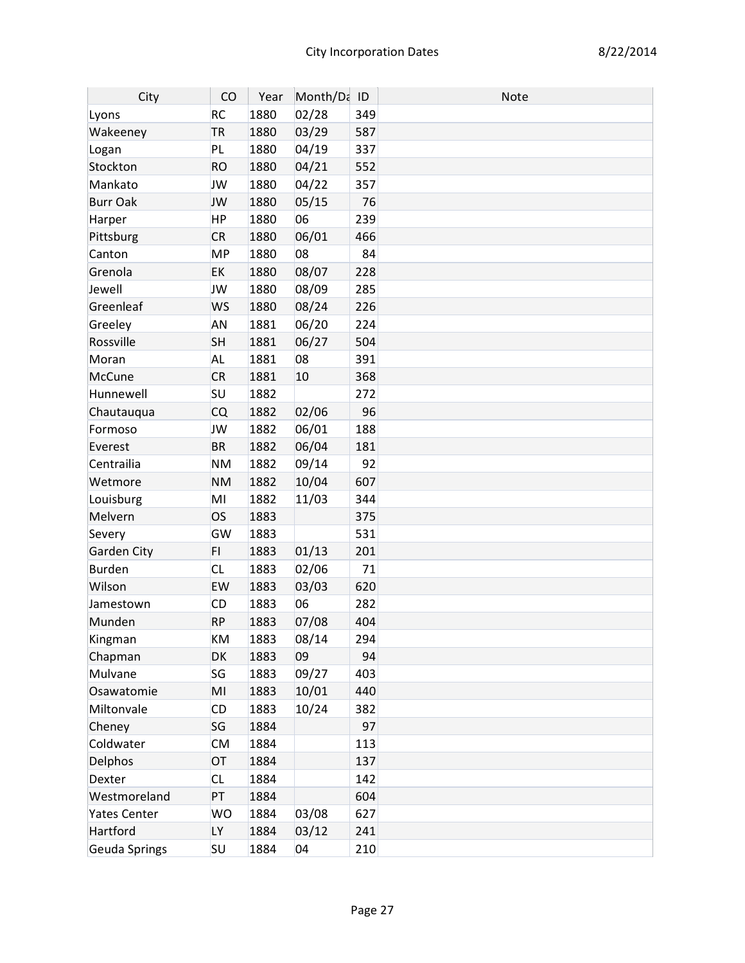| City                | CO        | Year | Month/Da ID |     | <b>Note</b> |
|---------------------|-----------|------|-------------|-----|-------------|
| Lyons               | <b>RC</b> | 1880 | 02/28       | 349 |             |
| Wakeeney            | <b>TR</b> | 1880 | 03/29       | 587 |             |
| Logan               | PL        | 1880 | 04/19       | 337 |             |
| Stockton            | <b>RO</b> | 1880 | 04/21       | 552 |             |
| Mankato             | JW        | 1880 | 04/22       | 357 |             |
| <b>Burr Oak</b>     | JW        | 1880 | 05/15       | 76  |             |
| Harper              | <b>HP</b> | 1880 | 06          | 239 |             |
| Pittsburg           | <b>CR</b> | 1880 | 06/01       | 466 |             |
| Canton              | <b>MP</b> | 1880 | 08          | 84  |             |
| Grenola             | EK        | 1880 | 08/07       | 228 |             |
| Jewell              | JW        | 1880 | 08/09       | 285 |             |
| Greenleaf           | <b>WS</b> | 1880 | 08/24       | 226 |             |
| Greeley             | <b>AN</b> | 1881 | 06/20       | 224 |             |
| Rossville           | <b>SH</b> | 1881 | 06/27       | 504 |             |
| Moran               | <b>AL</b> | 1881 | 08          | 391 |             |
| McCune              | <b>CR</b> | 1881 | 10          | 368 |             |
| Hunnewell           | SU        | 1882 |             | 272 |             |
| Chautauqua          | <b>CQ</b> | 1882 | 02/06       | 96  |             |
| Formoso             | JW        | 1882 | 06/01       | 188 |             |
| Everest             | <b>BR</b> | 1882 | 06/04       | 181 |             |
| Centrailia          | <b>NM</b> | 1882 | 09/14       | 92  |             |
| Wetmore             | <b>NM</b> | 1882 | 10/04       | 607 |             |
| Louisburg           | MI        | 1882 | 11/03       | 344 |             |
| Melvern             | <b>OS</b> | 1883 |             | 375 |             |
| Severy              | GW        | 1883 |             | 531 |             |
| Garden City         | FI.       | 1883 | 01/13       | 201 |             |
| Burden              | <b>CL</b> | 1883 | 02/06       | 71  |             |
| Wilson              | EW        | 1883 | 03/03       | 620 |             |
| Jamestown           | <b>CD</b> | 1883 | 06          | 282 |             |
| Munden              | <b>RP</b> | 1883 | 07/08       | 404 |             |
| Kingman             | KM        | 1883 | 08/14       | 294 |             |
| Chapman             | DK        | 1883 | 09          | 94  |             |
| Mulvane             | SG        | 1883 | 09/27       | 403 |             |
| Osawatomie          | MI        | 1883 | 10/01       | 440 |             |
| Miltonvale          | CD        | 1883 | 10/24       | 382 |             |
| Cheney              | SG        | 1884 |             | 97  |             |
| Coldwater           | <b>CM</b> | 1884 |             | 113 |             |
| Delphos             | <b>OT</b> | 1884 |             | 137 |             |
| Dexter              | <b>CL</b> | 1884 |             | 142 |             |
| Westmoreland        | PT        | 1884 |             | 604 |             |
| <b>Yates Center</b> | <b>WO</b> | 1884 | 03/08       | 627 |             |
| Hartford            | LY        | 1884 | 03/12       | 241 |             |
| Geuda Springs       | SU        | 1884 | 04          | 210 |             |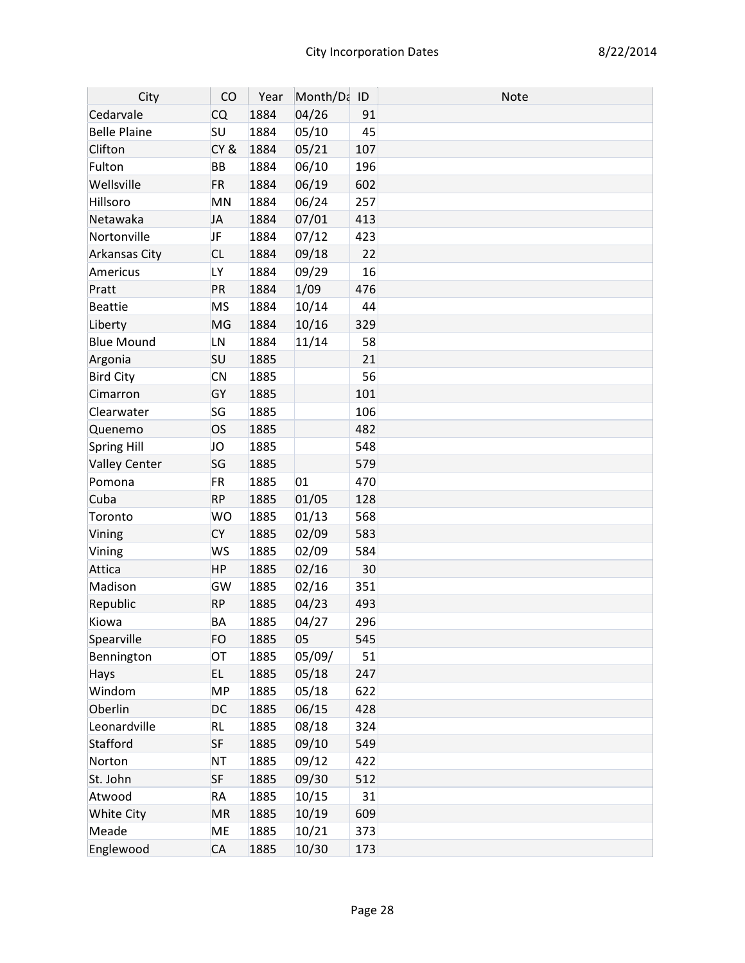| City                 | CO        | Year | Month/Da ID |     | Note |
|----------------------|-----------|------|-------------|-----|------|
| Cedarvale            | CQ        | 1884 | 04/26       | 91  |      |
| <b>Belle Plaine</b>  | <b>SU</b> | 1884 | 05/10       | 45  |      |
| Clifton              | CY&       | 1884 | 05/21       | 107 |      |
| Fulton               | BB        | 1884 | 06/10       | 196 |      |
| Wellsville           | <b>FR</b> | 1884 | 06/19       | 602 |      |
| Hillsoro             | MN        | 1884 | 06/24       | 257 |      |
| Netawaka             | <b>JA</b> | 1884 | 07/01       | 413 |      |
| Nortonville          | JF.       | 1884 | 07/12       | 423 |      |
| Arkansas City        | <b>CL</b> | 1884 | 09/18       | 22  |      |
| Americus             | LY        | 1884 | 09/29       | 16  |      |
| Pratt                | PR        | 1884 | 1/09        | 476 |      |
| Beattie              | <b>MS</b> | 1884 | 10/14       | 44  |      |
| Liberty              | MG        | 1884 | 10/16       | 329 |      |
| <b>Blue Mound</b>    | LN        | 1884 | 11/14       | 58  |      |
| Argonia              | <b>SU</b> | 1885 |             | 21  |      |
| <b>Bird City</b>     | <b>CN</b> | 1885 |             | 56  |      |
| Cimarron             | GY        | 1885 |             | 101 |      |
| Clearwater           | SG        | 1885 |             | 106 |      |
| Quenemo              | <b>OS</b> | 1885 |             | 482 |      |
| Spring Hill          | JO        | 1885 |             | 548 |      |
| <b>Valley Center</b> | SG        | 1885 |             | 579 |      |
| Pomona               | <b>FR</b> | 1885 | 01          | 470 |      |
| Cuba                 | <b>RP</b> | 1885 | 01/05       | 128 |      |
| Toronto              | <b>WO</b> | 1885 | 01/13       | 568 |      |
| Vining               | <b>CY</b> | 1885 | 02/09       | 583 |      |
| Vining               | WS        | 1885 | 02/09       | 584 |      |
| Attica               | <b>HP</b> | 1885 | 02/16       | 30  |      |
| Madison              | GW        | 1885 | 02/16       | 351 |      |
| Republic             | <b>RP</b> | 1885 | 04/23       | 493 |      |
| Kiowa                | BA        | 1885 | 04/27       | 296 |      |
| Spearville           | FO        | 1885 | 05          | 545 |      |
| Bennington           | OT        | 1885 | 05/09/      | 51  |      |
| Hays                 | EL.       | 1885 | 05/18       | 247 |      |
| Windom               | MP        | 1885 | 05/18       | 622 |      |
| Oberlin              | DC        | 1885 | 06/15       | 428 |      |
| Leonardville         | <b>RL</b> | 1885 | 08/18       | 324 |      |
| Stafford             | <b>SF</b> | 1885 | 09/10       | 549 |      |
| Norton               | <b>NT</b> | 1885 | 09/12       | 422 |      |
| St. John             | <b>SF</b> | 1885 | 09/30       | 512 |      |
| Atwood               | <b>RA</b> | 1885 | 10/15       | 31  |      |
| White City           | <b>MR</b> | 1885 | 10/19       | 609 |      |
| Meade                | ME        | 1885 | 10/21       | 373 |      |
| Englewood            | CA        | 1885 | 10/30       | 173 |      |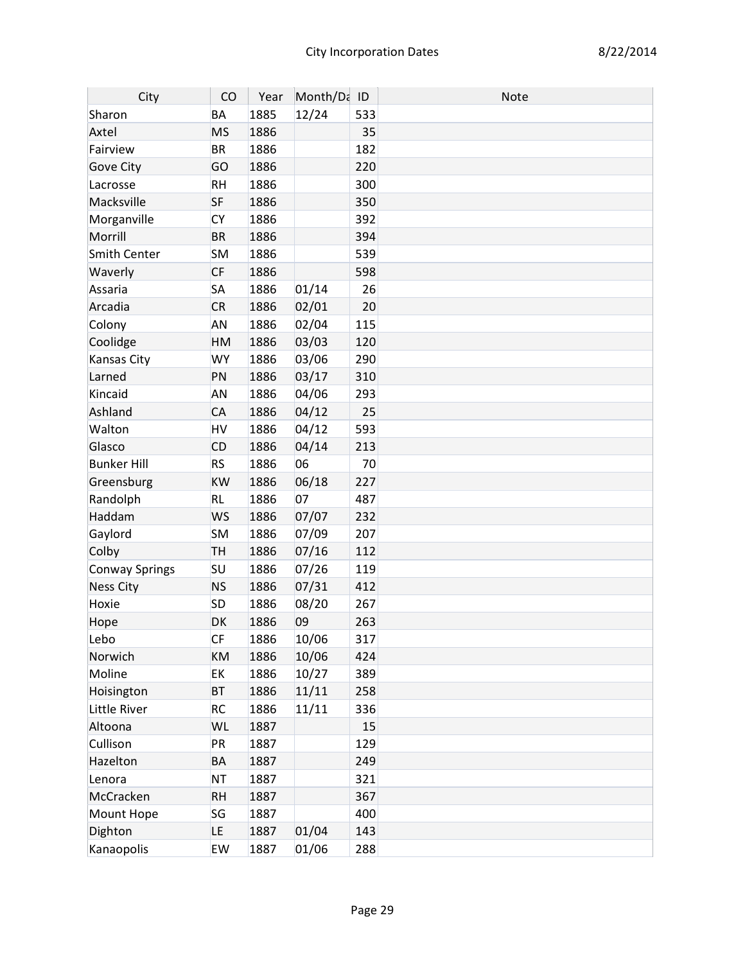| City               | CO        | Year | Month/Da ID |     | <b>Note</b> |
|--------------------|-----------|------|-------------|-----|-------------|
| Sharon             | BA        | 1885 | 12/24       | 533 |             |
| Axtel              | <b>MS</b> | 1886 |             | 35  |             |
| Fairview           | <b>BR</b> | 1886 |             | 182 |             |
| Gove City          | GO        | 1886 |             | 220 |             |
| Lacrosse           | <b>RH</b> | 1886 |             | 300 |             |
| Macksville         | <b>SF</b> | 1886 |             | 350 |             |
| Morganville        | <b>CY</b> | 1886 |             | 392 |             |
| Morrill            | <b>BR</b> | 1886 |             | 394 |             |
| Smith Center       | <b>SM</b> | 1886 |             | 539 |             |
| Waverly            | <b>CF</b> | 1886 |             | 598 |             |
| Assaria            | <b>SA</b> | 1886 | 01/14       | 26  |             |
| Arcadia            | <b>CR</b> | 1886 | 02/01       | 20  |             |
| Colony             | <b>AN</b> | 1886 | 02/04       | 115 |             |
| Coolidge           | <b>HM</b> | 1886 | 03/03       | 120 |             |
| Kansas City        | <b>WY</b> | 1886 | 03/06       | 290 |             |
| Larned             | PN        | 1886 | 03/17       | 310 |             |
| Kincaid            | <b>AN</b> | 1886 | 04/06       | 293 |             |
| Ashland            | <b>CA</b> | 1886 | 04/12       | 25  |             |
| Walton             | HV        | 1886 | 04/12       | 593 |             |
| Glasco             | <b>CD</b> | 1886 | 04/14       | 213 |             |
| <b>Bunker Hill</b> | <b>RS</b> | 1886 | 06          | 70  |             |
| Greensburg         | <b>KW</b> | 1886 | 06/18       | 227 |             |
| Randolph           | <b>RL</b> | 1886 | 07          | 487 |             |
| Haddam             | <b>WS</b> | 1886 | 07/07       | 232 |             |
| Gaylord            | <b>SM</b> | 1886 | 07/09       | 207 |             |
| Colby              | <b>TH</b> | 1886 | 07/16       | 112 |             |
| Conway Springs     | <b>SU</b> | 1886 | 07/26       | 119 |             |
| <b>Ness City</b>   | <b>NS</b> | 1886 | 07/31       | 412 |             |
| Hoxie              | <b>SD</b> | 1886 | 08/20       | 267 |             |
| Hope               | DK        | 1886 | 09          | 263 |             |
| Lebo               | <b>CF</b> | 1886 | 10/06       | 317 |             |
| Norwich            | KM        | 1886 | 10/06       | 424 |             |
| Moline             | EK        | 1886 | 10/27       | 389 |             |
| Hoisington         | <b>BT</b> | 1886 | 11/11       | 258 |             |
| Little River       | <b>RC</b> | 1886 | 11/11       | 336 |             |
| Altoona            | <b>WL</b> | 1887 |             | 15  |             |
| Cullison           | PR        | 1887 |             | 129 |             |
| Hazelton           | <b>BA</b> | 1887 |             | 249 |             |
| Lenora             | <b>NT</b> | 1887 |             | 321 |             |
| McCracken          | <b>RH</b> | 1887 |             | 367 |             |
| Mount Hope         | SG        | 1887 |             | 400 |             |
| Dighton            | LE.       | 1887 | 01/04       | 143 |             |
| Kanaopolis         | EW        | 1887 | 01/06       | 288 |             |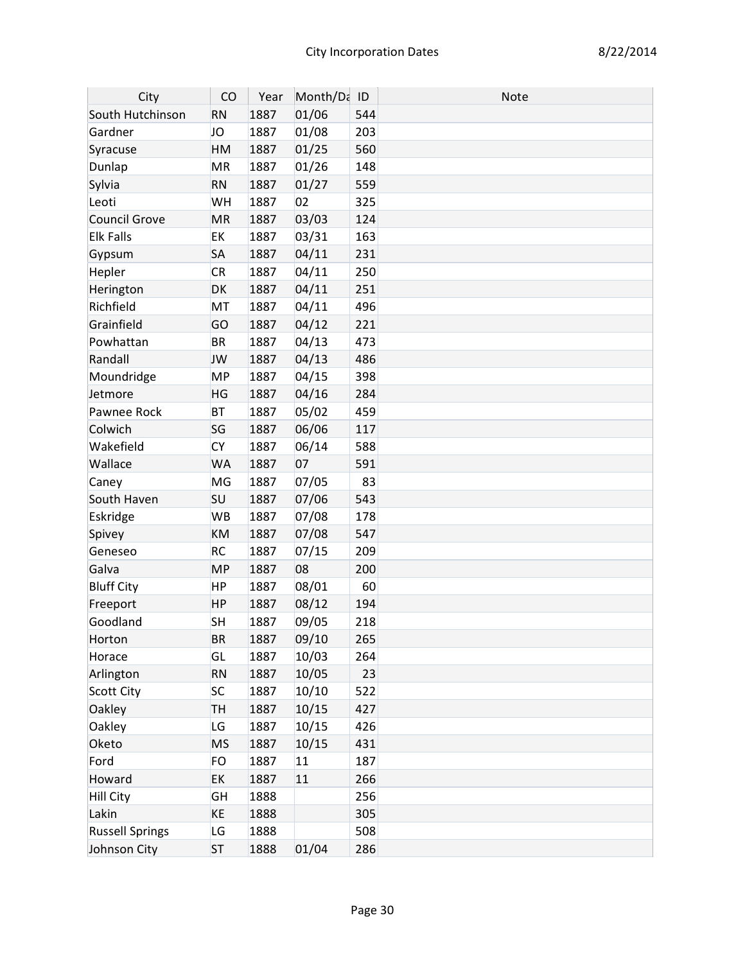| City                   | CO        | Year | Month/Da ID |     | Note |
|------------------------|-----------|------|-------------|-----|------|
| South Hutchinson       | <b>RN</b> | 1887 | 01/06       | 544 |      |
| Gardner                | JO        | 1887 | 01/08       | 203 |      |
| Syracuse               | HM        | 1887 | 01/25       | 560 |      |
| Dunlap                 | MR        | 1887 | 01/26       | 148 |      |
| Sylvia                 | <b>RN</b> | 1887 | 01/27       | 559 |      |
| Leoti                  | WH        | 1887 | 02          | 325 |      |
| <b>Council Grove</b>   | <b>MR</b> | 1887 | 03/03       | 124 |      |
| <b>Elk Falls</b>       | EK        | 1887 | 03/31       | 163 |      |
| Gypsum                 | <b>SA</b> | 1887 | 04/11       | 231 |      |
| Hepler                 | CR        | 1887 | 04/11       | 250 |      |
| Herington              | DK        | 1887 | 04/11       | 251 |      |
| Richfield              | MT        | 1887 | 04/11       | 496 |      |
| Grainfield             | GO        | 1887 | 04/12       | 221 |      |
| Powhattan              | <b>BR</b> | 1887 | 04/13       | 473 |      |
| Randall                | JW        | 1887 | 04/13       | 486 |      |
| Moundridge             | <b>MP</b> | 1887 | 04/15       | 398 |      |
| Jetmore                | HG        | 1887 | 04/16       | 284 |      |
| Pawnee Rock            | <b>BT</b> | 1887 | 05/02       | 459 |      |
| Colwich                | SG        | 1887 | 06/06       | 117 |      |
| Wakefield              | <b>CY</b> | 1887 | 06/14       | 588 |      |
| Wallace                | <b>WA</b> | 1887 | 07          | 591 |      |
| Caney                  | MG        | 1887 | 07/05       | 83  |      |
| South Haven            | <b>SU</b> | 1887 | 07/06       | 543 |      |
| Eskridge               | <b>WB</b> | 1887 | 07/08       | 178 |      |
| Spivey                 | KM        | 1887 | 07/08       | 547 |      |
| Geneseo                | <b>RC</b> | 1887 | 07/15       | 209 |      |
| Galva                  | <b>MP</b> | 1887 | 08          | 200 |      |
| <b>Bluff City</b>      | <b>HP</b> | 1887 | 08/01       | 60  |      |
| Freeport               | <b>HP</b> | 1887 | 08/12       | 194 |      |
| Goodland               | <b>SH</b> | 1887 | 09/05       | 218 |      |
| Horton                 | ΒR        | 1887 | 09/10       | 265 |      |
| Horace                 | GL        | 1887 | 10/03       | 264 |      |
| Arlington              | <b>RN</b> | 1887 | 10/05       | 23  |      |
| Scott City             | <b>SC</b> | 1887 | 10/10       | 522 |      |
| <b>Oakley</b>          | <b>TH</b> | 1887 | 10/15       | 427 |      |
| <b>Oakley</b>          | LG        | 1887 | 10/15       | 426 |      |
| Oketo                  | <b>MS</b> | 1887 | 10/15       | 431 |      |
| Ford                   | FO        | 1887 | 11          | 187 |      |
| Howard                 | ЕK        | 1887 | 11          | 266 |      |
| Hill City              | GH        | 1888 |             | 256 |      |
| Lakin                  | KE        | 1888 |             | 305 |      |
| <b>Russell Springs</b> | LG        | 1888 |             | 508 |      |
| Johnson City           | <b>ST</b> | 1888 | 01/04       | 286 |      |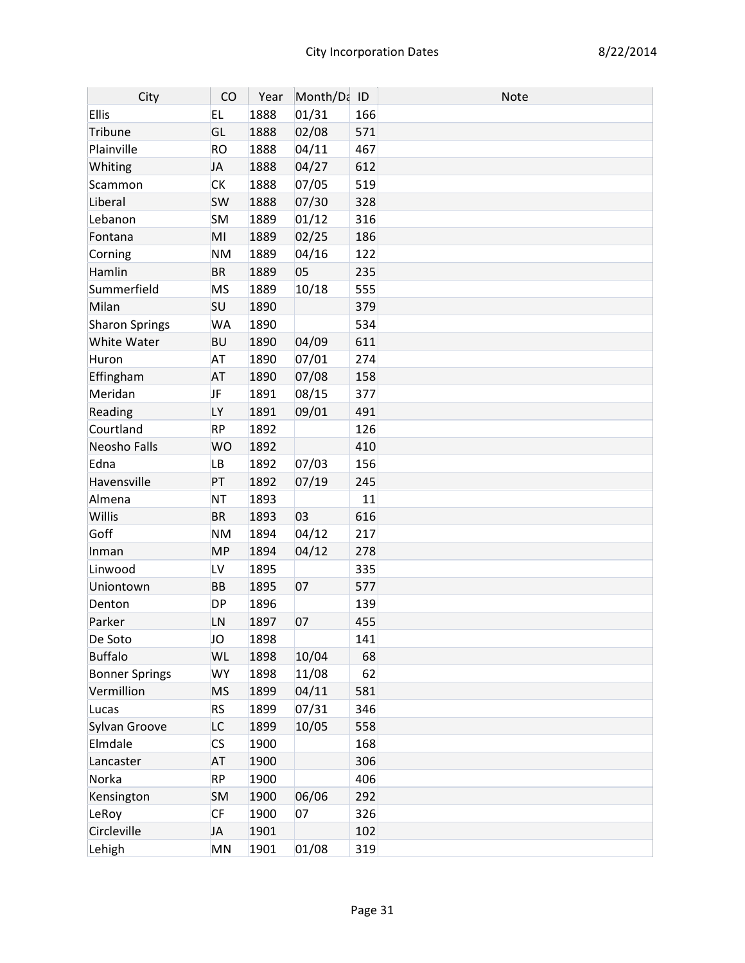| City                  | CO        | Year | Month/Da ID |     | <b>Note</b> |
|-----------------------|-----------|------|-------------|-----|-------------|
| <b>Ellis</b>          | EL.       | 1888 | 01/31       | 166 |             |
| <b>Tribune</b>        | GL        | 1888 | 02/08       | 571 |             |
| Plainville            | <b>RO</b> | 1888 | 04/11       | 467 |             |
| Whiting               | <b>JA</b> | 1888 | 04/27       | 612 |             |
| Scammon               | СK        | 1888 | 07/05       | 519 |             |
| Liberal               | <b>SW</b> | 1888 | 07/30       | 328 |             |
| Lebanon               | <b>SM</b> | 1889 | 01/12       | 316 |             |
| Fontana               | MI        | 1889 | 02/25       | 186 |             |
| Corning               | <b>NM</b> | 1889 | 04/16       | 122 |             |
| Hamlin                | <b>BR</b> | 1889 | 05          | 235 |             |
| Summerfield           | <b>MS</b> | 1889 | 10/18       | 555 |             |
| Milan                 | <b>SU</b> | 1890 |             | 379 |             |
| <b>Sharon Springs</b> | WA        | 1890 |             | 534 |             |
| White Water           | <b>BU</b> | 1890 | 04/09       | 611 |             |
| Huron                 | <b>AT</b> | 1890 | 07/01       | 274 |             |
| Effingham             | <b>AT</b> | 1890 | 07/08       | 158 |             |
| Meridan               | JF        | 1891 | 08/15       | 377 |             |
| Reading               | LY        | 1891 | 09/01       | 491 |             |
| Courtland             | <b>RP</b> | 1892 |             | 126 |             |
| Neosho Falls          | <b>WO</b> | 1892 |             | 410 |             |
| Edna                  | LB        | 1892 | 07/03       | 156 |             |
| Havensville           | PT        | 1892 | 07/19       | 245 |             |
| Almena                | <b>NT</b> | 1893 |             | 11  |             |
| Willis                | <b>BR</b> | 1893 | 03          | 616 |             |
| Goff                  | <b>NM</b> | 1894 | 04/12       | 217 |             |
| Inman                 | <b>MP</b> | 1894 | 04/12       | 278 |             |
| Linwood               | LV        | 1895 |             | 335 |             |
| Uniontown             | <b>BB</b> | 1895 | 07          | 577 |             |
| Denton                | DP        | 1896 |             | 139 |             |
| Parker                | LN        | 1897 | 07          | 455 |             |
| De Soto               | JO        | 1898 |             | 141 |             |
| <b>Buffalo</b>        | WL        | 1898 | 10/04       | 68  |             |
| <b>Bonner Springs</b> | <b>WY</b> | 1898 | 11/08       | 62  |             |
| Vermillion            | <b>MS</b> | 1899 | 04/11       | 581 |             |
| Lucas                 | <b>RS</b> | 1899 | 07/31       | 346 |             |
| Sylvan Groove         | LC        | 1899 | 10/05       | 558 |             |
| Elmdale               | CS        | 1900 |             | 168 |             |
| Lancaster             | <b>AT</b> | 1900 |             | 306 |             |
| Norka                 | <b>RP</b> | 1900 |             | 406 |             |
| Kensington            | <b>SM</b> | 1900 | 06/06       | 292 |             |
| LeRoy                 | CF        | 1900 | 07          | 326 |             |
| Circleville           | <b>JA</b> | 1901 |             | 102 |             |
| Lehigh                | MN        | 1901 | 01/08       | 319 |             |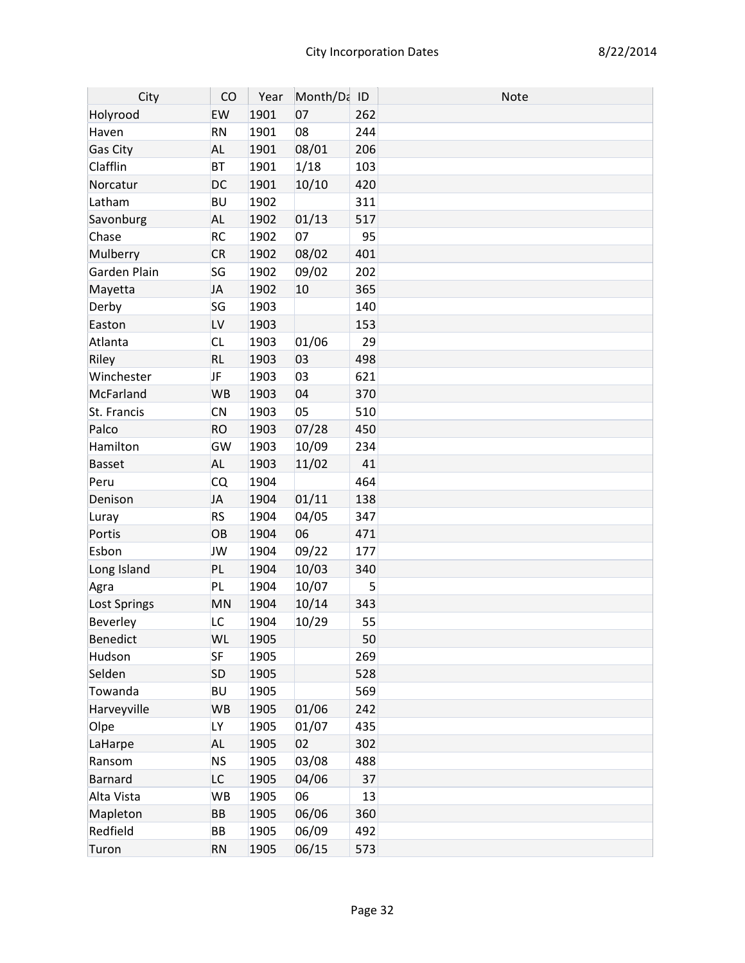| City            | CO        | Year | Month/Da ID |     | <b>Note</b> |
|-----------------|-----------|------|-------------|-----|-------------|
| Holyrood        | EW        | 1901 | 07          | 262 |             |
| Haven           | <b>RN</b> | 1901 | 08          | 244 |             |
| <b>Gas City</b> | <b>AL</b> | 1901 | 08/01       | 206 |             |
| Clafflin        | <b>BT</b> | 1901 | 1/18        | 103 |             |
| Norcatur        | DC        | 1901 | 10/10       | 420 |             |
| Latham          | BU        | 1902 |             | 311 |             |
| Savonburg       | <b>AL</b> | 1902 | 01/13       | 517 |             |
| Chase           | <b>RC</b> | 1902 | 07          | 95  |             |
| Mulberry        | CR        | 1902 | 08/02       | 401 |             |
| Garden Plain    | SG        | 1902 | 09/02       | 202 |             |
| Mayetta         | JA        | 1902 | 10          | 365 |             |
| Derby           | SG        | 1903 |             | 140 |             |
| Easton          | LV        | 1903 |             | 153 |             |
| Atlanta         | <b>CL</b> | 1903 | 01/06       | 29  |             |
| Riley           | <b>RL</b> | 1903 | 03          | 498 |             |
| Winchester      | JF        | 1903 | 03          | 621 |             |
| McFarland       | <b>WB</b> | 1903 | 04          | 370 |             |
| St. Francis     | <b>CN</b> | 1903 | 05          | 510 |             |
| Palco           | <b>RO</b> | 1903 | 07/28       | 450 |             |
| Hamilton        | GW        | 1903 | 10/09       | 234 |             |
| <b>Basset</b>   | <b>AL</b> | 1903 | 11/02       | 41  |             |
| Peru            | <b>CQ</b> | 1904 |             | 464 |             |
| Denison         | JA        | 1904 | 01/11       | 138 |             |
| Luray           | <b>RS</b> | 1904 | 04/05       | 347 |             |
| Portis          | OB        | 1904 | 06          | 471 |             |
| Esbon           | JW        | 1904 | 09/22       | 177 |             |
| Long Island     | PL        | 1904 | 10/03       | 340 |             |
| Agra            | PL        | 1904 | 10/07       | 5   |             |
| Lost Springs    | <b>MN</b> | 1904 | 10/14       | 343 |             |
| Beverley        | LC        | 1904 | 10/29       | 55  |             |
| <b>Benedict</b> | WL        | 1905 |             | 50  |             |
| Hudson          | <b>SF</b> | 1905 |             | 269 |             |
| Selden          | <b>SD</b> | 1905 |             | 528 |             |
| Towanda         | <b>BU</b> | 1905 |             | 569 |             |
| Harveyville     | <b>WB</b> | 1905 | 01/06       | 242 |             |
| Olpe            | LY        | 1905 | 01/07       | 435 |             |
| LaHarpe         | <b>AL</b> | 1905 | 02          | 302 |             |
| Ransom          | ΝS        | 1905 | 03/08       | 488 |             |
| Barnard         | LC        | 1905 | 04/06       | 37  |             |
| Alta Vista      | <b>WB</b> | 1905 | 06          | 13  |             |
| Mapleton        | ВB        | 1905 | 06/06       | 360 |             |
| Redfield        | ВB        | 1905 | 06/09       | 492 |             |
| Turon           | <b>RN</b> | 1905 | 06/15       | 573 |             |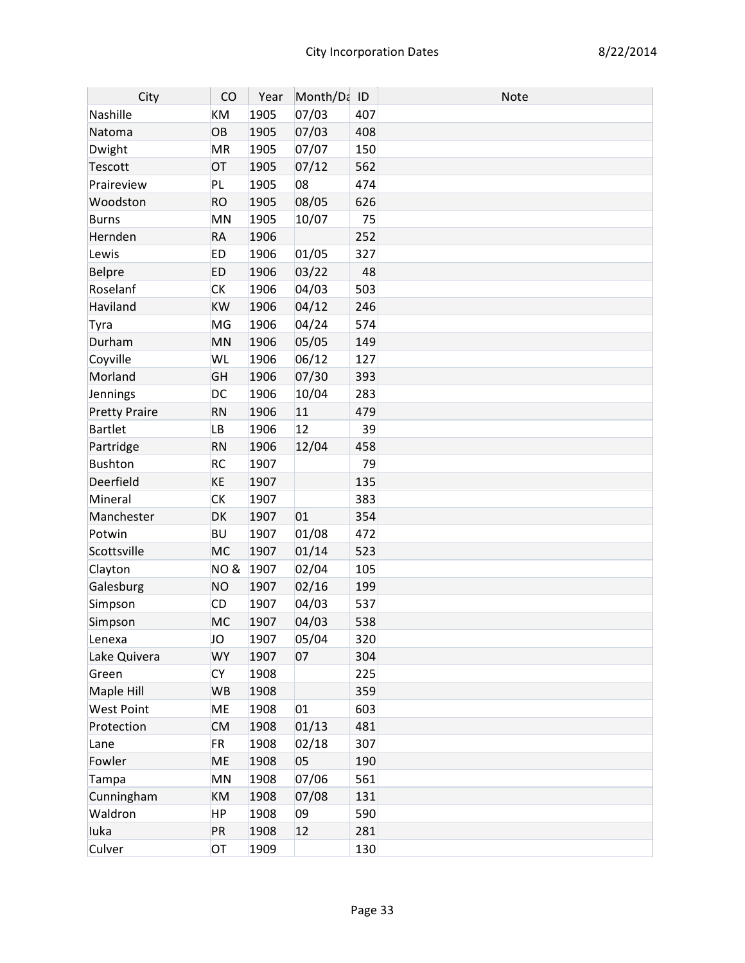| City                 | CO             | Year | Month/Da ID |     | <b>Note</b> |
|----------------------|----------------|------|-------------|-----|-------------|
| Nashille             | KM             | 1905 | 07/03       | 407 |             |
| Natoma               | OB             | 1905 | 07/03       | 408 |             |
| Dwight               | <b>MR</b>      | 1905 | 07/07       | 150 |             |
| Tescott              | OT             | 1905 | 07/12       | 562 |             |
| Praireview           | PL             | 1905 | 08          | 474 |             |
| Woodston             | <b>RO</b>      | 1905 | 08/05       | 626 |             |
| Burns                | MN             | 1905 | 10/07       | 75  |             |
| Hernden              | <b>RA</b>      | 1906 |             | 252 |             |
| Lewis                | ED             | 1906 | 01/05       | 327 |             |
| Belpre               | <b>ED</b>      | 1906 | 03/22       | 48  |             |
| Roselanf             | СK             | 1906 | 04/03       | 503 |             |
| Haviland             | KW             | 1906 | 04/12       | 246 |             |
| Tyra                 | MG             | 1906 | 04/24       | 574 |             |
| Durham               | MN             | 1906 | 05/05       | 149 |             |
| Coyville             | WL             | 1906 | 06/12       | 127 |             |
| Morland              | GH             | 1906 | 07/30       | 393 |             |
| Jennings             | DC             | 1906 | 10/04       | 283 |             |
| <b>Pretty Praire</b> | <b>RN</b>      | 1906 | 11          | 479 |             |
| Bartlet              | <b>LB</b>      | 1906 | 12          | 39  |             |
| Partridge            | <b>RN</b>      | 1906 | 12/04       | 458 |             |
| Bushton              | <b>RC</b>      | 1907 |             | 79  |             |
| Deerfield            | KE             | 1907 |             | 135 |             |
| Mineral              | <b>CK</b>      | 1907 |             | 383 |             |
| Manchester           | DK             | 1907 | 01          | 354 |             |
| Potwin               | <b>BU</b>      | 1907 | 01/08       | 472 |             |
| Scottsville          | <b>MC</b>      | 1907 | 01/14       | 523 |             |
| Clayton              | <b>NO&amp;</b> | 1907 | 02/04       | 105 |             |
| Galesburg            | <b>NO</b>      | 1907 | 02/16       | 199 |             |
| Simpson              | CD             | 1907 | 04/03       | 537 |             |
| Simpson              | MC             | 1907 | 04/03       | 538 |             |
| Lenexa               | JO             | 1907 | 05/04       | 320 |             |
| Lake Quivera         | <b>WY</b>      | 1907 | 07          | 304 |             |
| Green                | <b>CY</b>      | 1908 |             | 225 |             |
| Maple Hill           | <b>WB</b>      | 1908 |             | 359 |             |
| <b>West Point</b>    | ME             | 1908 | 01          | 603 |             |
| Protection           | <b>CM</b>      | 1908 | 01/13       | 481 |             |
| Lane                 | FR.            | 1908 | 02/18       | 307 |             |
| Fowler               | ME             | 1908 | 05          | 190 |             |
| Tampa                | MN             | 1908 | 07/06       | 561 |             |
| Cunningham           | KM             | 1908 | 07/08       | 131 |             |
| Waldron              | HP             | 1908 | 09          | 590 |             |
| luka                 | PR             | 1908 | 12          | 281 |             |
| Culver               | OT             | 1909 |             | 130 |             |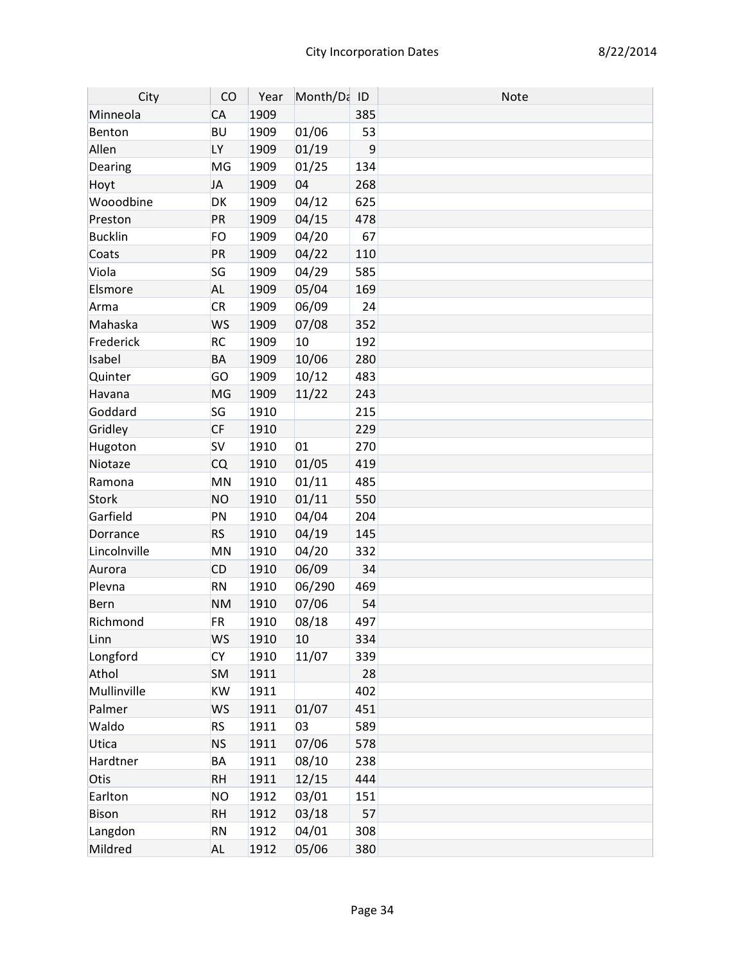| City           | CO        | Year | Month/Da ID |     | Note |
|----------------|-----------|------|-------------|-----|------|
| Minneola       | CA        | 1909 |             | 385 |      |
| Benton         | <b>BU</b> | 1909 | 01/06       | 53  |      |
| Allen          | LY        | 1909 | 01/19       | 9   |      |
| Dearing        | MG        | 1909 | 01/25       | 134 |      |
| Hoyt           | JA        | 1909 | 04          | 268 |      |
| Wooodbine      | DK        | 1909 | 04/12       | 625 |      |
| Preston        | PR        | 1909 | 04/15       | 478 |      |
| <b>Bucklin</b> | FO        | 1909 | 04/20       | 67  |      |
| Coats          | PR        | 1909 | 04/22       | 110 |      |
| Viola          | SG        | 1909 | 04/29       | 585 |      |
| Elsmore        | <b>AL</b> | 1909 | 05/04       | 169 |      |
| Arma           | <b>CR</b> | 1909 | 06/09       | 24  |      |
| Mahaska        | <b>WS</b> | 1909 | 07/08       | 352 |      |
| Frederick      | <b>RC</b> | 1909 | 10          | 192 |      |
| Isabel         | BA        | 1909 | 10/06       | 280 |      |
| Quinter        | GO        | 1909 | 10/12       | 483 |      |
| Havana         | MG        | 1909 | 11/22       | 243 |      |
| Goddard        | SG        | 1910 |             | 215 |      |
| Gridley        | <b>CF</b> | 1910 |             | 229 |      |
| Hugoton        | <b>SV</b> | 1910 | 01          | 270 |      |
| Niotaze        | CQ        | 1910 | 01/05       | 419 |      |
| Ramona         | MN        | 1910 | 01/11       | 485 |      |
| <b>Stork</b>   | <b>NO</b> | 1910 | 01/11       | 550 |      |
| Garfield       | PN        | 1910 | 04/04       | 204 |      |
| Dorrance       | <b>RS</b> | 1910 | 04/19       | 145 |      |
| Lincolnville   | MN        | 1910 | 04/20       | 332 |      |
| Aurora         | <b>CD</b> | 1910 | 06/09       | 34  |      |
| Plevna         | <b>RN</b> | 1910 | 06/290      | 469 |      |
| Bern           | <b>NM</b> | 1910 | 07/06       | 54  |      |
| Richmond       | <b>FR</b> | 1910 | 08/18       | 497 |      |
| Linn           | <b>WS</b> | 1910 | 10          | 334 |      |
| Longford       | <b>CY</b> | 1910 | 11/07       | 339 |      |
| Athol          | <b>SM</b> | 1911 |             | 28  |      |
| Mullinville    | KW        | 1911 |             | 402 |      |
| Palmer         | <b>WS</b> | 1911 | 01/07       | 451 |      |
| Waldo          | <b>RS</b> | 1911 | 03          | 589 |      |
| Utica          | <b>NS</b> | 1911 | 07/06       | 578 |      |
| Hardtner       | BA        | 1911 | 08/10       | 238 |      |
| Otis           | <b>RH</b> | 1911 | 12/15       | 444 |      |
| Earlton        | <b>NO</b> | 1912 | 03/01       | 151 |      |
| <b>Bison</b>   | <b>RH</b> | 1912 | 03/18       | 57  |      |
| Langdon        | <b>RN</b> | 1912 | 04/01       | 308 |      |
| Mildred        | <b>AL</b> | 1912 | 05/06       | 380 |      |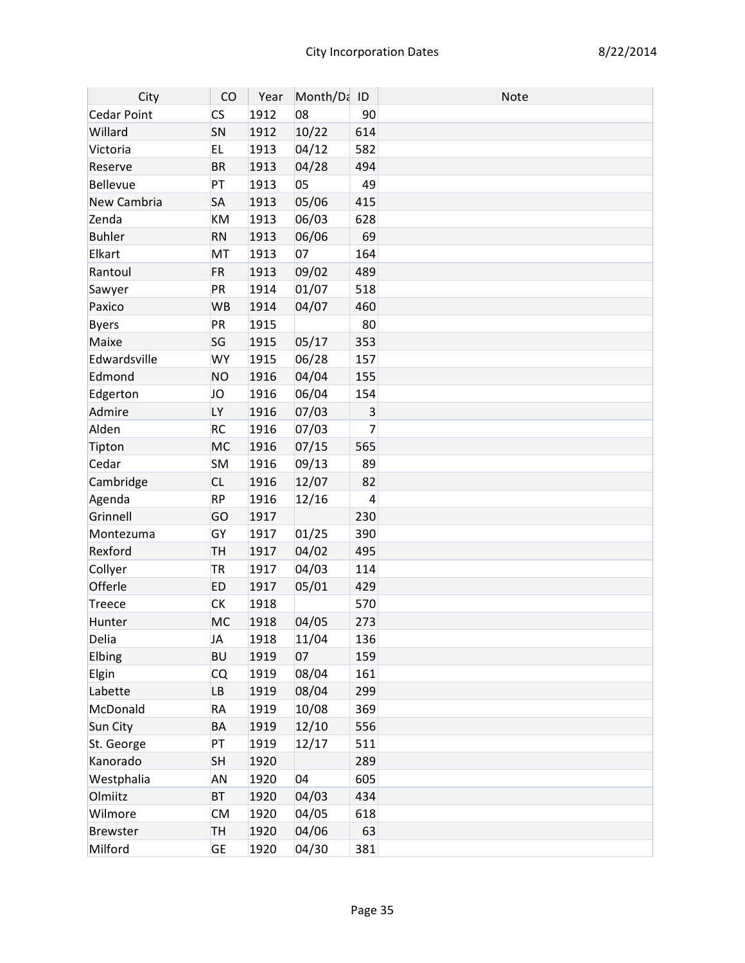| City          | CO        | Year | Month/Da ID |                | <b>Note</b> |
|---------------|-----------|------|-------------|----------------|-------------|
| Cedar Point   | <b>CS</b> | 1912 | 08          | 90             |             |
| Willard       | SN        | 1912 | 10/22       | 614            |             |
| Victoria      | EL.       | 1913 | 04/12       | 582            |             |
| Reserve       | <b>BR</b> | 1913 | 04/28       | 494            |             |
| Bellevue      | PT        | 1913 | 05          | 49             |             |
| New Cambria   | <b>SA</b> | 1913 | 05/06       | 415            |             |
| Zenda         | <b>KM</b> | 1913 | 06/03       | 628            |             |
| <b>Buhler</b> | <b>RN</b> | 1913 | 06/06       | 69             |             |
| Elkart        | <b>MT</b> | 1913 | 07          | 164            |             |
| Rantoul       | <b>FR</b> | 1913 | 09/02       | 489            |             |
| Sawyer        | PR        | 1914 | 01/07       | 518            |             |
| Paxico        | <b>WB</b> | 1914 | 04/07       | 460            |             |
| <b>Byers</b>  | PR        | 1915 |             | 80             |             |
| Maixe         | SG        | 1915 | 05/17       | 353            |             |
| Edwardsville  | WY        | 1915 | 06/28       | 157            |             |
| Edmond        | <b>NO</b> | 1916 | 04/04       | 155            |             |
| Edgerton      | JO        | 1916 | 06/04       | 154            |             |
| Admire        | LY        | 1916 | 07/03       | $\mathbf{3}$   |             |
| Alden         | <b>RC</b> | 1916 | 07/03       | $\overline{7}$ |             |
| Tipton        | <b>MC</b> | 1916 | 07/15       | 565            |             |
| Cedar         | <b>SM</b> | 1916 | 09/13       | 89             |             |
| Cambridge     | <b>CL</b> | 1916 | 12/07       | 82             |             |
| Agenda        | <b>RP</b> | 1916 | 12/16       | 4              |             |
| Grinnell      | GO        | 1917 |             | 230            |             |
| Montezuma     | GY        | 1917 | 01/25       | 390            |             |
| Rexford       | <b>TH</b> | 1917 | 04/02       | 495            |             |
| Collyer       | <b>TR</b> | 1917 | 04/03       | 114            |             |
| Offerle       | <b>ED</b> | 1917 | 05/01       | 429            |             |
| <b>Treece</b> | <b>CK</b> | 1918 |             | 570            |             |
| Hunter        | <b>MC</b> | 1918 | 04/05       | 273            |             |
| Delia         | JA        | 1918 | 11/04       | 136            |             |
| Elbing        | <b>BU</b> | 1919 | 07          | 159            |             |
| Elgin         | CQ        | 1919 | 08/04       | 161            |             |
| Labette       | <b>LB</b> | 1919 | 08/04       | 299            |             |
| McDonald      | RA        | 1919 | 10/08       | 369            |             |
| Sun City      | BA        | 1919 | 12/10       | 556            |             |
| St. George    | PT        | 1919 | 12/17       | 511            |             |
| Kanorado      | <b>SH</b> | 1920 |             | 289            |             |
| Westphalia    | <b>AN</b> | 1920 | 04          | 605            |             |
| Olmiitz       | BT        | 1920 | 04/03       | 434            |             |
| Wilmore       | <b>CM</b> | 1920 | 04/05       | 618            |             |
| Brewster      | <b>TH</b> | 1920 | 04/06       | 63             |             |
| Milford       | <b>GE</b> | 1920 | 04/30       | 381            |             |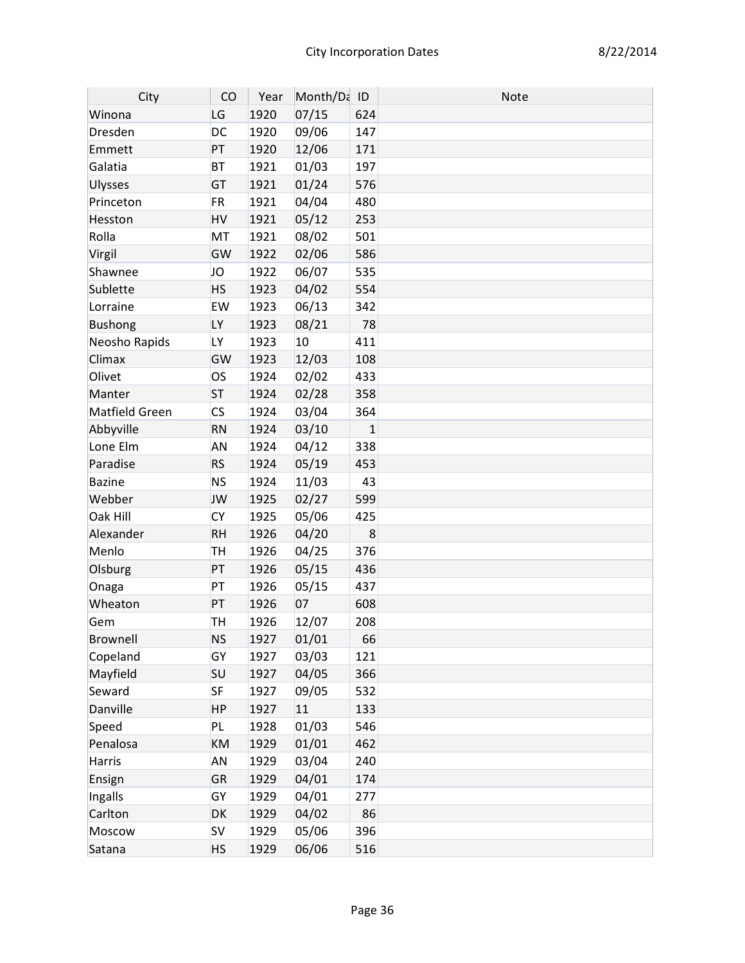| City           | CO        | Year | Month/Da ID |              | Note |
|----------------|-----------|------|-------------|--------------|------|
| Winona         | LG        | 1920 | 07/15       | 624          |      |
| Dresden        | DC        | 1920 | 09/06       | 147          |      |
| Emmett         | PT        | 1920 | 12/06       | 171          |      |
| Galatia        | <b>BT</b> | 1921 | 01/03       | 197          |      |
| <b>Ulysses</b> | GT        | 1921 | 01/24       | 576          |      |
| Princeton      | <b>FR</b> | 1921 | 04/04       | 480          |      |
| Hesston        | HV        | 1921 | 05/12       | 253          |      |
| Rolla          | MT        | 1921 | 08/02       | 501          |      |
| Virgil         | GW        | 1922 | 02/06       | 586          |      |
| Shawnee        | JO        | 1922 | 06/07       | 535          |      |
| Sublette       | <b>HS</b> | 1923 | 04/02       | 554          |      |
| Lorraine       | EW        | 1923 | 06/13       | 342          |      |
| <b>Bushong</b> | LY        | 1923 | 08/21       | 78           |      |
| Neosho Rapids  | LY        | 1923 | 10          | 411          |      |
| Climax         | GW        | 1923 | 12/03       | 108          |      |
| Olivet         | <b>OS</b> | 1924 | 02/02       | 433          |      |
| Manter         | <b>ST</b> | 1924 | 02/28       | 358          |      |
| Matfield Green | <b>CS</b> | 1924 | 03/04       | 364          |      |
| Abbyville      | <b>RN</b> | 1924 | 03/10       | $\mathbf{1}$ |      |
| Lone Elm       | <b>AN</b> | 1924 | 04/12       | 338          |      |
| Paradise       | <b>RS</b> | 1924 | 05/19       | 453          |      |
| Bazine         | <b>NS</b> | 1924 | 11/03       | 43           |      |
| Webber         | JW        | 1925 | 02/27       | 599          |      |
| Oak Hill       | <b>CY</b> | 1925 | 05/06       | 425          |      |
| Alexander      | <b>RH</b> | 1926 | 04/20       | 8            |      |
| Menlo          | <b>TH</b> | 1926 | 04/25       | 376          |      |
| Olsburg        | PT        | 1926 | 05/15       | 436          |      |
| Onaga          | PT        | 1926 | 05/15       | 437          |      |
| Wheaton        | PT        | 1926 | 07          | 608          |      |
| Gem            | <b>TH</b> | 1926 | 12/07       | 208          |      |
| Brownell       | <b>NS</b> | 1927 | 01/01       | 66           |      |
| Copeland       | GY        | 1927 | 03/03       | 121          |      |
| Mayfield       | <b>SU</b> | 1927 | 04/05       | 366          |      |
| Seward         | <b>SF</b> | 1927 | 09/05       | 532          |      |
| Danville       | HP        | 1927 | 11          | 133          |      |
| Speed          | PL        | 1928 | 01/03       | 546          |      |
| Penalosa       | KM        | 1929 | 01/01       | 462          |      |
| Harris         | AN        | 1929 | 03/04       | 240          |      |
| Ensign         | <b>GR</b> | 1929 | 04/01       | 174          |      |
| Ingalls        | GY        | 1929 | 04/01       | 277          |      |
| Carlton        | DK        | 1929 | 04/02       | 86           |      |
| Moscow         | <b>SV</b> | 1929 | 05/06       | 396          |      |
| Satana         | HS        | 1929 | 06/06       | 516          |      |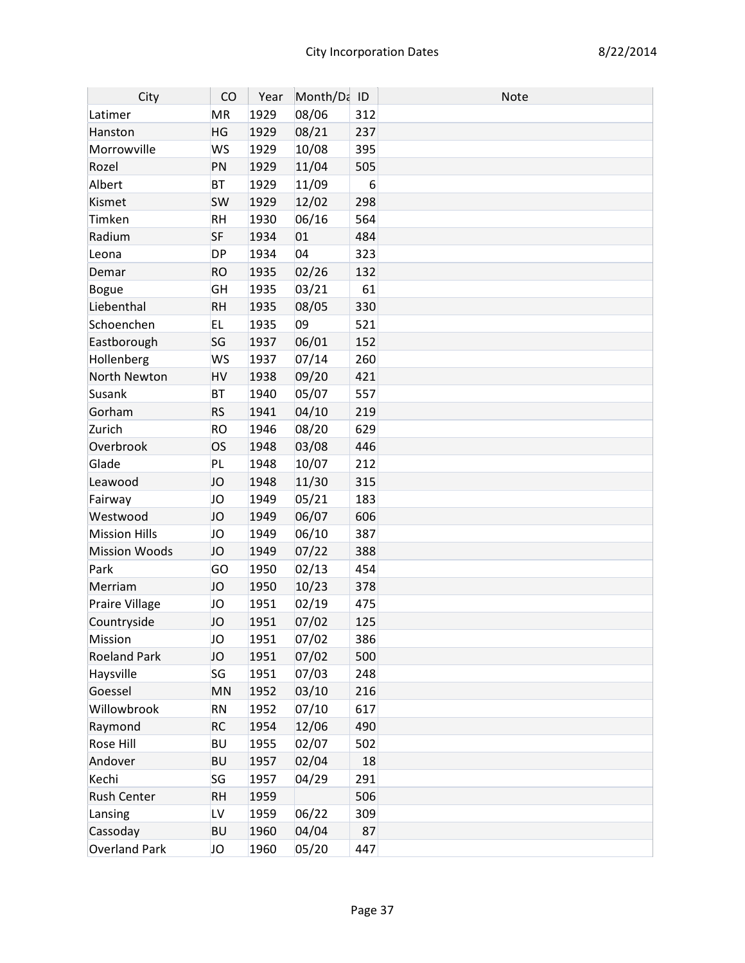| City                  | CO        | Year | Month/Da ID |     | Note |
|-----------------------|-----------|------|-------------|-----|------|
| Latimer               | MR        | 1929 | 08/06       | 312 |      |
| Hanston               | <b>HG</b> | 1929 | 08/21       | 237 |      |
| Morrowville           | <b>WS</b> | 1929 | 10/08       | 395 |      |
| Rozel                 | PN        | 1929 | 11/04       | 505 |      |
| Albert                | <b>BT</b> | 1929 | 11/09       | 6   |      |
| Kismet                | <b>SW</b> | 1929 | 12/02       | 298 |      |
| Timken                | <b>RH</b> | 1930 | 06/16       | 564 |      |
| Radium                | <b>SF</b> | 1934 | 01          | 484 |      |
| Leona                 | <b>DP</b> | 1934 | 04          | 323 |      |
| Demar                 | <b>RO</b> | 1935 | 02/26       | 132 |      |
| Bogue                 | GH        | 1935 | 03/21       | 61  |      |
| Liebenthal            | <b>RH</b> | 1935 | 08/05       | 330 |      |
| Schoenchen            | <b>EL</b> | 1935 | 09          | 521 |      |
| Eastborough           | SG        | 1937 | 06/01       | 152 |      |
| Hollenberg            | <b>WS</b> | 1937 | 07/14       | 260 |      |
| North Newton          | HV        | 1938 | 09/20       | 421 |      |
| Susank                | <b>BT</b> | 1940 | 05/07       | 557 |      |
| Gorham                | <b>RS</b> | 1941 | 04/10       | 219 |      |
| Zurich                | <b>RO</b> | 1946 | 08/20       | 629 |      |
| Overbrook             | <b>OS</b> | 1948 | 03/08       | 446 |      |
| Glade                 | <b>PL</b> | 1948 | 10/07       | 212 |      |
| Leawood               | JO        | 1948 | 11/30       | 315 |      |
| Fairway               | JO        | 1949 | 05/21       | 183 |      |
| Westwood              | JO        | 1949 | 06/07       | 606 |      |
| <b>Mission Hills</b>  | JO        | 1949 | 06/10       | 387 |      |
| <b>Mission Woods</b>  | JO        | 1949 | 07/22       | 388 |      |
| Park                  | GO        | 1950 | 02/13       | 454 |      |
| Merriam               | JO        | 1950 | 10/23       | 378 |      |
| <b>Praire Village</b> | JO        | 1951 | 02/19       | 475 |      |
| Countryside           | JO        | 1951 | 07/02       | 125 |      |
| Mission               | JO        | 1951 | 07/02       | 386 |      |
| <b>Roeland Park</b>   | JO        | 1951 | 07/02       | 500 |      |
| Haysville             | SG        | 1951 | 07/03       | 248 |      |
| Goessel               | <b>MN</b> | 1952 | 03/10       | 216 |      |
| Willowbrook           | <b>RN</b> | 1952 | 07/10       | 617 |      |
| Raymond               | <b>RC</b> | 1954 | 12/06       | 490 |      |
| <b>Rose Hill</b>      | <b>BU</b> | 1955 | 02/07       | 502 |      |
| Andover               | <b>BU</b> | 1957 | 02/04       | 18  |      |
| Kechi                 | SG        | 1957 | 04/29       | 291 |      |
| <b>Rush Center</b>    | <b>RH</b> | 1959 |             | 506 |      |
| Lansing               | LV        | 1959 | 06/22       | 309 |      |
| Cassoday              | <b>BU</b> | 1960 | 04/04       | 87  |      |
| <b>Overland Park</b>  | JO        | 1960 | 05/20       | 447 |      |